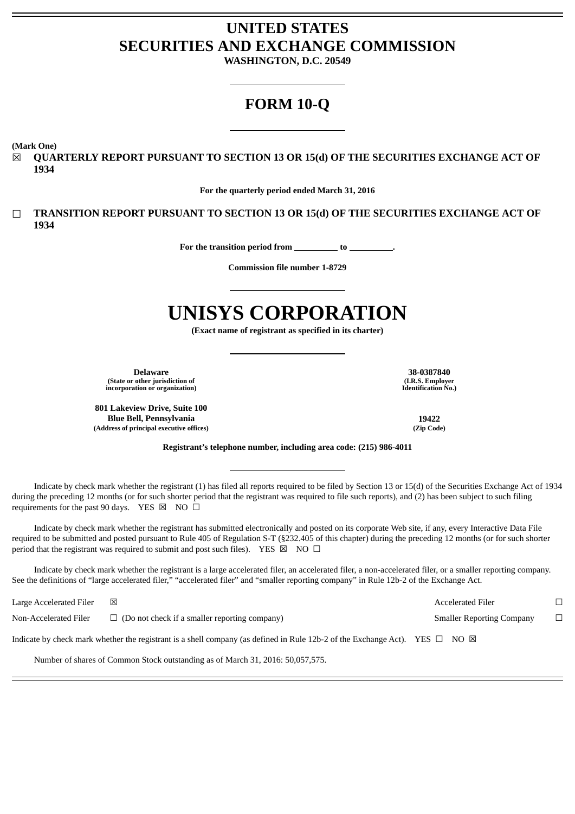# **UNITED STATES SECURITIES AND EXCHANGE COMMISSION**

**WASHINGTON, D.C. 20549**

# **FORM 10-Q**

**(Mark One)**

☒ **QUARTERLY REPORT PURSUANT TO SECTION 13 OR 15(d) OF THE SECURITIES EXCHANGE ACT OF 1934**

**For the quarterly period ended March 31, 2016**

☐ **TRANSITION REPORT PURSUANT TO SECTION 13 OR 15(d) OF THE SECURITIES EXCHANGE ACT OF 1934**

**For the transition period from to .**

**Commission file number 1-8729**

# **UNISYS CORPORATION**

**(Exact name of registrant as specified in its charter)**

**Delaware 38-0387840 (State or other jurisdiction of incorporation or organization)**

**801 Lakeview Drive, Suite 100 Blue Bell, Pennsylvania 19422 (Address of principal executive offices) (Zip Code)**

**(I.R.S. Employer Identification No.)**

**Registrant's telephone number, including area code: (215) 986-4011**

Indicate by check mark whether the registrant (1) has filed all reports required to be filed by Section 13 or 15(d) of the Securities Exchange Act of 1934 during the preceding 12 months (or for such shorter period that the registrant was required to file such reports), and (2) has been subject to such filing requirements for the past 90 days. YES  $\boxtimes$  NO  $\Box$ 

Indicate by check mark whether the registrant has submitted electronically and posted on its corporate Web site, if any, every Interactive Data File required to be submitted and posted pursuant to Rule 405 of Regulation S-T (§232.405 of this chapter) during the preceding 12 months (or for such shorter period that the registrant was required to submit and post such files). YES  $\boxtimes$  NO  $\Box$ 

Indicate by check mark whether the registrant is a large accelerated filer, an accelerated filer, a non-accelerated filer, or a smaller reporting company. See the definitions of "large accelerated filer," "accelerated filer" and "smaller reporting company" in Rule 12b-2 of the Exchange Act.

Large Accelerated Filer ☒ Accelerated Filer ☐

Non-Accelerated Filer □ (Do not check if a smaller reporting company) Smaller Reporting Company □

Indicate by check mark whether the registrant is a shell company (as defined in Rule 12b-2 of the Exchange Act). YES  $\Box$  NO  $\boxtimes$ 

Number of shares of Common Stock outstanding as of March 31, 2016: 50,057,575.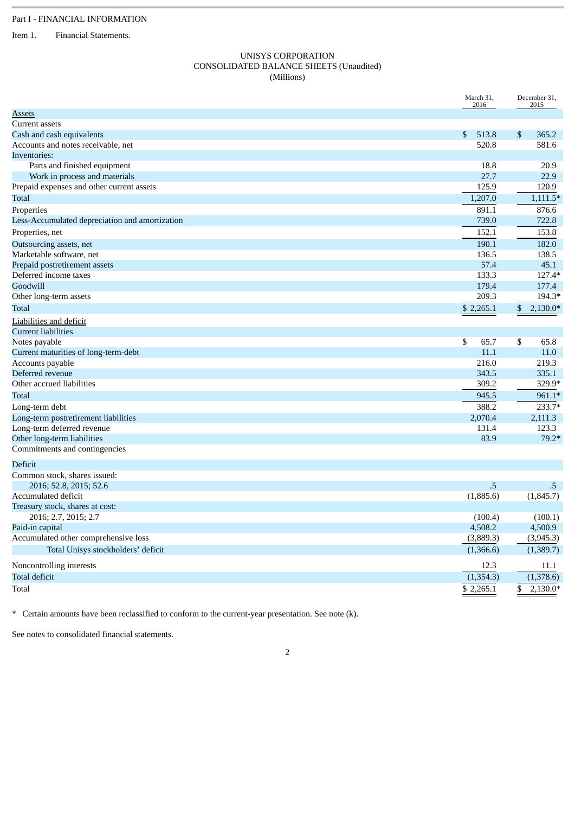# Part I - FINANCIAL INFORMATION

Item 1. Financial Statements.

# UNISYS CORPORATION CONSOLIDATED BALANCE SHEETS (Unaudited) (Millions)

|                                                | March 31,<br>2016 | December 31,<br>2015 |
|------------------------------------------------|-------------------|----------------------|
| <u>Assets</u>                                  |                   |                      |
| <b>Current assets</b>                          |                   |                      |
| Cash and cash equivalents                      | \$<br>513.8       | \$<br>365.2          |
| Accounts and notes receivable, net             | 520.8             | 581.6                |
| Inventories:                                   |                   |                      |
| Parts and finished equipment                   | 18.8              | 20.9                 |
| Work in process and materials                  | 27.7              | 22.9                 |
| Prepaid expenses and other current assets      | 125.9             | 120.9                |
| Total                                          | 1,207.0           | $1,111.5*$           |
| Properties                                     | 891.1             | 876.6                |
| Less-Accumulated depreciation and amortization | 739.0             | 722.8                |
| Properties, net                                | 152.1             | 153.8                |
| Outsourcing assets, net                        | 190.1             | 182.0                |
| Marketable software, net                       | 136.5             | 138.5                |
| Prepaid postretirement assets                  | 57.4              | 45.1                 |
| Deferred income taxes                          | 133.3             | 127.4*               |
| Goodwill                                       | 179.4             | 177.4                |
| Other long-term assets                         | 209.3             | 194.3*               |
| Total                                          | \$2,265.1         | \$<br>$2,130.0*$     |
| Liabilities and deficit                        |                   |                      |
| <b>Current liabilities</b>                     |                   |                      |
| Notes payable                                  | \$<br>65.7        | \$<br>65.8           |
| Current maturities of long-term-debt           | 11.1              | 11.0                 |
| Accounts payable                               | 216.0             | 219.3                |
| Deferred revenue                               | 343.5             | 335.1                |
| Other accrued liabilities                      | 309.2             | 329.9*               |
| Total                                          | 945.5             | 961.1*               |
| Long-term debt                                 | 388.2             | 233.7*               |
| Long-term postretirement liabilities           | 2,070.4           | 2,111.3              |
| Long-term deferred revenue                     | 131.4             | 123.3                |
| Other long-term liabilities                    | 83.9              | $79.2*$              |
| Commitments and contingencies                  |                   |                      |
| Deficit                                        |                   |                      |
| Common stock, shares issued:                   |                   |                      |
| 2016; 52.8, 2015; 52.6                         | $.5\,$            | .5                   |
| <b>Accumulated deficit</b>                     | (1,885.6)         | (1,845.7)            |
| Treasury stock, shares at cost:                |                   |                      |
| 2016; 2.7, 2015; 2.7                           | (100.4)           | (100.1)              |
| Paid-in capital                                | 4,508.2           | 4,500.9              |
| Accumulated other comprehensive loss           | (3,889.3)         | (3,945.3)            |
| Total Unisys stockholders' deficit             | (1,366.6)         | (1,389.7)            |
| Noncontrolling interests                       | 12.3              | 11.1                 |
| Total deficit                                  | (1, 354.3)        | (1,378.6)            |
| Total                                          | \$2,265.1         | \$<br>$2,130.0*$     |
|                                                |                   |                      |

\* Certain amounts have been reclassified to conform to the current-year presentation. See note (k).

See notes to consolidated financial statements.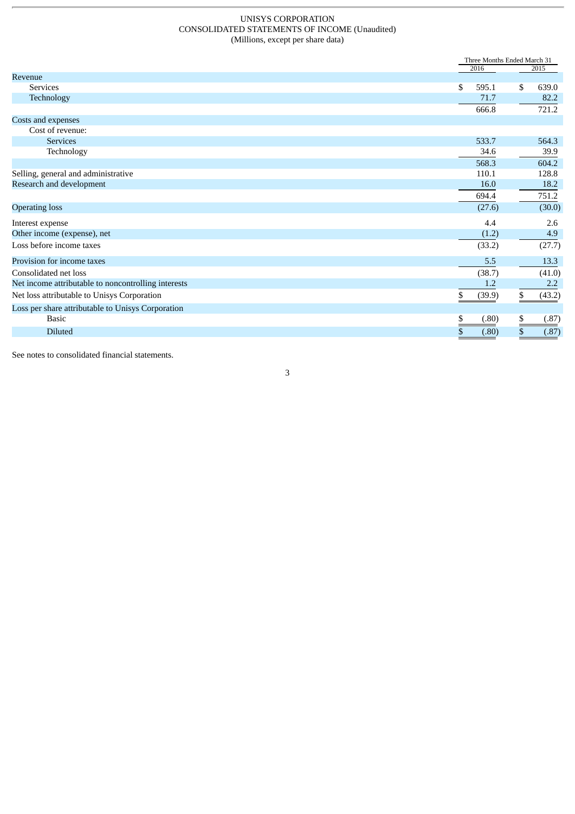# UNISYS CORPORATION CONSOLIDATED STATEMENTS OF INCOME (Unaudited) (Millions, except per share data)

|                                                     |              | Three Months Ended March 31 |
|-----------------------------------------------------|--------------|-----------------------------|
|                                                     | 2016         | 2015                        |
| Revenue                                             |              |                             |
| <b>Services</b>                                     | \$<br>595.1  | \$<br>639.0                 |
| Technology                                          | 71.7         | 82.2                        |
|                                                     | 666.8        | 721.2                       |
| Costs and expenses                                  |              |                             |
| Cost of revenue:                                    |              |                             |
| <b>Services</b>                                     | 533.7        | 564.3                       |
| Technology                                          | 34.6         | 39.9                        |
|                                                     | 568.3        | 604.2                       |
| Selling, general and administrative                 | 110.1        | 128.8                       |
| Research and development                            | 16.0         | 18.2                        |
|                                                     | 694.4        | 751.2                       |
| <b>Operating loss</b>                               | (27.6)       | (30.0)                      |
| Interest expense                                    | 4.4          | 2.6                         |
| Other income (expense), net                         | (1.2)        | 4.9                         |
| Loss before income taxes                            | (33.2)       | (27.7)                      |
| Provision for income taxes                          | 5.5          | 13.3                        |
| Consolidated net loss                               | (38.7)       | (41.0)                      |
| Net income attributable to noncontrolling interests | 1.2          | 2.2                         |
| Net loss attributable to Unisys Corporation         | (39.9)<br>\$ | \$<br>(43.2)                |
| Loss per share attributable to Unisys Corporation   |              |                             |
| <b>Basic</b>                                        | \$<br>(.80)  | (.87)                       |
| Diluted                                             | \$<br>(.80)  | (.87)<br>S                  |

See notes to consolidated financial statements.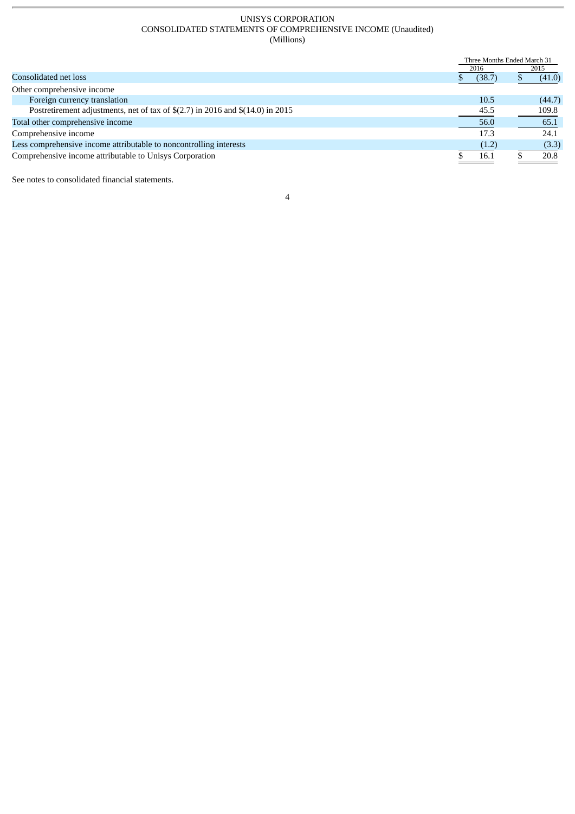# UNISYS CORPORATION CONSOLIDATED STATEMENTS OF COMPREHENSIVE INCOME (Unaudited) (Millions)

|                                                                                  | Three Months Ended March 31 |        |  |        |
|----------------------------------------------------------------------------------|-----------------------------|--------|--|--------|
|                                                                                  |                             | 2016   |  | 2015   |
| Consolidated net loss                                                            |                             | (38.7) |  | (41.0) |
| Other comprehensive income                                                       |                             |        |  |        |
| Foreign currency translation                                                     |                             | 10.5   |  | (44.7) |
| Postretirement adjustments, net of tax of $$(2.7)$ in 2016 and $$(14.0)$ in 2015 |                             | 45.5   |  | 109.8  |
| Total other comprehensive income                                                 |                             | 56.0   |  | 65.1   |
| Comprehensive income                                                             |                             | 17.3   |  | 24.1   |
| Less comprehensive income attributable to noncontrolling interests               |                             | (1.2)  |  | (3.3)  |
| Comprehensive income attributable to Unisys Corporation                          |                             | 16.1   |  | 20.8   |

See notes to consolidated financial statements.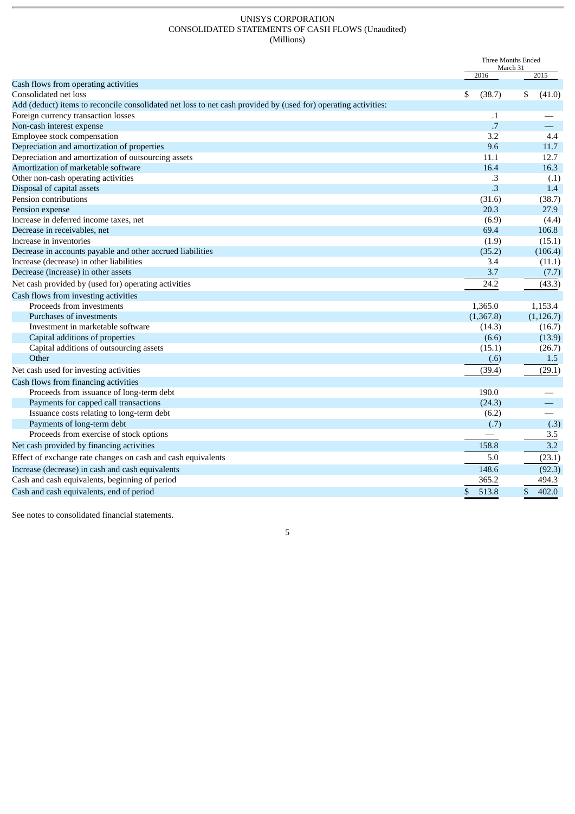## UNISYS CORPORATION CONSOLIDATED STATEMENTS OF CASH FLOWS (Unaudited) (Millions)

|                                                                                                                | Three Months Ended<br>March 31 |                  |
|----------------------------------------------------------------------------------------------------------------|--------------------------------|------------------|
|                                                                                                                | 2016                           | 2015             |
| Cash flows from operating activities                                                                           |                                |                  |
| Consolidated net loss                                                                                          | \$<br>(38.7)                   | \$<br>(41.0)     |
| Add (deduct) items to reconcile consolidated net loss to net cash provided by (used for) operating activities: |                                |                  |
| Foreign currency transaction losses                                                                            | $\cdot$ 1                      |                  |
| Non-cash interest expense                                                                                      | .7                             |                  |
| Employee stock compensation                                                                                    | 3.2                            | 4.4              |
| Depreciation and amortization of properties                                                                    | 9.6                            | 11.7             |
| Depreciation and amortization of outsourcing assets                                                            | 11.1                           | 12.7             |
| Amortization of marketable software                                                                            | 16.4                           | 16.3             |
| Other non-cash operating activities                                                                            | .3                             | (.1)             |
| Disposal of capital assets                                                                                     | .3                             | 1.4              |
| Pension contributions                                                                                          | (31.6)                         | (38.7)           |
| Pension expense                                                                                                | 20.3                           | 27.9             |
| Increase in deferred income taxes, net                                                                         | (6.9)                          | (4.4)            |
| Decrease in receivables, net                                                                                   | 69.4                           | 106.8            |
| Increase in inventories                                                                                        | (1.9)                          | (15.1)           |
| Decrease in accounts payable and other accrued liabilities                                                     | (35.2)                         | (106.4)          |
| Increase (decrease) in other liabilities                                                                       | 3.4                            | (11.1)           |
| Decrease (increase) in other assets                                                                            | 3.7                            | (7.7)            |
| Net cash provided by (used for) operating activities                                                           | 24.2                           | (43.3)           |
| Cash flows from investing activities                                                                           |                                |                  |
| Proceeds from investments                                                                                      | 1,365.0                        | 1,153.4          |
| Purchases of investments                                                                                       | (1,367.8)                      | (1, 126.7)       |
| Investment in marketable software                                                                              | (14.3)                         | (16.7)           |
| Capital additions of properties                                                                                | (6.6)                          | (13.9)           |
| Capital additions of outsourcing assets                                                                        | (15.1)                         | (26.7)           |
| Other                                                                                                          | (.6)                           | 1.5              |
| Net cash used for investing activities                                                                         | (39.4)                         | (29.1)           |
| Cash flows from financing activities                                                                           |                                |                  |
| Proceeds from issuance of long-term debt                                                                       | 190.0                          |                  |
| Payments for capped call transactions                                                                          | (24.3)                         |                  |
| Issuance costs relating to long-term debt                                                                      | (6.2)                          |                  |
| Payments of long-term debt                                                                                     | (.7)                           | (.3)             |
| Proceeds from exercise of stock options                                                                        |                                | 3.5              |
| Net cash provided by financing activities                                                                      | 158.8                          | $\overline{3.2}$ |
| Effect of exchange rate changes on cash and cash equivalents                                                   | 5.0                            | (23.1)           |
| Increase (decrease) in cash and cash equivalents                                                               | 148.6                          | (92.3)           |
| Cash and cash equivalents, beginning of period                                                                 | 365.2                          | 494.3            |
| Cash and cash equivalents, end of period                                                                       | $\mathbb{S}$<br>513.8          | \$<br>402.0      |

5

See notes to consolidated financial statements.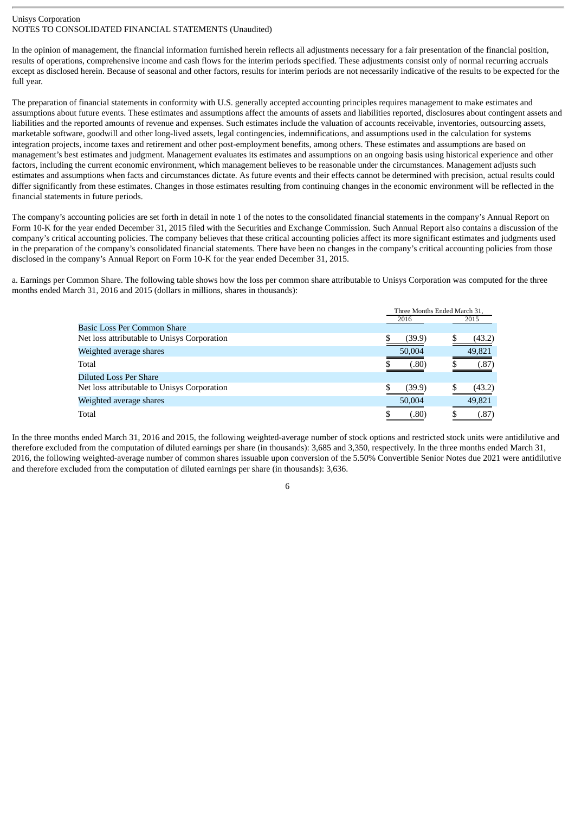## Unisys Corporation NOTES TO CONSOLIDATED FINANCIAL STATEMENTS (Unaudited)

In the opinion of management, the financial information furnished herein reflects all adjustments necessary for a fair presentation of the financial position, results of operations, comprehensive income and cash flows for the interim periods specified. These adjustments consist only of normal recurring accruals except as disclosed herein. Because of seasonal and other factors, results for interim periods are not necessarily indicative of the results to be expected for the full year.

The preparation of financial statements in conformity with U.S. generally accepted accounting principles requires management to make estimates and assumptions about future events. These estimates and assumptions affect the amounts of assets and liabilities reported, disclosures about contingent assets and liabilities and the reported amounts of revenue and expenses. Such estimates include the valuation of accounts receivable, inventories, outsourcing assets, marketable software, goodwill and other long-lived assets, legal contingencies, indemnifications, and assumptions used in the calculation for systems integration projects, income taxes and retirement and other post-employment benefits, among others. These estimates and assumptions are based on management's best estimates and judgment. Management evaluates its estimates and assumptions on an ongoing basis using historical experience and other factors, including the current economic environment, which management believes to be reasonable under the circumstances. Management adjusts such estimates and assumptions when facts and circumstances dictate. As future events and their effects cannot be determined with precision, actual results could differ significantly from these estimates. Changes in those estimates resulting from continuing changes in the economic environment will be reflected in the financial statements in future periods.

The company's accounting policies are set forth in detail in note 1 of the notes to the consolidated financial statements in the company's Annual Report on Form 10-K for the year ended December 31, 2015 filed with the Securities and Exchange Commission. Such Annual Report also contains a discussion of the company's critical accounting policies. The company believes that these critical accounting policies affect its more significant estimates and judgments used in the preparation of the company's consolidated financial statements. There have been no changes in the company's critical accounting policies from those disclosed in the company's Annual Report on Form 10-K for the year ended December 31, 2015.

a. Earnings per Common Share. The following table shows how the loss per common share attributable to Unisys Corporation was computed for the three months ended March 31, 2016 and 2015 (dollars in millions, shares in thousands):

|                                             | Three Months Ended March 31, |        |  |        |
|---------------------------------------------|------------------------------|--------|--|--------|
|                                             |                              | 2016   |  | 2015   |
| Basic Loss Per Common Share                 |                              |        |  |        |
| Net loss attributable to Unisys Corporation |                              | (39.9) |  | (43.2) |
| Weighted average shares                     |                              | 50,004 |  | 49,821 |
| Total                                       |                              | (.80)  |  | (.87)  |
| Diluted Loss Per Share                      |                              |        |  |        |
| Net loss attributable to Unisys Corporation |                              | (39.9) |  | (43.2) |
| Weighted average shares                     |                              | 50,004 |  | 49,821 |
| Total                                       |                              | (.80)  |  | (0.87) |

In the three months ended March 31, 2016 and 2015, the following weighted-average number of stock options and restricted stock units were antidilutive and therefore excluded from the computation of diluted earnings per share (in thousands): 3,685 and 3,350, respectively. In the three months ended March 31, 2016, the following weighted-average number of common shares issuable upon conversion of the 5.50% Convertible Senior Notes due 2021 were antidilutive and therefore excluded from the computation of diluted earnings per share (in thousands): 3,636.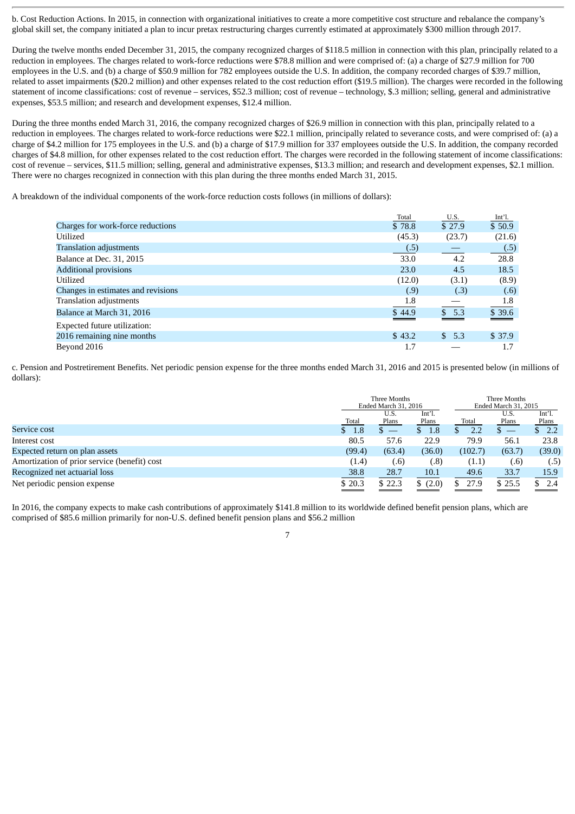b. Cost Reduction Actions. In 2015, in connection with organizational initiatives to create a more competitive cost structure and rebalance the company's global skill set, the company initiated a plan to incur pretax restructuring charges currently estimated at approximately \$300 million through 2017.

During the twelve months ended December 31, 2015, the company recognized charges of \$118.5 million in connection with this plan, principally related to a reduction in employees. The charges related to work-force reductions were \$78.8 million and were comprised of: (a) a charge of \$27.9 million for 700 employees in the U.S. and (b) a charge of \$50.9 million for 782 employees outside the U.S. In addition, the company recorded charges of \$39.7 million, related to asset impairments (\$20.2 million) and other expenses related to the cost reduction effort (\$19.5 million). The charges were recorded in the following statement of income classifications: cost of revenue – services, \$52.3 million; cost of revenue – technology, \$.3 million; selling, general and administrative expenses, \$53.5 million; and research and development expenses, \$12.4 million.

During the three months ended March 31, 2016, the company recognized charges of \$26.9 million in connection with this plan, principally related to a reduction in employees. The charges related to work-force reductions were \$22.1 million, principally related to severance costs, and were comprised of: (a) a charge of \$4.2 million for 175 employees in the U.S. and (b) a charge of \$17.9 million for 337 employees outside the U.S. In addition, the company recorded charges of \$4.8 million, for other expenses related to the cost reduction effort. The charges were recorded in the following statement of income classifications: cost of revenue – services, \$11.5 million; selling, general and administrative expenses, \$13.3 million; and research and development expenses, \$2.1 million. There were no charges recognized in connection with this plan during the three months ended March 31, 2015.

A breakdown of the individual components of the work-force reduction costs follows (in millions of dollars):

|                                    | Total  | U.S.   | Int'l.            |
|------------------------------------|--------|--------|-------------------|
| Charges for work-force reductions  | \$78.8 | \$27.9 | \$50.9            |
| Utilized                           | (45.3) | (23.7) | (21.6)            |
| <b>Translation adjustments</b>     | (.5)   |        | (.5)              |
| Balance at Dec. 31, 2015           | 33.0   | 4.2    | 28.8              |
| <b>Additional provisions</b>       | 23.0   | 4.5    | 18.5              |
| Utilized                           | (12.0) | (3.1)  | (8.9)             |
| Changes in estimates and revisions | (.9)   | (.3)   | (.6)              |
| <b>Translation adjustments</b>     | 1.8    |        | 1.8               |
| Balance at March 31, 2016          | \$44.9 | \$5.3  | $\frac{$39.6}{2}$ |
| Expected future utilization:       |        |        |                   |
| 2016 remaining nine months         | \$43.2 | \$5.3  | \$37.9            |
| Bevond 2016                        | 1.7    |        | 1.7               |

c. Pension and Postretirement Benefits. Net periodic pension expense for the three months ended March 31, 2016 and 2015 is presented below (in millions of dollars):

|                                              |                  | Three Months<br>Ended March 31, 2016 |                 | Three Months<br>Ended March 31, 2015 |                                   |                 |
|----------------------------------------------|------------------|--------------------------------------|-----------------|--------------------------------------|-----------------------------------|-----------------|
|                                              | Total            | U.S.<br>Plans                        | Int'l.<br>Plans | Total                                | U.S.<br>Plans                     | Int'l.<br>Plans |
| Service cost                                 | 1.8<br>S.        |                                      | 1.8             | 2.2                                  | Ж.<br>$\overbrace{\hspace{15em}}$ | 2.2             |
| Interest cost                                | 80.5             | 57.6                                 | 22.9            | 79.9                                 | 56.1                              | 23.8            |
| Expected return on plan assets               | (99.4)           | (63.4)                               | (36.0)          | (102.7)                              | (63.7)                            | (39.0)          |
| Amortization of prior service (benefit) cost | (1.4)            | (.6)                                 | $^{(.8)}$       | (1.1)                                | (.6)                              | (.5)            |
| Recognized net actuarial loss                | 38.8             | 28.7                                 | 10.1            | 49.6                                 | 33.7                              | 15.9            |
| Net periodic pension expense                 | \$20.3<br>______ | \$22.3                               | \$(2.0)         | 27.9                                 | \$25.5                            | 2.4             |

In 2016, the company expects to make cash contributions of approximately \$141.8 million to its worldwide defined benefit pension plans, which are comprised of \$85.6 million primarily for non-U.S. defined benefit pension plans and \$56.2 million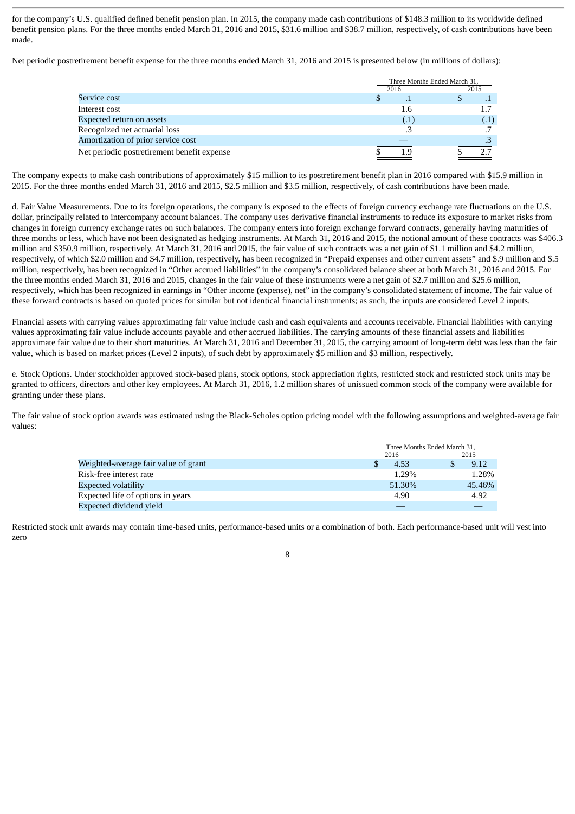for the company's U.S. qualified defined benefit pension plan. In 2015, the company made cash contributions of \$148.3 million to its worldwide defined benefit pension plans. For the three months ended March 31, 2016 and 2015, \$31.6 million and \$38.7 million, respectively, of cash contributions have been made.

Net periodic postretirement benefit expense for the three months ended March 31, 2016 and 2015 is presented below (in millions of dollars):

|                                             | Three Months Ended March 31,    |      |
|---------------------------------------------|---------------------------------|------|
|                                             | 2016                            | 2015 |
| Service cost                                |                                 |      |
| Interest cost                               | 1.6                             |      |
| Expected return on assets                   | $\mathfrak{l}$ . $\mathfrak{l}$ | (.1) |
| Recognized net actuarial loss               |                                 |      |
| Amortization of prior service cost          |                                 |      |
| Net periodic postretirement benefit expense |                                 |      |

The company expects to make cash contributions of approximately \$15 million to its postretirement benefit plan in 2016 compared with \$15.9 million in 2015. For the three months ended March 31, 2016 and 2015, \$2.5 million and \$3.5 million, respectively, of cash contributions have been made.

d. Fair Value Measurements. Due to its foreign operations, the company is exposed to the effects of foreign currency exchange rate fluctuations on the U.S. dollar, principally related to intercompany account balances. The company uses derivative financial instruments to reduce its exposure to market risks from changes in foreign currency exchange rates on such balances. The company enters into foreign exchange forward contracts, generally having maturities of three months or less, which have not been designated as hedging instruments. At March 31, 2016 and 2015, the notional amount of these contracts was \$406.3 million and \$350.9 million, respectively. At March 31, 2016 and 2015, the fair value of such contracts was a net gain of \$1.1 million and \$4.2 million, respectively, of which \$2.0 million and \$4.7 million, respectively, has been recognized in "Prepaid expenses and other current assets" and \$.9 million and \$.5 million, respectively, has been recognized in "Other accrued liabilities" in the company's consolidated balance sheet at both March 31, 2016 and 2015. For the three months ended March 31, 2016 and 2015, changes in the fair value of these instruments were a net gain of \$2.7 million and \$25.6 million, respectively, which has been recognized in earnings in "Other income (expense), net" in the company's consolidated statement of income. The fair value of these forward contracts is based on quoted prices for similar but not identical financial instruments; as such, the inputs are considered Level 2 inputs.

Financial assets with carrying values approximating fair value include cash and cash equivalents and accounts receivable. Financial liabilities with carrying values approximating fair value include accounts payable and other accrued liabilities. The carrying amounts of these financial assets and liabilities approximate fair value due to their short maturities. At March 31, 2016 and December 31, 2015, the carrying amount of long-term debt was less than the fair value, which is based on market prices (Level 2 inputs), of such debt by approximately \$5 million and \$3 million, respectively.

e. Stock Options. Under stockholder approved stock-based plans, stock options, stock appreciation rights, restricted stock and restricted stock units may be granted to officers, directors and other key employees. At March 31, 2016, 1.2 million shares of unissued common stock of the company were available for granting under these plans.

The fair value of stock option awards was estimated using the Black-Scholes option pricing model with the following assumptions and weighted-average fair values:

|                                      |        | Three Months Ended March 31. |  |  |
|--------------------------------------|--------|------------------------------|--|--|
|                                      | 2016   | 2015                         |  |  |
| Weighted-average fair value of grant | 4.53   | 9.12                         |  |  |
| Risk-free interest rate              | 1.29%  | 1.28%                        |  |  |
| Expected volatility                  | 51.30% | 45.46%                       |  |  |
| Expected life of options in years    | 4.90   | 4.92                         |  |  |
| <b>Expected dividend yield</b>       |        |                              |  |  |

Restricted stock unit awards may contain time-based units, performance-based units or a combination of both. Each performance-based unit will vest into zero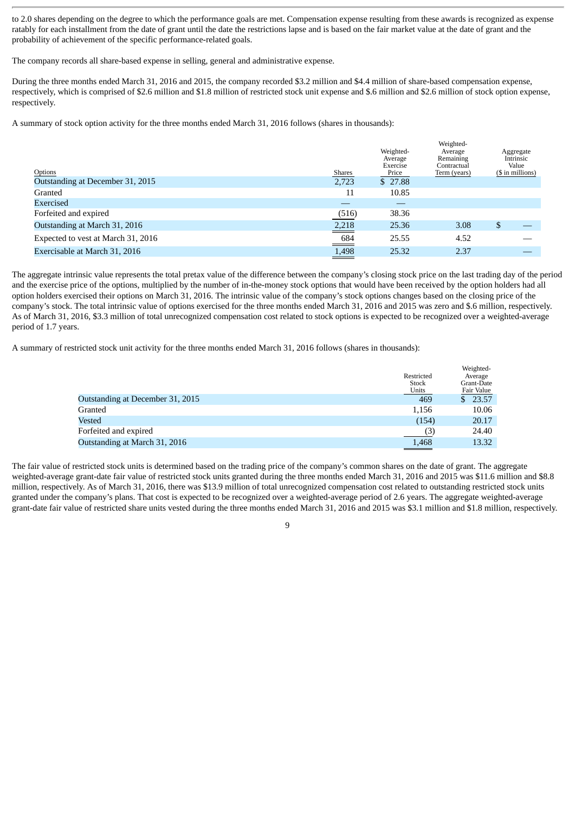to 2.0 shares depending on the degree to which the performance goals are met. Compensation expense resulting from these awards is recognized as expense ratably for each installment from the date of grant until the date the restrictions lapse and is based on the fair market value at the date of grant and the probability of achievement of the specific performance-related goals.

The company records all share-based expense in selling, general and administrative expense.

During the three months ended March 31, 2016 and 2015, the company recorded \$3.2 million and \$4.4 million of share-based compensation expense, respectively, which is comprised of \$2.6 million and \$1.8 million of restricted stock unit expense and \$.6 million and \$2.6 million of stock option expense, respectively.

A summary of stock option activity for the three months ended March 31, 2016 follows (shares in thousands):

| Options                            | Shares | Weighted-<br>Average<br>Exercise<br>Price | Weighted-<br>Average<br>Remaining<br>Contractual<br>Term (years) | Aggregate<br>Intrinsic<br>Value<br>(\$ in millions) |
|------------------------------------|--------|-------------------------------------------|------------------------------------------------------------------|-----------------------------------------------------|
| Outstanding at December 31, 2015   | 2,723  | \$27.88                                   |                                                                  |                                                     |
| Granted                            | 11     | 10.85                                     |                                                                  |                                                     |
| Exercised                          |        |                                           |                                                                  |                                                     |
| Forfeited and expired              | (516)  | 38.36                                     |                                                                  |                                                     |
| Outstanding at March 31, 2016      | 2,218  | 25.36                                     | 3.08                                                             | \$                                                  |
| Expected to vest at March 31, 2016 | 684    | 25.55                                     | 4.52                                                             |                                                     |
| Exercisable at March 31, 2016      | 1,498  | 25.32                                     | 2.37                                                             |                                                     |

The aggregate intrinsic value represents the total pretax value of the difference between the company's closing stock price on the last trading day of the period and the exercise price of the options, multiplied by the number of in-the-money stock options that would have been received by the option holders had all option holders exercised their options on March 31, 2016. The intrinsic value of the company's stock options changes based on the closing price of the company's stock. The total intrinsic value of options exercised for the three months ended March 31, 2016 and 2015 was zero and \$.6 million, respectively. As of March 31, 2016, \$3.3 million of total unrecognized compensation cost related to stock options is expected to be recognized over a weighted-average period of 1.7 years.

A summary of restricted stock unit activity for the three months ended March 31, 2016 follows (shares in thousands):

|                                  | Restricted<br>Stock<br>Units | Weighted-<br>Average<br>Grant-Date<br>Fair Value |
|----------------------------------|------------------------------|--------------------------------------------------|
| Outstanding at December 31, 2015 | 469                          | \$23.57                                          |
| Granted                          | 1,156                        | 10.06                                            |
| Vested                           | (154)                        | 20.17                                            |
| Forfeited and expired            | (3)                          | 24.40                                            |
| Outstanding at March 31, 2016    | 1,468                        | 13.32                                            |

The fair value of restricted stock units is determined based on the trading price of the company's common shares on the date of grant. The aggregate weighted-average grant-date fair value of restricted stock units granted during the three months ended March 31, 2016 and 2015 was \$11.6 million and \$8.8 million, respectively. As of March 31, 2016, there was \$13.9 million of total unrecognized compensation cost related to outstanding restricted stock units granted under the company's plans. That cost is expected to be recognized over a weighted-average period of 2.6 years. The aggregate weighted-average grant-date fair value of restricted share units vested during the three months ended March 31, 2016 and 2015 was \$3.1 million and \$1.8 million, respectively.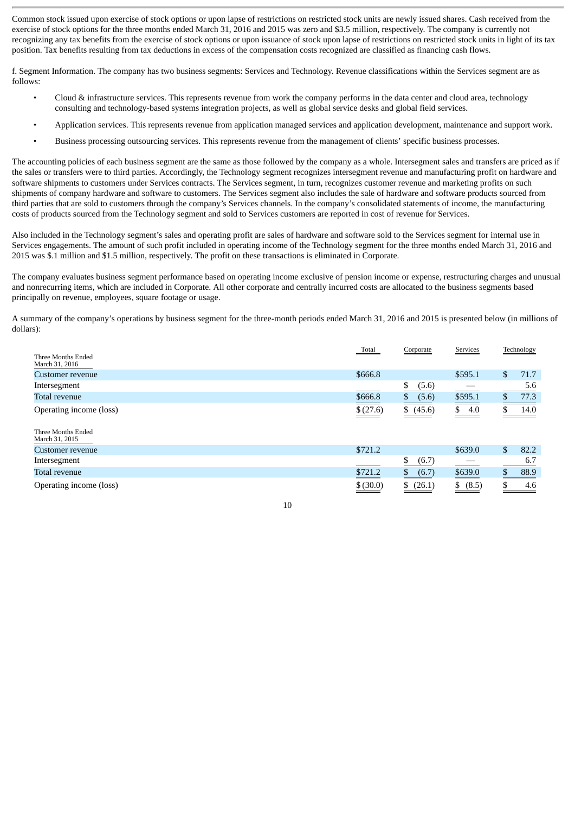Common stock issued upon exercise of stock options or upon lapse of restrictions on restricted stock units are newly issued shares. Cash received from the exercise of stock options for the three months ended March 31, 2016 and 2015 was zero and \$3.5 million, respectively. The company is currently not recognizing any tax benefits from the exercise of stock options or upon issuance of stock upon lapse of restrictions on restricted stock units in light of its tax position. Tax benefits resulting from tax deductions in excess of the compensation costs recognized are classified as financing cash flows.

f. Segment Information. The company has two business segments: Services and Technology. Revenue classifications within the Services segment are as follows:

- Cloud & infrastructure services. This represents revenue from work the company performs in the data center and cloud area, technology consulting and technology-based systems integration projects, as well as global service desks and global field services.
- Application services. This represents revenue from application managed services and application development, maintenance and support work.
- Business processing outsourcing services. This represents revenue from the management of clients' specific business processes.

The accounting policies of each business segment are the same as those followed by the company as a whole. Intersegment sales and transfers are priced as if the sales or transfers were to third parties. Accordingly, the Technology segment recognizes intersegment revenue and manufacturing profit on hardware and software shipments to customers under Services contracts. The Services segment, in turn, recognizes customer revenue and marketing profits on such shipments of company hardware and software to customers. The Services segment also includes the sale of hardware and software products sourced from third parties that are sold to customers through the company's Services channels. In the company's consolidated statements of income, the manufacturing costs of products sourced from the Technology segment and sold to Services customers are reported in cost of revenue for Services.

Also included in the Technology segment's sales and operating profit are sales of hardware and software sold to the Services segment for internal use in Services engagements. The amount of such profit included in operating income of the Technology segment for the three months ended March 31, 2016 and 2015 was \$.1 million and \$1.5 million, respectively. The profit on these transactions is eliminated in Corporate.

The company evaluates business segment performance based on operating income exclusive of pension income or expense, restructuring charges and unusual and nonrecurring items, which are included in Corporate. All other corporate and centrally incurred costs are allocated to the business segments based principally on revenue, employees, square footage or usage.

A summary of the company's operations by business segment for the three-month periods ended March 31, 2016 and 2015 is presented below (in millions of dollars):

| Three Months Ended<br>March 31, 2016 | Total    | Corporate    | Services  | Technology |
|--------------------------------------|----------|--------------|-----------|------------|
| Customer revenue                     | \$666.8  |              | \$595.1   | \$<br>71.7 |
| Intersegment                         |          | \$<br>(5.6)  |           | 5.6        |
| Total revenue                        | \$666.8  | \$<br>(5.6)  | \$595.1   | 77.3       |
| Operating income (loss)              | \$(27.6) | \$<br>(45.6) | \$<br>4.0 | 14.0       |
| Three Months Ended<br>March 31, 2015 |          |              |           |            |
| Customer revenue                     | \$721.2  |              | \$639.0   | \$<br>82.2 |
| Intersegment                         |          | \$<br>(6.7)  |           | 6.7        |
| Total revenue                        | \$721.2  | \$<br>(6.7)  | \$639.0   | 88.9       |
| Operating income (loss)              | \$(30.0) | \$(26.1)     | \$ (8.5)  | 4.6        |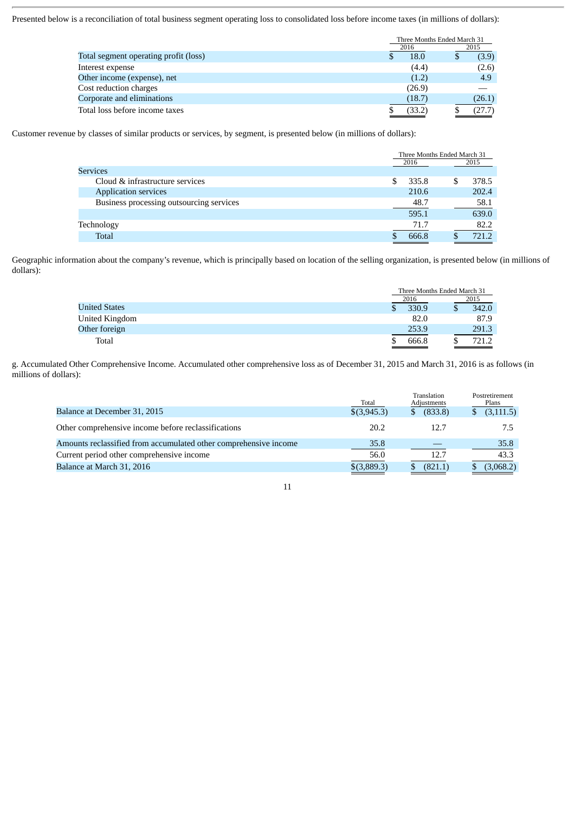Presented below is a reconciliation of total business segment operating loss to consolidated loss before income taxes (in millions of dollars):

|                                       | Three Months Ended March 31 |   |        |  |
|---------------------------------------|-----------------------------|---|--------|--|
|                                       | 2016                        |   | 2015   |  |
| Total segment operating profit (loss) | 18.0                        | Φ | (3.9)  |  |
| Interest expense                      | (4.4)                       |   | (2.6)  |  |
| Other income (expense), net           | (1.2)                       |   | 4.9    |  |
| Cost reduction charges                | (26.9)                      |   |        |  |
| Corporate and eliminations            | (18.7)                      |   | (26.1) |  |
| Total loss before income taxes        | (33.2)                      |   | (27.7) |  |

Customer revenue by classes of similar products or services, by segment, is presented below (in millions of dollars):

|                                          | Three Months Ended March 31 |       |    |       |
|------------------------------------------|-----------------------------|-------|----|-------|
|                                          |                             | 2016  |    | 2015  |
| Services                                 |                             |       |    |       |
| Cloud & infrastructure services          | \$                          | 335.8 | \$ | 378.5 |
| <b>Application services</b>              |                             | 210.6 |    | 202.4 |
| Business processing outsourcing services |                             | 48.7  |    | 58.1  |
|                                          |                             | 595.1 |    | 639.0 |
| Technology                               |                             | 71.7  |    | 82.2  |
| Total                                    |                             | 666.8 |    | 7212  |

Geographic information about the company's revenue, which is principally based on location of the selling organization, is presented below (in millions of dollars):

|                      |            | Three Months Ended March 31 |  |  |  |
|----------------------|------------|-----------------------------|--|--|--|
|                      | 2016       | 2015                        |  |  |  |
| <b>United States</b> | 330.9<br>S | 342.0                       |  |  |  |
| United Kingdom       | 82.0       | 87.9                        |  |  |  |
| Other foreign        | 253.9      | 291.3                       |  |  |  |
| Total                | 666.8      | 721.2                       |  |  |  |

g. Accumulated Other Comprehensive Income. Accumulated other comprehensive loss as of December 31, 2015 and March 31, 2016 is as follows (in millions of dollars):

|                                                                  | Total       | Translation<br>Adjustments | Postretirement<br>Plans |
|------------------------------------------------------------------|-------------|----------------------------|-------------------------|
| Balance at December 31, 2015                                     | \$(3,945.3) | (833.8)<br>S.              | (3, 111.5)              |
| Other comprehensive income before reclassifications              | 20.2        | 12.7                       | 7.5                     |
| Amounts reclassified from accumulated other comprehensive income | 35.8        |                            | 35.8                    |
| Current period other comprehensive income                        | 56.0        | 12.7                       | 43.3                    |
| Balance at March 31, 2016                                        | \$(3,889.3) | (821.1)                    | (3,068.2)               |
|                                                                  |             |                            |                         |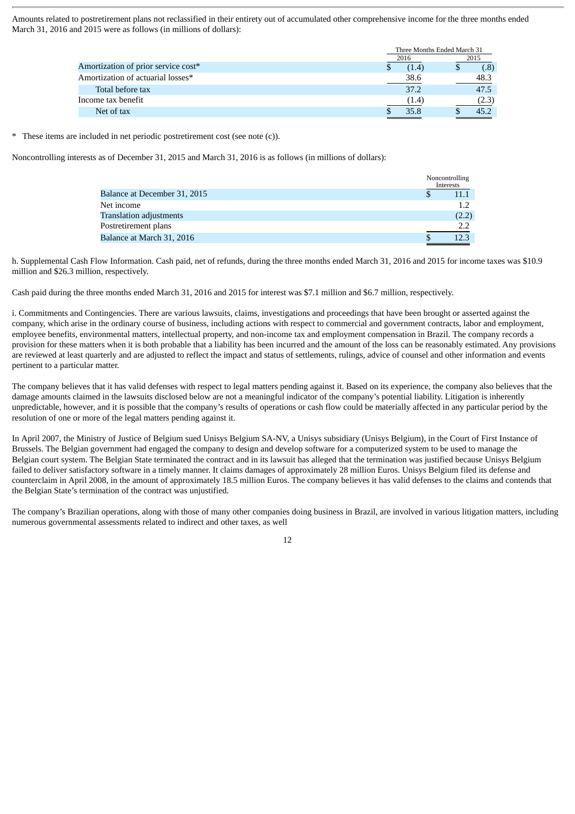Amounts related to postretirement plans not reclassified in their entirety out of accumulated other comprehensive income for the three months ended March 31, 2016 and 2015 were as follows (in millions of dollars):

|                                     | Three Months Ended March 31 |       |
|-------------------------------------|-----------------------------|-------|
|                                     | 2016                        | 2015  |
| Amortization of prior service cost* | (1.4)                       | (0.8) |
| Amortization of actuarial losses*   | 38.6                        | 48.3  |
| Total before tax                    | 37.2                        | 47.5  |
| Income tax benefit                  | (1.4)                       | (2.3) |
| Net of tax                          | 35.8                        | 45.2  |

\* These items are included in net periodic postretirement cost (see note (c)).

Noncontrolling interests as of December 31, 2015 and March 31, 2016 is as follows (in millions of dollars):

|                                | Noncontrolling |       |
|--------------------------------|----------------|-------|
|                                | Interests      |       |
| Balance at December 31, 2015   |                | 11.1  |
| Net income                     |                | 1.2   |
| <b>Translation adjustments</b> |                | (2.2) |
| Postretirement plans           |                | 2.2   |
| Balance at March 31, 2016      |                | 12.3  |

h. Supplemental Cash Flow Information. Cash paid, net of refunds, during the three months ended March 31, 2016 and 2015 for income taxes was \$10.9 million and \$26.3 million, respectively.

Cash paid during the three months ended March 31, 2016 and 2015 for interest was \$7.1 million and \$6.7 million, respectively.

i. Commitments and Contingencies. There are various lawsuits, claims, investigations and proceedings that have been brought or asserted against the company, which arise in the ordinary course of business, including actions with respect to commercial and government contracts, labor and employment, employee benefits, environmental matters, intellectual property, and non-income tax and employment compensation in Brazil. The company records a provision for these matters when it is both probable that a liability has been incurred and the amount of the loss can be reasonably estimated. Any provisions are reviewed at least quarterly and are adjusted to reflect the impact and status of settlements, rulings, advice of counsel and other information and events pertinent to a particular matter.

The company believes that it has valid defenses with respect to legal matters pending against it. Based on its experience, the company also believes that the damage amounts claimed in the lawsuits disclosed below are not a meaningful indicator of the company's potential liability. Litigation is inherently unpredictable, however, and it is possible that the company's results of operations or cash flow could be materially affected in any particular period by the resolution of one or more of the legal matters pending against it.

In April 2007, the Ministry of Justice of Belgium sued Unisys Belgium SA-NV, a Unisys subsidiary (Unisys Belgium), in the Court of First Instance of Brussels. The Belgian government had engaged the company to design and develop software for a computerized system to be used to manage the Belgian court system. The Belgian State terminated the contract and in its lawsuit has alleged that the termination was justified because Unisys Belgium failed to deliver satisfactory software in a timely manner. It claims damages of approximately 28 million Euros. Unisys Belgium filed its defense and counterclaim in April 2008, in the amount of approximately 18.5 million Euros. The company believes it has valid defenses to the claims and contends that the Belgian State's termination of the contract was unjustified.

The company's Brazilian operations, along with those of many other companies doing business in Brazil, are involved in various litigation matters, including numerous governmental assessments related to indirect and other taxes, as well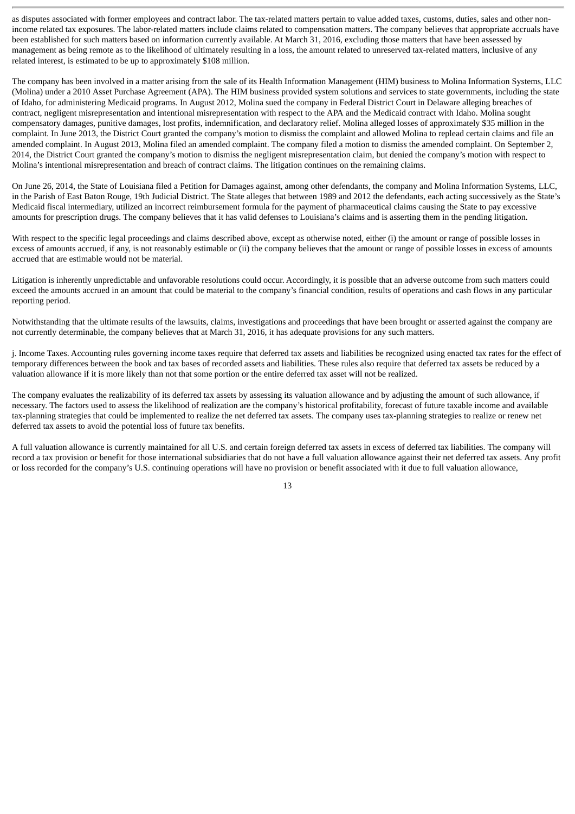as disputes associated with former employees and contract labor. The tax-related matters pertain to value added taxes, customs, duties, sales and other nonincome related tax exposures. The labor-related matters include claims related to compensation matters. The company believes that appropriate accruals have been established for such matters based on information currently available. At March 31, 2016, excluding those matters that have been assessed by management as being remote as to the likelihood of ultimately resulting in a loss, the amount related to unreserved tax-related matters, inclusive of any related interest, is estimated to be up to approximately \$108 million.

The company has been involved in a matter arising from the sale of its Health Information Management (HIM) business to Molina Information Systems, LLC (Molina) under a 2010 Asset Purchase Agreement (APA). The HIM business provided system solutions and services to state governments, including the state of Idaho, for administering Medicaid programs. In August 2012, Molina sued the company in Federal District Court in Delaware alleging breaches of contract, negligent misrepresentation and intentional misrepresentation with respect to the APA and the Medicaid contract with Idaho. Molina sought compensatory damages, punitive damages, lost profits, indemnification, and declaratory relief. Molina alleged losses of approximately \$35 million in the complaint. In June 2013, the District Court granted the company's motion to dismiss the complaint and allowed Molina to replead certain claims and file an amended complaint. In August 2013, Molina filed an amended complaint. The company filed a motion to dismiss the amended complaint. On September 2, 2014, the District Court granted the company's motion to dismiss the negligent misrepresentation claim, but denied the company's motion with respect to Molina's intentional misrepresentation and breach of contract claims. The litigation continues on the remaining claims.

On June 26, 2014, the State of Louisiana filed a Petition for Damages against, among other defendants, the company and Molina Information Systems, LLC, in the Parish of East Baton Rouge, 19th Judicial District. The State alleges that between 1989 and 2012 the defendants, each acting successively as the State's Medicaid fiscal intermediary, utilized an incorrect reimbursement formula for the payment of pharmaceutical claims causing the State to pay excessive amounts for prescription drugs. The company believes that it has valid defenses to Louisiana's claims and is asserting them in the pending litigation.

With respect to the specific legal proceedings and claims described above, except as otherwise noted, either (i) the amount or range of possible losses in excess of amounts accrued, if any, is not reasonably estimable or (ii) the company believes that the amount or range of possible losses in excess of amounts accrued that are estimable would not be material.

Litigation is inherently unpredictable and unfavorable resolutions could occur. Accordingly, it is possible that an adverse outcome from such matters could exceed the amounts accrued in an amount that could be material to the company's financial condition, results of operations and cash flows in any particular reporting period.

Notwithstanding that the ultimate results of the lawsuits, claims, investigations and proceedings that have been brought or asserted against the company are not currently determinable, the company believes that at March 31, 2016, it has adequate provisions for any such matters.

j. Income Taxes. Accounting rules governing income taxes require that deferred tax assets and liabilities be recognized using enacted tax rates for the effect of temporary differences between the book and tax bases of recorded assets and liabilities. These rules also require that deferred tax assets be reduced by a valuation allowance if it is more likely than not that some portion or the entire deferred tax asset will not be realized.

The company evaluates the realizability of its deferred tax assets by assessing its valuation allowance and by adjusting the amount of such allowance, if necessary. The factors used to assess the likelihood of realization are the company's historical profitability, forecast of future taxable income and available tax-planning strategies that could be implemented to realize the net deferred tax assets. The company uses tax-planning strategies to realize or renew net deferred tax assets to avoid the potential loss of future tax benefits.

A full valuation allowance is currently maintained for all U.S. and certain foreign deferred tax assets in excess of deferred tax liabilities. The company will record a tax provision or benefit for those international subsidiaries that do not have a full valuation allowance against their net deferred tax assets. Any profit or loss recorded for the company's U.S. continuing operations will have no provision or benefit associated with it due to full valuation allowance,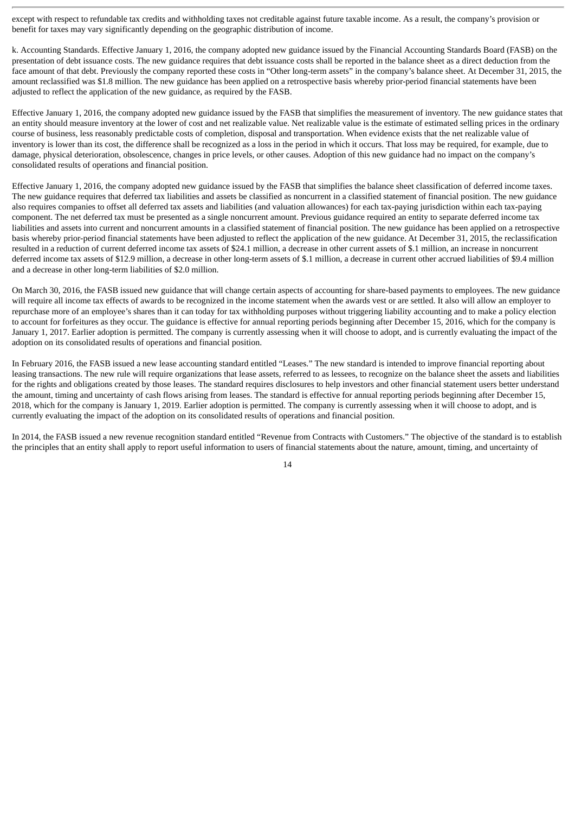except with respect to refundable tax credits and withholding taxes not creditable against future taxable income. As a result, the company's provision or benefit for taxes may vary significantly depending on the geographic distribution of income.

k. Accounting Standards. Effective January 1, 2016, the company adopted new guidance issued by the Financial Accounting Standards Board (FASB) on the presentation of debt issuance costs. The new guidance requires that debt issuance costs shall be reported in the balance sheet as a direct deduction from the face amount of that debt. Previously the company reported these costs in "Other long-term assets" in the company's balance sheet. At December 31, 2015, the amount reclassified was \$1.8 million. The new guidance has been applied on a retrospective basis whereby prior-period financial statements have been adjusted to reflect the application of the new guidance, as required by the FASB.

Effective January 1, 2016, the company adopted new guidance issued by the FASB that simplifies the measurement of inventory. The new guidance states that an entity should measure inventory at the lower of cost and net realizable value. Net realizable value is the estimate of estimated selling prices in the ordinary course of business, less reasonably predictable costs of completion, disposal and transportation. When evidence exists that the net realizable value of inventory is lower than its cost, the difference shall be recognized as a loss in the period in which it occurs. That loss may be required, for example, due to damage, physical deterioration, obsolescence, changes in price levels, or other causes. Adoption of this new guidance had no impact on the company's consolidated results of operations and financial position.

Effective January 1, 2016, the company adopted new guidance issued by the FASB that simplifies the balance sheet classification of deferred income taxes. The new guidance requires that deferred tax liabilities and assets be classified as noncurrent in a classified statement of financial position. The new guidance also requires companies to offset all deferred tax assets and liabilities (and valuation allowances) for each tax-paying jurisdiction within each tax-paying component. The net deferred tax must be presented as a single noncurrent amount. Previous guidance required an entity to separate deferred income tax liabilities and assets into current and noncurrent amounts in a classified statement of financial position. The new guidance has been applied on a retrospective basis whereby prior-period financial statements have been adjusted to reflect the application of the new guidance. At December 31, 2015, the reclassification resulted in a reduction of current deferred income tax assets of \$24.1 million, a decrease in other current assets of \$.1 million, an increase in noncurrent deferred income tax assets of \$12.9 million, a decrease in other long-term assets of \$.1 million, a decrease in current other accrued liabilities of \$9.4 million and a decrease in other long-term liabilities of \$2.0 million.

On March 30, 2016, the FASB issued new guidance that will change certain aspects of accounting for share-based payments to employees. The new guidance will require all income tax effects of awards to be recognized in the income statement when the awards vest or are settled. It also will allow an employer to repurchase more of an employee's shares than it can today for tax withholding purposes without triggering liability accounting and to make a policy election to account for forfeitures as they occur. The guidance is effective for annual reporting periods beginning after December 15, 2016, which for the company is January 1, 2017. Earlier adoption is permitted. The company is currently assessing when it will choose to adopt, and is currently evaluating the impact of the adoption on its consolidated results of operations and financial position.

In February 2016, the FASB issued a new lease accounting standard entitled "Leases." The new standard is intended to improve financial reporting about leasing transactions. The new rule will require organizations that lease assets, referred to as lessees, to recognize on the balance sheet the assets and liabilities for the rights and obligations created by those leases. The standard requires disclosures to help investors and other financial statement users better understand the amount, timing and uncertainty of cash flows arising from leases. The standard is effective for annual reporting periods beginning after December 15, 2018, which for the company is January 1, 2019. Earlier adoption is permitted. The company is currently assessing when it will choose to adopt, and is currently evaluating the impact of the adoption on its consolidated results of operations and financial position.

In 2014, the FASB issued a new revenue recognition standard entitled "Revenue from Contracts with Customers." The objective of the standard is to establish the principles that an entity shall apply to report useful information to users of financial statements about the nature, amount, timing, and uncertainty of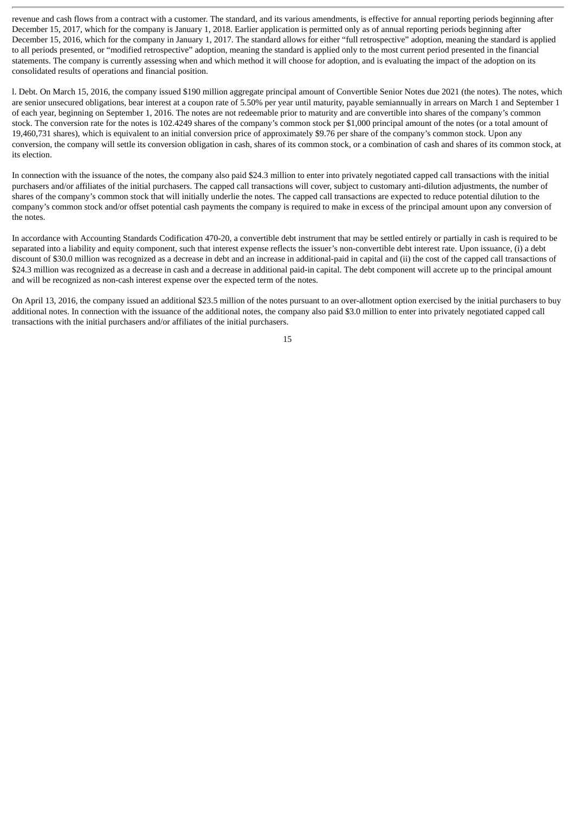revenue and cash flows from a contract with a customer. The standard, and its various amendments, is effective for annual reporting periods beginning after December 15, 2017, which for the company is January 1, 2018. Earlier application is permitted only as of annual reporting periods beginning after December 15, 2016, which for the company in January 1, 2017. The standard allows for either "full retrospective" adoption, meaning the standard is applied to all periods presented, or "modified retrospective" adoption, meaning the standard is applied only to the most current period presented in the financial statements. The company is currently assessing when and which method it will choose for adoption, and is evaluating the impact of the adoption on its consolidated results of operations and financial position.

l. Debt. On March 15, 2016, the company issued \$190 million aggregate principal amount of Convertible Senior Notes due 2021 (the notes). The notes, which are senior unsecured obligations, bear interest at a coupon rate of 5.50% per year until maturity, payable semiannually in arrears on March 1 and September 1 of each year, beginning on September 1, 2016. The notes are not redeemable prior to maturity and are convertible into shares of the company's common stock. The conversion rate for the notes is 102.4249 shares of the company's common stock per \$1,000 principal amount of the notes (or a total amount of 19,460,731 shares), which is equivalent to an initial conversion price of approximately \$9.76 per share of the company's common stock. Upon any conversion, the company will settle its conversion obligation in cash, shares of its common stock, or a combination of cash and shares of its common stock, at its election.

In connection with the issuance of the notes, the company also paid \$24.3 million to enter into privately negotiated capped call transactions with the initial purchasers and/or affiliates of the initial purchasers. The capped call transactions will cover, subject to customary anti-dilution adjustments, the number of shares of the company's common stock that will initially underlie the notes. The capped call transactions are expected to reduce potential dilution to the company's common stock and/or offset potential cash payments the company is required to make in excess of the principal amount upon any conversion of the notes.

In accordance with Accounting Standards Codification 470-20, a convertible debt instrument that may be settled entirely or partially in cash is required to be separated into a liability and equity component, such that interest expense reflects the issuer's non-convertible debt interest rate. Upon issuance, (i) a debt discount of \$30.0 million was recognized as a decrease in debt and an increase in additional-paid in capital and (ii) the cost of the capped call transactions of \$24.3 million was recognized as a decrease in cash and a decrease in additional paid-in capital. The debt component will accrete up to the principal amount and will be recognized as non-cash interest expense over the expected term of the notes.

On April 13, 2016, the company issued an additional \$23.5 million of the notes pursuant to an over-allotment option exercised by the initial purchasers to buy additional notes. In connection with the issuance of the additional notes, the company also paid \$3.0 million to enter into privately negotiated capped call transactions with the initial purchasers and/or affiliates of the initial purchasers.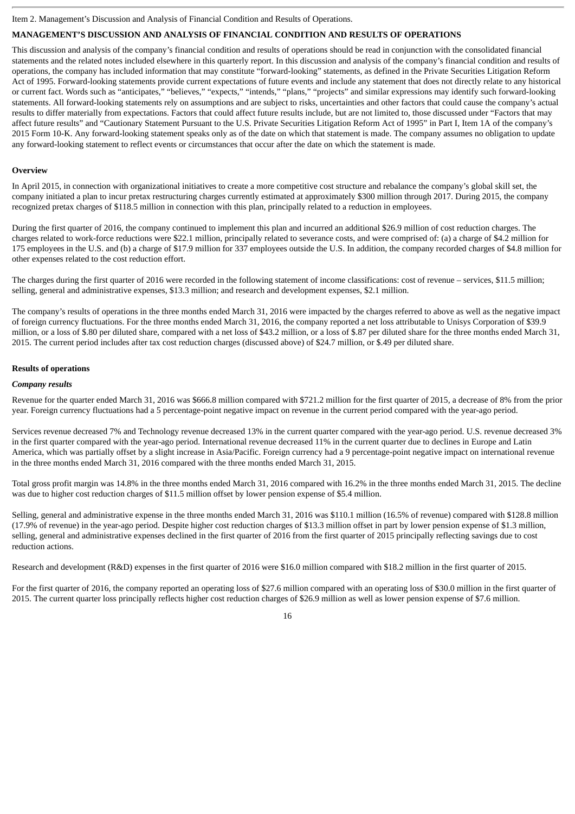# **MANAGEMENT'S DISCUSSION AND ANALYSIS OF FINANCIAL CONDITION AND RESULTS OF OPERATIONS**

This discussion and analysis of the company's financial condition and results of operations should be read in conjunction with the consolidated financial statements and the related notes included elsewhere in this quarterly report. In this discussion and analysis of the company's financial condition and results of operations, the company has included information that may constitute "forward-looking" statements, as defined in the Private Securities Litigation Reform Act of 1995. Forward-looking statements provide current expectations of future events and include any statement that does not directly relate to any historical or current fact. Words such as "anticipates," "believes," "expects," "intends," "plans," "projects" and similar expressions may identify such forward-looking statements. All forward-looking statements rely on assumptions and are subject to risks, uncertainties and other factors that could cause the company's actual results to differ materially from expectations. Factors that could affect future results include, but are not limited to, those discussed under "Factors that may affect future results" and "Cautionary Statement Pursuant to the U.S. Private Securities Litigation Reform Act of 1995" in Part I, Item 1A of the company's 2015 Form 10-K. Any forward-looking statement speaks only as of the date on which that statement is made. The company assumes no obligation to update any forward-looking statement to reflect events or circumstances that occur after the date on which the statement is made.

### **Overview**

In April 2015, in connection with organizational initiatives to create a more competitive cost structure and rebalance the company's global skill set, the company initiated a plan to incur pretax restructuring charges currently estimated at approximately \$300 million through 2017. During 2015, the company recognized pretax charges of \$118.5 million in connection with this plan, principally related to a reduction in employees.

During the first quarter of 2016, the company continued to implement this plan and incurred an additional \$26.9 million of cost reduction charges. The charges related to work-force reductions were \$22.1 million, principally related to severance costs, and were comprised of: (a) a charge of \$4.2 million for 175 employees in the U.S. and (b) a charge of \$17.9 million for 337 employees outside the U.S. In addition, the company recorded charges of \$4.8 million for other expenses related to the cost reduction effort.

The charges during the first quarter of 2016 were recorded in the following statement of income classifications: cost of revenue – services, \$11.5 million; selling, general and administrative expenses, \$13.3 million; and research and development expenses, \$2.1 million.

The company's results of operations in the three months ended March 31, 2016 were impacted by the charges referred to above as well as the negative impact of foreign currency fluctuations. For the three months ended March 31, 2016, the company reported a net loss attributable to Unisys Corporation of \$39.9 million, or a loss of \$.80 per diluted share, compared with a net loss of \$43.2 million, or a loss of \$.87 per diluted share for the three months ended March 31, 2015. The current period includes after tax cost reduction charges (discussed above) of \$24.7 million, or \$.49 per diluted share.

### **Results of operations**

#### *Company results*

Revenue for the quarter ended March 31, 2016 was \$666.8 million compared with \$721.2 million for the first quarter of 2015, a decrease of 8% from the prior year. Foreign currency fluctuations had a 5 percentage-point negative impact on revenue in the current period compared with the year-ago period.

Services revenue decreased 7% and Technology revenue decreased 13% in the current quarter compared with the year-ago period. U.S. revenue decreased 3% in the first quarter compared with the year-ago period. International revenue decreased 11% in the current quarter due to declines in Europe and Latin America, which was partially offset by a slight increase in Asia/Pacific. Foreign currency had a 9 percentage-point negative impact on international revenue in the three months ended March 31, 2016 compared with the three months ended March 31, 2015.

Total gross profit margin was 14.8% in the three months ended March 31, 2016 compared with 16.2% in the three months ended March 31, 2015. The decline was due to higher cost reduction charges of \$11.5 million offset by lower pension expense of \$5.4 million.

Selling, general and administrative expense in the three months ended March 31, 2016 was \$110.1 million (16.5% of revenue) compared with \$128.8 million (17.9% of revenue) in the year-ago period. Despite higher cost reduction charges of \$13.3 million offset in part by lower pension expense of \$1.3 million, selling, general and administrative expenses declined in the first quarter of 2016 from the first quarter of 2015 principally reflecting savings due to cost reduction actions.

Research and development (R&D) expenses in the first quarter of 2016 were \$16.0 million compared with \$18.2 million in the first quarter of 2015.

For the first quarter of 2016, the company reported an operating loss of \$27.6 million compared with an operating loss of \$30.0 million in the first quarter of 2015. The current quarter loss principally reflects higher cost reduction charges of \$26.9 million as well as lower pension expense of \$7.6 million.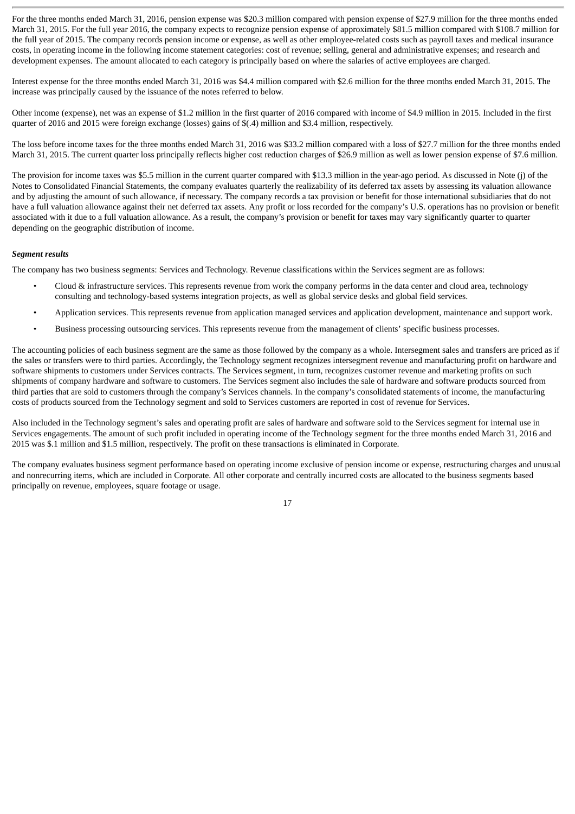For the three months ended March 31, 2016, pension expense was \$20.3 million compared with pension expense of \$27.9 million for the three months ended March 31, 2015. For the full year 2016, the company expects to recognize pension expense of approximately \$81.5 million compared with \$108.7 million for the full year of 2015. The company records pension income or expense, as well as other employee-related costs such as payroll taxes and medical insurance costs, in operating income in the following income statement categories: cost of revenue; selling, general and administrative expenses; and research and development expenses. The amount allocated to each category is principally based on where the salaries of active employees are charged.

Interest expense for the three months ended March 31, 2016 was \$4.4 million compared with \$2.6 million for the three months ended March 31, 2015. The increase was principally caused by the issuance of the notes referred to below.

Other income (expense), net was an expense of \$1.2 million in the first quarter of 2016 compared with income of \$4.9 million in 2015. Included in the first quarter of 2016 and 2015 were foreign exchange (losses) gains of \$(.4) million and \$3.4 million, respectively.

The loss before income taxes for the three months ended March 31, 2016 was \$33.2 million compared with a loss of \$27.7 million for the three months ended March 31, 2015. The current quarter loss principally reflects higher cost reduction charges of \$26.9 million as well as lower pension expense of \$7.6 million.

The provision for income taxes was \$5.5 million in the current quarter compared with \$13.3 million in the year-ago period. As discussed in Note (j) of the Notes to Consolidated Financial Statements, the company evaluates quarterly the realizability of its deferred tax assets by assessing its valuation allowance and by adjusting the amount of such allowance, if necessary. The company records a tax provision or benefit for those international subsidiaries that do not have a full valuation allowance against their net deferred tax assets. Any profit or loss recorded for the company's U.S. operations has no provision or benefit associated with it due to a full valuation allowance. As a result, the company's provision or benefit for taxes may vary significantly quarter to quarter depending on the geographic distribution of income.

### *Segment results*

The company has two business segments: Services and Technology. Revenue classifications within the Services segment are as follows:

- Cloud & infrastructure services. This represents revenue from work the company performs in the data center and cloud area, technology consulting and technology-based systems integration projects, as well as global service desks and global field services.
- Application services. This represents revenue from application managed services and application development, maintenance and support work.
- Business processing outsourcing services. This represents revenue from the management of clients' specific business processes.

The accounting policies of each business segment are the same as those followed by the company as a whole. Intersegment sales and transfers are priced as if the sales or transfers were to third parties. Accordingly, the Technology segment recognizes intersegment revenue and manufacturing profit on hardware and software shipments to customers under Services contracts. The Services segment, in turn, recognizes customer revenue and marketing profits on such shipments of company hardware and software to customers. The Services segment also includes the sale of hardware and software products sourced from third parties that are sold to customers through the company's Services channels. In the company's consolidated statements of income, the manufacturing costs of products sourced from the Technology segment and sold to Services customers are reported in cost of revenue for Services.

Also included in the Technology segment's sales and operating profit are sales of hardware and software sold to the Services segment for internal use in Services engagements. The amount of such profit included in operating income of the Technology segment for the three months ended March 31, 2016 and 2015 was \$.1 million and \$1.5 million, respectively. The profit on these transactions is eliminated in Corporate.

The company evaluates business segment performance based on operating income exclusive of pension income or expense, restructuring charges and unusual and nonrecurring items, which are included in Corporate. All other corporate and centrally incurred costs are allocated to the business segments based principally on revenue, employees, square footage or usage.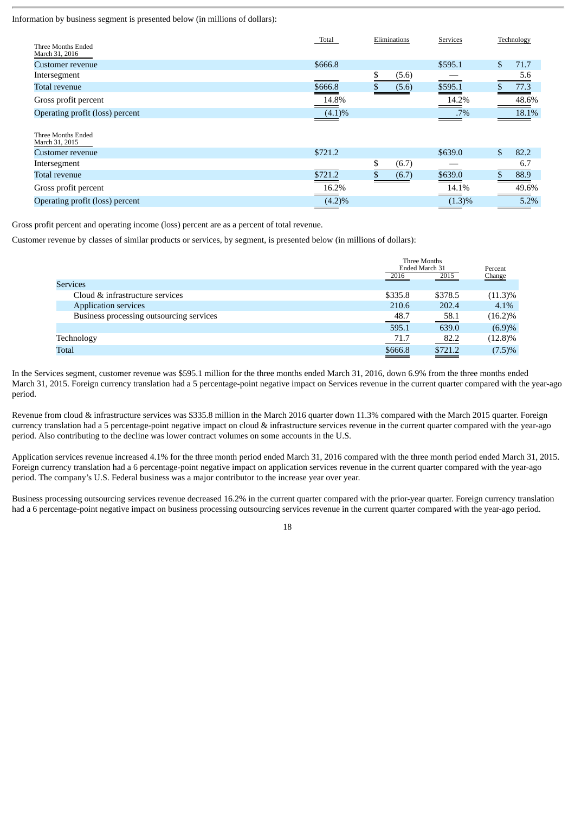Information by business segment is presented below (in millions of dollars):

|                                      | Total   | Eliminations | Services  | Technology |
|--------------------------------------|---------|--------------|-----------|------------|
| Three Months Ended<br>March 31, 2016 |         |              |           |            |
| Customer revenue                     | \$666.8 |              | \$595.1   | \$<br>71.7 |
| Intersegment                         |         | \$<br>(5.6)  |           | 5.6        |
| Total revenue                        | \$666.8 | (5.6)        | \$595.1   | \$<br>77.3 |
| Gross profit percent                 | 14.8%   |              | 14.2%     | 48.6%      |
| Operating profit (loss) percent      | (4.1)%  |              | $.7\%$    | 18.1%      |
|                                      |         |              |           |            |
| Three Months Ended<br>March 31, 2015 |         |              |           |            |
| Customer revenue                     | \$721.2 |              | \$639.0   | \$<br>82.2 |
| Intersegment                         |         | \$<br>(6.7)  |           | 6.7        |
| Total revenue                        | \$721.2 | (6.7)        | \$639.0   | 88.9       |
| Gross profit percent                 | 16.2%   |              | 14.1%     | 49.6%      |
| Operating profit (loss) percent      | (4.2)%  |              | $(1.3)\%$ | 5.2%       |

Gross profit percent and operating income (loss) percent are as a percent of total revenue.

Customer revenue by classes of similar products or services, by segment, is presented below (in millions of dollars):

|                                          | Three Months<br>Ended March 31<br>2016<br>2015 |         | Percent<br>Change |  |
|------------------------------------------|------------------------------------------------|---------|-------------------|--|
| Services                                 |                                                |         |                   |  |
| Cloud & infrastructure services          | \$335.8                                        | \$378.5 | $(11.3)\%$        |  |
| <b>Application services</b>              | 210.6                                          | 202.4   | 4.1%              |  |
| Business processing outsourcing services | 48.7                                           | 58.1    | $(16.2)\%$        |  |
|                                          | 595.1                                          | 639.0   | (6.9)%            |  |
| Technology                               | 71.7                                           | 82.2    | $(12.8)\%$        |  |
| Total                                    | \$666.8                                        | \$721.2 | $(7.5)\%$         |  |

In the Services segment, customer revenue was \$595.1 million for the three months ended March 31, 2016, down 6.9% from the three months ended March 31, 2015. Foreign currency translation had a 5 percentage-point negative impact on Services revenue in the current quarter compared with the year-ago period.

Revenue from cloud & infrastructure services was \$335.8 million in the March 2016 quarter down 11.3% compared with the March 2015 quarter. Foreign currency translation had a 5 percentage-point negative impact on cloud & infrastructure services revenue in the current quarter compared with the year-ago period. Also contributing to the decline was lower contract volumes on some accounts in the U.S.

Application services revenue increased 4.1% for the three month period ended March 31, 2016 compared with the three month period ended March 31, 2015. Foreign currency translation had a 6 percentage-point negative impact on application services revenue in the current quarter compared with the year-ago period. The company's U.S. Federal business was a major contributor to the increase year over year.

Business processing outsourcing services revenue decreased 16.2% in the current quarter compared with the prior-year quarter. Foreign currency translation had a 6 percentage-point negative impact on business processing outsourcing services revenue in the current quarter compared with the year-ago period.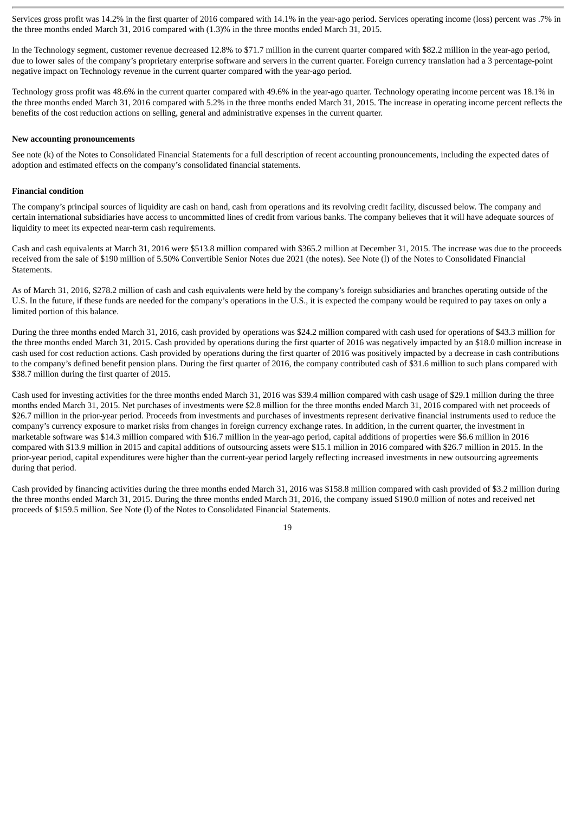Services gross profit was 14.2% in the first quarter of 2016 compared with 14.1% in the year-ago period. Services operating income (loss) percent was .7% in the three months ended March 31, 2016 compared with (1.3)% in the three months ended March 31, 2015.

In the Technology segment, customer revenue decreased 12.8% to \$71.7 million in the current quarter compared with \$82.2 million in the year-ago period, due to lower sales of the company's proprietary enterprise software and servers in the current quarter. Foreign currency translation had a 3 percentage-point negative impact on Technology revenue in the current quarter compared with the year-ago period.

Technology gross profit was 48.6% in the current quarter compared with 49.6% in the year-ago quarter. Technology operating income percent was 18.1% in the three months ended March 31, 2016 compared with 5.2% in the three months ended March 31, 2015. The increase in operating income percent reflects the benefits of the cost reduction actions on selling, general and administrative expenses in the current quarter.

#### **New accounting pronouncements**

See note (k) of the Notes to Consolidated Financial Statements for a full description of recent accounting pronouncements, including the expected dates of adoption and estimated effects on the company's consolidated financial statements.

#### **Financial condition**

The company's principal sources of liquidity are cash on hand, cash from operations and its revolving credit facility, discussed below. The company and certain international subsidiaries have access to uncommitted lines of credit from various banks. The company believes that it will have adequate sources of liquidity to meet its expected near-term cash requirements.

Cash and cash equivalents at March 31, 2016 were \$513.8 million compared with \$365.2 million at December 31, 2015. The increase was due to the proceeds received from the sale of \$190 million of 5.50% Convertible Senior Notes due 2021 (the notes). See Note (l) of the Notes to Consolidated Financial **Statements** 

As of March 31, 2016, \$278.2 million of cash and cash equivalents were held by the company's foreign subsidiaries and branches operating outside of the U.S. In the future, if these funds are needed for the company's operations in the U.S., it is expected the company would be required to pay taxes on only a limited portion of this balance.

During the three months ended March 31, 2016, cash provided by operations was \$24.2 million compared with cash used for operations of \$43.3 million for the three months ended March 31, 2015. Cash provided by operations during the first quarter of 2016 was negatively impacted by an \$18.0 million increase in cash used for cost reduction actions. Cash provided by operations during the first quarter of 2016 was positively impacted by a decrease in cash contributions to the company's defined benefit pension plans. During the first quarter of 2016, the company contributed cash of \$31.6 million to such plans compared with \$38.7 million during the first quarter of 2015.

Cash used for investing activities for the three months ended March 31, 2016 was \$39.4 million compared with cash usage of \$29.1 million during the three months ended March 31, 2015. Net purchases of investments were \$2.8 million for the three months ended March 31, 2016 compared with net proceeds of \$26.7 million in the prior-year period. Proceeds from investments and purchases of investments represent derivative financial instruments used to reduce the company's currency exposure to market risks from changes in foreign currency exchange rates. In addition, in the current quarter, the investment in marketable software was \$14.3 million compared with \$16.7 million in the year-ago period, capital additions of properties were \$6.6 million in 2016 compared with \$13.9 million in 2015 and capital additions of outsourcing assets were \$15.1 million in 2016 compared with \$26.7 million in 2015. In the prior-year period, capital expenditures were higher than the current-year period largely reflecting increased investments in new outsourcing agreements during that period.

Cash provided by financing activities during the three months ended March 31, 2016 was \$158.8 million compared with cash provided of \$3.2 million during the three months ended March 31, 2015. During the three months ended March 31, 2016, the company issued \$190.0 million of notes and received net proceeds of \$159.5 million. See Note (l) of the Notes to Consolidated Financial Statements.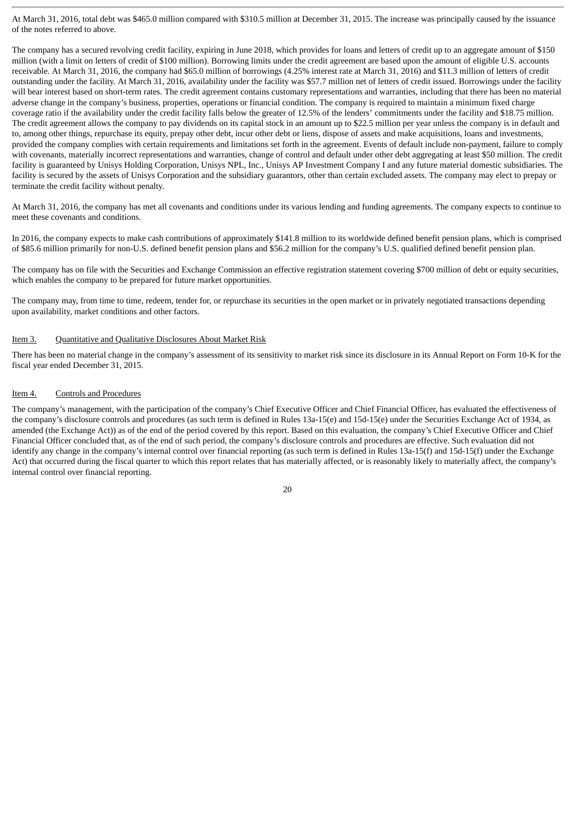At March 31, 2016, total debt was \$465.0 million compared with \$310.5 million at December 31, 2015. The increase was principally caused by the issuance of the notes referred to above.

The company has a secured revolving credit facility, expiring in June 2018, which provides for loans and letters of credit up to an aggregate amount of \$150 million (with a limit on letters of credit of \$100 million). Borrowing limits under the credit agreement are based upon the amount of eligible U.S. accounts receivable. At March 31, 2016, the company had \$65.0 million of borrowings (4.25% interest rate at March 31, 2016) and \$11.3 million of letters of credit outstanding under the facility. At March 31, 2016, availability under the facility was \$57.7 million net of letters of credit issued. Borrowings under the facility will bear interest based on short-term rates. The credit agreement contains customary representations and warranties, including that there has been no material adverse change in the company's business, properties, operations or financial condition. The company is required to maintain a minimum fixed charge coverage ratio if the availability under the credit facility falls below the greater of 12.5% of the lenders' commitments under the facility and \$18.75 million. The credit agreement allows the company to pay dividends on its capital stock in an amount up to \$22.5 million per year unless the company is in default and to, among other things, repurchase its equity, prepay other debt, incur other debt or liens, dispose of assets and make acquisitions, loans and investments, provided the company complies with certain requirements and limitations set forth in the agreement. Events of default include non-payment, failure to comply with covenants, materially incorrect representations and warranties, change of control and default under other debt aggregating at least \$50 million. The credit facility is guaranteed by Unisys Holding Corporation, Unisys NPL, Inc., Unisys AP Investment Company I and any future material domestic subsidiaries. The facility is secured by the assets of Unisys Corporation and the subsidiary guarantors, other than certain excluded assets. The company may elect to prepay or terminate the credit facility without penalty.

At March 31, 2016, the company has met all covenants and conditions under its various lending and funding agreements. The company expects to continue to meet these covenants and conditions.

In 2016, the company expects to make cash contributions of approximately \$141.8 million to its worldwide defined benefit pension plans, which is comprised of \$85.6 million primarily for non-U.S. defined benefit pension plans and \$56.2 million for the company's U.S. qualified defined benefit pension plan.

The company has on file with the Securities and Exchange Commission an effective registration statement covering \$700 million of debt or equity securities, which enables the company to be prepared for future market opportunities.

The company may, from time to time, redeem, tender for, or repurchase its securities in the open market or in privately negotiated transactions depending upon availability, market conditions and other factors.

# Item 3. Quantitative and Qualitative Disclosures About Market Risk

There has been no material change in the company's assessment of its sensitivity to market risk since its disclosure in its Annual Report on Form 10-K for the fiscal year ended December 31, 2015.

## Item 4. Controls and Procedures

The company's management, with the participation of the company's Chief Executive Officer and Chief Financial Officer, has evaluated the effectiveness of the company's disclosure controls and procedures (as such term is defined in Rules 13a-15(e) and 15d-15(e) under the Securities Exchange Act of 1934, as amended (the Exchange Act)) as of the end of the period covered by this report. Based on this evaluation, the company's Chief Executive Officer and Chief Financial Officer concluded that, as of the end of such period, the company's disclosure controls and procedures are effective. Such evaluation did not identify any change in the company's internal control over financial reporting (as such term is defined in Rules 13a-15(f) and 15d-15(f) under the Exchange Act) that occurred during the fiscal quarter to which this report relates that has materially affected, or is reasonably likely to materially affect, the company's internal control over financial reporting.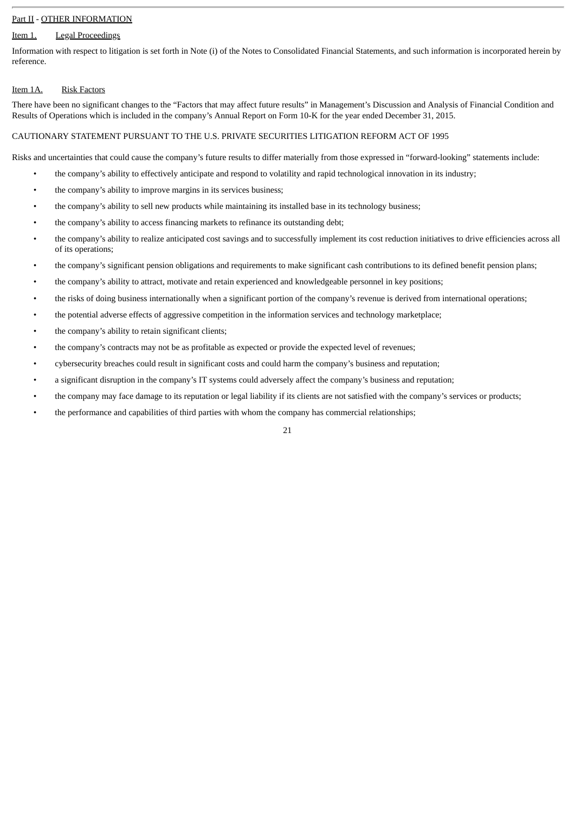# Part II - OTHER INFORMATION

# Item 1. Legal Proceedings

Information with respect to litigation is set forth in Note (i) of the Notes to Consolidated Financial Statements, and such information is incorporated herein by reference.

## Item 1A. Risk Factors

There have been no significant changes to the "Factors that may affect future results" in Management's Discussion and Analysis of Financial Condition and Results of Operations which is included in the company's Annual Report on Form 10-K for the year ended December 31, 2015.

CAUTIONARY STATEMENT PURSUANT TO THE U.S. PRIVATE SECURITIES LITIGATION REFORM ACT OF 1995

Risks and uncertainties that could cause the company's future results to differ materially from those expressed in "forward-looking" statements include:

- the company's ability to effectively anticipate and respond to volatility and rapid technological innovation in its industry;
- the company's ability to improve margins in its services business;
- the company's ability to sell new products while maintaining its installed base in its technology business;
- the company's ability to access financing markets to refinance its outstanding debt;
- the company's ability to realize anticipated cost savings and to successfully implement its cost reduction initiatives to drive efficiencies across all of its operations;
- the company's significant pension obligations and requirements to make significant cash contributions to its defined benefit pension plans;
- the company's ability to attract, motivate and retain experienced and knowledgeable personnel in key positions;
- the risks of doing business internationally when a significant portion of the company's revenue is derived from international operations;
- the potential adverse effects of aggressive competition in the information services and technology marketplace;
- the company's ability to retain significant clients;
- the company's contracts may not be as profitable as expected or provide the expected level of revenues;
- cybersecurity breaches could result in significant costs and could harm the company's business and reputation;
- a significant disruption in the company's IT systems could adversely affect the company's business and reputation;
- the company may face damage to its reputation or legal liability if its clients are not satisfied with the company's services or products;
- the performance and capabilities of third parties with whom the company has commercial relationships;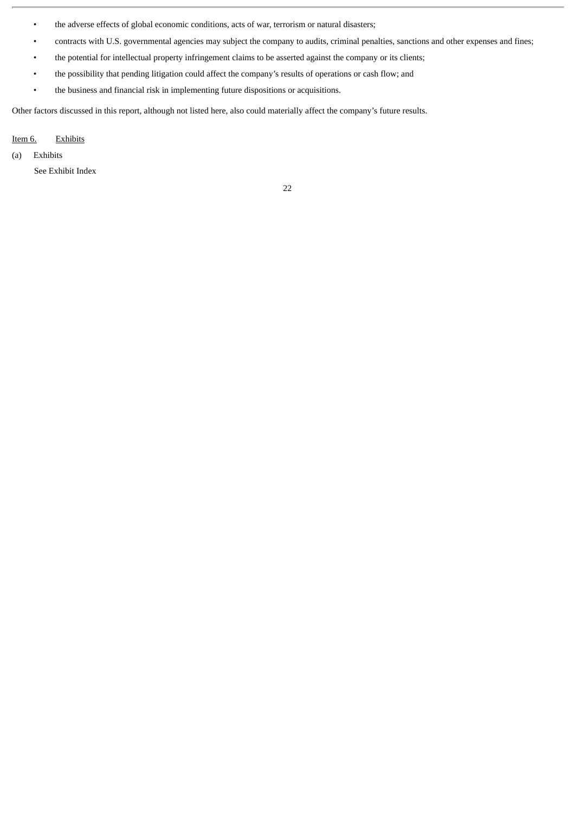- the adverse effects of global economic conditions, acts of war, terrorism or natural disasters;
- contracts with U.S. governmental agencies may subject the company to audits, criminal penalties, sanctions and other expenses and fines;
- the potential for intellectual property infringement claims to be asserted against the company or its clients;
- the possibility that pending litigation could affect the company's results of operations or cash flow; and
- the business and financial risk in implementing future dispositions or acquisitions.

Other factors discussed in this report, although not listed here, also could materially affect the company's future results.

# Item 6. Exhibits

(a) Exhibits

See Exhibit Index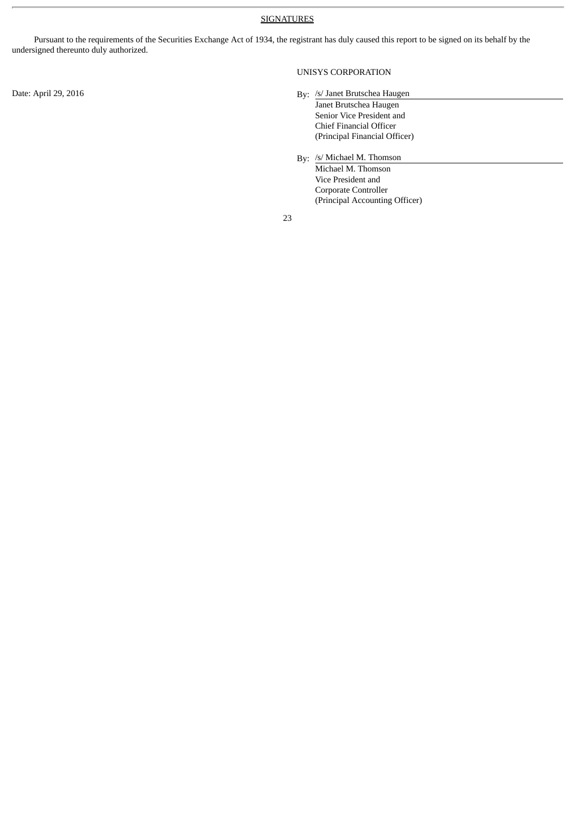# **SIGNATURES**

Pursuant to the requirements of the Securities Exchange Act of 1934, the registrant has duly caused this report to be signed on its behalf by the undersigned thereunto duly authorized.

Date: April 29, 2016

# UNISYS CORPORATION

By: /s/ Janet Brutschea Haugen

- Janet Brutschea Haugen Senior Vice President and Chief Financial Officer (Principal Financial Officer)
- By: /s/ Michael M. Thomson

Michael M. Thomson Vice President and Corporate Controller (Principal Accounting Officer)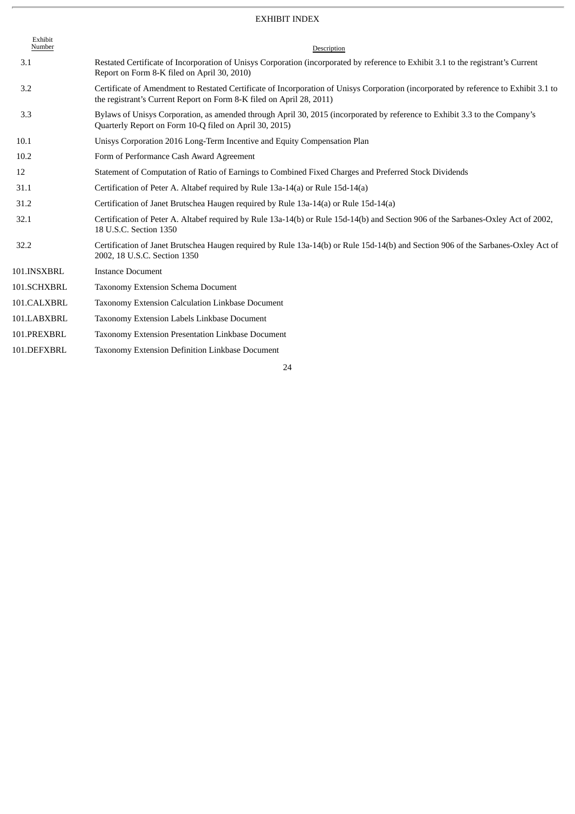# EXHIBIT INDEX

| Exhibit<br>Number | Description                                                                                                                                                                                                  |
|-------------------|--------------------------------------------------------------------------------------------------------------------------------------------------------------------------------------------------------------|
| 3.1               | Restated Certificate of Incorporation of Unisys Corporation (incorporated by reference to Exhibit 3.1 to the registrant's Current<br>Report on Form 8-K filed on April 30, 2010)                             |
| 3.2               | Certificate of Amendment to Restated Certificate of Incorporation of Unisys Corporation (incorporated by reference to Exhibit 3.1 to<br>the registrant's Current Report on Form 8-K filed on April 28, 2011) |
| 3.3               | Bylaws of Unisys Corporation, as amended through April 30, 2015 (incorporated by reference to Exhibit 3.3 to the Company's<br>Quarterly Report on Form 10-Q filed on April 30, 2015)                         |
| 10.1              | Unisys Corporation 2016 Long-Term Incentive and Equity Compensation Plan                                                                                                                                     |
| 10.2              | Form of Performance Cash Award Agreement                                                                                                                                                                     |
| 12                | Statement of Computation of Ratio of Earnings to Combined Fixed Charges and Preferred Stock Dividends                                                                                                        |
| 31.1              | Certification of Peter A. Altabef required by Rule 13a-14(a) or Rule 15d-14(a)                                                                                                                               |
| 31.2              | Certification of Janet Brutschea Haugen required by Rule 13a-14(a) or Rule 15d-14(a)                                                                                                                         |
| 32.1              | Certification of Peter A. Altabef required by Rule 13a-14(b) or Rule 15d-14(b) and Section 906 of the Sarbanes-Oxley Act of 2002,<br>18 U.S.C. Section 1350                                                  |
| 32.2              | Certification of Janet Brutschea Haugen required by Rule 13a-14(b) or Rule 15d-14(b) and Section 906 of the Sarbanes-Oxley Act of<br>2002, 18 U.S.C. Section 1350                                            |
| 101.INSXBRL       | <b>Instance Document</b>                                                                                                                                                                                     |
| 101.SCHXBRL       | <b>Taxonomy Extension Schema Document</b>                                                                                                                                                                    |
| 101.CALXBRL       | Taxonomy Extension Calculation Linkbase Document                                                                                                                                                             |
| 101.LABXBRL       | Taxonomy Extension Labels Linkbase Document                                                                                                                                                                  |
| 101.PREXBRL       | Taxonomy Extension Presentation Linkbase Document                                                                                                                                                            |
| 101.DEFXBRL       | Taxonomy Extension Definition Linkbase Document                                                                                                                                                              |
|                   |                                                                                                                                                                                                              |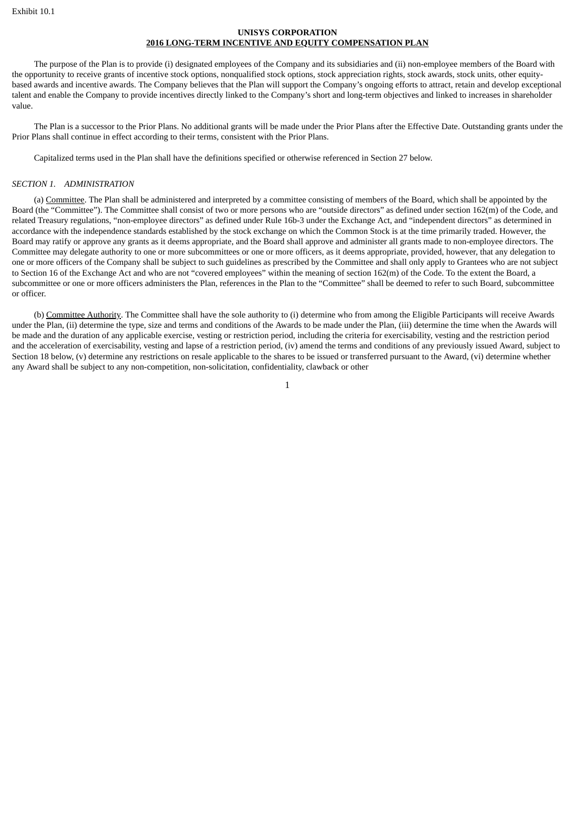#### **UNISYS CORPORATION 2016 LONG-TERM INCENTIVE AND EQUITY COMPENSATION PLAN**

The purpose of the Plan is to provide (i) designated employees of the Company and its subsidiaries and (ii) non-employee members of the Board with the opportunity to receive grants of incentive stock options, nonqualified stock options, stock appreciation rights, stock awards, stock units, other equitybased awards and incentive awards. The Company believes that the Plan will support the Company's ongoing efforts to attract, retain and develop exceptional talent and enable the Company to provide incentives directly linked to the Company's short and long-term objectives and linked to increases in shareholder value.

The Plan is a successor to the Prior Plans. No additional grants will be made under the Prior Plans after the Effective Date. Outstanding grants under the Prior Plans shall continue in effect according to their terms, consistent with the Prior Plans.

Capitalized terms used in the Plan shall have the definitions specified or otherwise referenced in Section 27 below.

# *SECTION 1. ADMINISTRATION*

(a) Committee. The Plan shall be administered and interpreted by a committee consisting of members of the Board, which shall be appointed by the Board (the "Committee"). The Committee shall consist of two or more persons who are "outside directors" as defined under section 162(m) of the Code, and related Treasury regulations, "non-employee directors" as defined under Rule 16b-3 under the Exchange Act, and "independent directors" as determined in accordance with the independence standards established by the stock exchange on which the Common Stock is at the time primarily traded. However, the Board may ratify or approve any grants as it deems appropriate, and the Board shall approve and administer all grants made to non-employee directors. The Committee may delegate authority to one or more subcommittees or one or more officers, as it deems appropriate, provided, however, that any delegation to one or more officers of the Company shall be subject to such guidelines as prescribed by the Committee and shall only apply to Grantees who are not subject to Section 16 of the Exchange Act and who are not "covered employees" within the meaning of section 162(m) of the Code. To the extent the Board, a subcommittee or one or more officers administers the Plan, references in the Plan to the "Committee" shall be deemed to refer to such Board, subcommittee or officer.

(b) Committee Authority. The Committee shall have the sole authority to (i) determine who from among the Eligible Participants will receive Awards under the Plan, (ii) determine the type, size and terms and conditions of the Awards to be made under the Plan, (iii) determine the time when the Awards will be made and the duration of any applicable exercise, vesting or restriction period, including the criteria for exercisability, vesting and the restriction period and the acceleration of exercisability, vesting and lapse of a restriction period, (iv) amend the terms and conditions of any previously issued Award, subject to Section 18 below, (v) determine any restrictions on resale applicable to the shares to be issued or transferred pursuant to the Award, (vi) determine whether any Award shall be subject to any non-competition, non-solicitation, confidentiality, clawback or other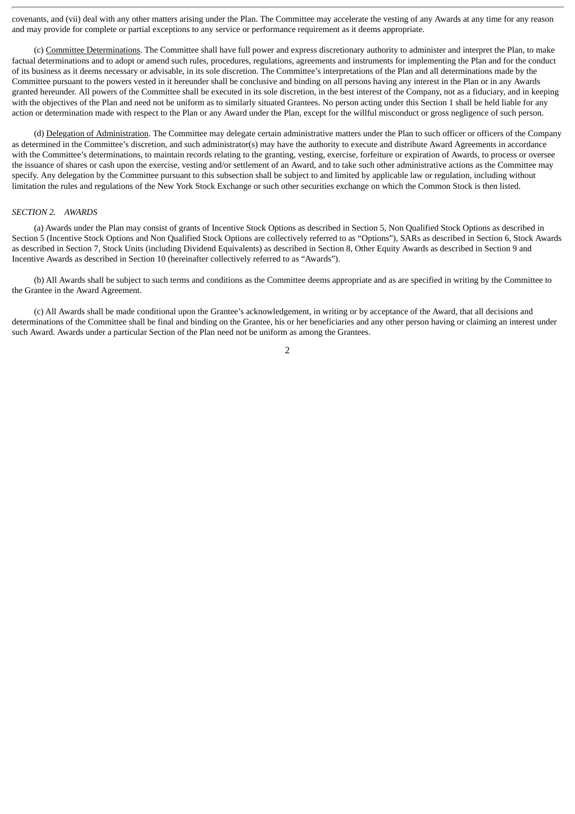covenants, and (vii) deal with any other matters arising under the Plan. The Committee may accelerate the vesting of any Awards at any time for any reason and may provide for complete or partial exceptions to any service or performance requirement as it deems appropriate.

(c) Committee Determinations. The Committee shall have full power and express discretionary authority to administer and interpret the Plan, to make factual determinations and to adopt or amend such rules, procedures, regulations, agreements and instruments for implementing the Plan and for the conduct of its business as it deems necessary or advisable, in its sole discretion. The Committee's interpretations of the Plan and all determinations made by the Committee pursuant to the powers vested in it hereunder shall be conclusive and binding on all persons having any interest in the Plan or in any Awards granted hereunder. All powers of the Committee shall be executed in its sole discretion, in the best interest of the Company, not as a fiduciary, and in keeping with the objectives of the Plan and need not be uniform as to similarly situated Grantees. No person acting under this Section 1 shall be held liable for any action or determination made with respect to the Plan or any Award under the Plan, except for the willful misconduct or gross negligence of such person.

(d) Delegation of Administration. The Committee may delegate certain administrative matters under the Plan to such officer or officers of the Company as determined in the Committee's discretion, and such administrator(s) may have the authority to execute and distribute Award Agreements in accordance with the Committee's determinations, to maintain records relating to the granting, vesting, exercise, forfeiture or expiration of Awards, to process or oversee the issuance of shares or cash upon the exercise, vesting and/or settlement of an Award, and to take such other administrative actions as the Committee may specify. Any delegation by the Committee pursuant to this subsection shall be subject to and limited by applicable law or regulation, including without limitation the rules and regulations of the New York Stock Exchange or such other securities exchange on which the Common Stock is then listed.

#### *SECTION 2. AWARDS*

(a) Awards under the Plan may consist of grants of Incentive Stock Options as described in Section 5, Non Qualified Stock Options as described in Section 5 (Incentive Stock Options and Non Qualified Stock Options are collectively referred to as "Options"), SARs as described in Section 6, Stock Awards as described in Section 7, Stock Units (including Dividend Equivalents) as described in Section 8, Other Equity Awards as described in Section 9 and Incentive Awards as described in Section 10 (hereinafter collectively referred to as "Awards").

(b) All Awards shall be subject to such terms and conditions as the Committee deems appropriate and as are specified in writing by the Committee to the Grantee in the Award Agreement.

(c) All Awards shall be made conditional upon the Grantee's acknowledgement, in writing or by acceptance of the Award, that all decisions and determinations of the Committee shall be final and binding on the Grantee, his or her beneficiaries and any other person having or claiming an interest under such Award. Awards under a particular Section of the Plan need not be uniform as among the Grantees.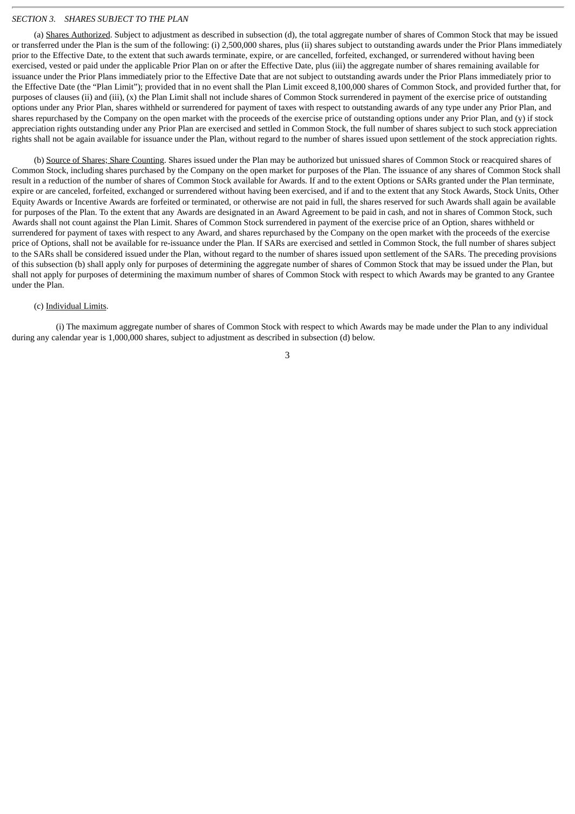# *SECTION 3. SHARES SUBJECT TO THE PLAN*

(a) Shares Authorized. Subject to adjustment as described in subsection (d), the total aggregate number of shares of Common Stock that may be issued or transferred under the Plan is the sum of the following: (i) 2,500,000 shares, plus (ii) shares subject to outstanding awards under the Prior Plans immediately prior to the Effective Date, to the extent that such awards terminate, expire, or are cancelled, forfeited, exchanged, or surrendered without having been exercised, vested or paid under the applicable Prior Plan on or after the Effective Date, plus (iii) the aggregate number of shares remaining available for issuance under the Prior Plans immediately prior to the Effective Date that are not subject to outstanding awards under the Prior Plans immediately prior to the Effective Date (the "Plan Limit"); provided that in no event shall the Plan Limit exceed 8,100,000 shares of Common Stock, and provided further that, for purposes of clauses (ii) and (iii), (x) the Plan Limit shall not include shares of Common Stock surrendered in payment of the exercise price of outstanding options under any Prior Plan, shares withheld or surrendered for payment of taxes with respect to outstanding awards of any type under any Prior Plan, and shares repurchased by the Company on the open market with the proceeds of the exercise price of outstanding options under any Prior Plan, and (y) if stock appreciation rights outstanding under any Prior Plan are exercised and settled in Common Stock, the full number of shares subject to such stock appreciation rights shall not be again available for issuance under the Plan, without regard to the number of shares issued upon settlement of the stock appreciation rights.

(b) Source of Shares; Share Counting. Shares issued under the Plan may be authorized but unissued shares of Common Stock or reacquired shares of Common Stock, including shares purchased by the Company on the open market for purposes of the Plan. The issuance of any shares of Common Stock shall result in a reduction of the number of shares of Common Stock available for Awards. If and to the extent Options or SARs granted under the Plan terminate, expire or are canceled, forfeited, exchanged or surrendered without having been exercised, and if and to the extent that any Stock Awards, Stock Units, Other Equity Awards or Incentive Awards are forfeited or terminated, or otherwise are not paid in full, the shares reserved for such Awards shall again be available for purposes of the Plan. To the extent that any Awards are designated in an Award Agreement to be paid in cash, and not in shares of Common Stock, such Awards shall not count against the Plan Limit. Shares of Common Stock surrendered in payment of the exercise price of an Option, shares withheld or surrendered for payment of taxes with respect to any Award, and shares repurchased by the Company on the open market with the proceeds of the exercise price of Options, shall not be available for re-issuance under the Plan. If SARs are exercised and settled in Common Stock, the full number of shares subject to the SARs shall be considered issued under the Plan, without regard to the number of shares issued upon settlement of the SARs. The preceding provisions of this subsection (b) shall apply only for purposes of determining the aggregate number of shares of Common Stock that may be issued under the Plan, but shall not apply for purposes of determining the maximum number of shares of Common Stock with respect to which Awards may be granted to any Grantee under the Plan.

#### (c) Individual Limits.

(i) The maximum aggregate number of shares of Common Stock with respect to which Awards may be made under the Plan to any individual during any calendar year is 1,000,000 shares, subject to adjustment as described in subsection (d) below.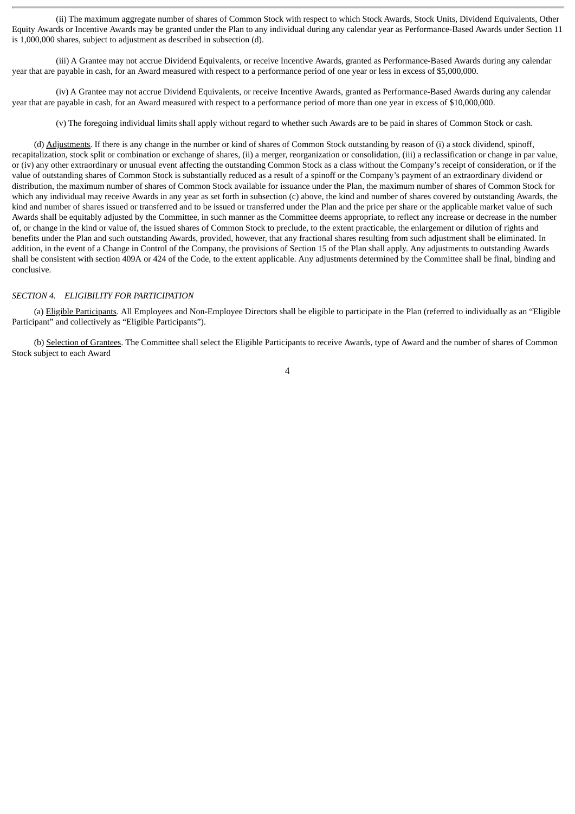(ii) The maximum aggregate number of shares of Common Stock with respect to which Stock Awards, Stock Units, Dividend Equivalents, Other Equity Awards or Incentive Awards may be granted under the Plan to any individual during any calendar year as Performance-Based Awards under Section 11 is 1,000,000 shares, subject to adjustment as described in subsection (d).

(iii) A Grantee may not accrue Dividend Equivalents, or receive Incentive Awards, granted as Performance-Based Awards during any calendar year that are payable in cash, for an Award measured with respect to a performance period of one year or less in excess of \$5,000,000.

(iv) A Grantee may not accrue Dividend Equivalents, or receive Incentive Awards, granted as Performance-Based Awards during any calendar year that are payable in cash, for an Award measured with respect to a performance period of more than one year in excess of \$10,000,000.

(v) The foregoing individual limits shall apply without regard to whether such Awards are to be paid in shares of Common Stock or cash.

(d) Adjustments. If there is any change in the number or kind of shares of Common Stock outstanding by reason of (i) a stock dividend, spinoff, recapitalization, stock split or combination or exchange of shares, (ii) a merger, reorganization or consolidation, (iii) a reclassification or change in par value, or (iv) any other extraordinary or unusual event affecting the outstanding Common Stock as a class without the Company's receipt of consideration, or if the value of outstanding shares of Common Stock is substantially reduced as a result of a spinoff or the Company's payment of an extraordinary dividend or distribution, the maximum number of shares of Common Stock available for issuance under the Plan, the maximum number of shares of Common Stock for which any individual may receive Awards in any year as set forth in subsection (c) above, the kind and number of shares covered by outstanding Awards, the kind and number of shares issued or transferred and to be issued or transferred under the Plan and the price per share or the applicable market value of such Awards shall be equitably adjusted by the Committee, in such manner as the Committee deems appropriate, to reflect any increase or decrease in the number of, or change in the kind or value of, the issued shares of Common Stock to preclude, to the extent practicable, the enlargement or dilution of rights and benefits under the Plan and such outstanding Awards, provided, however, that any fractional shares resulting from such adjustment shall be eliminated. In addition, in the event of a Change in Control of the Company, the provisions of Section 15 of the Plan shall apply. Any adjustments to outstanding Awards shall be consistent with section 409A or 424 of the Code, to the extent applicable. Any adjustments determined by the Committee shall be final, binding and conclusive.

#### *SECTION 4. ELIGIBILITY FOR PARTICIPATION*

(a) Eligible Participants. All Employees and Non-Employee Directors shall be eligible to participate in the Plan (referred to individually as an "Eligible Participant" and collectively as "Eligible Participants").

(b) Selection of Grantees. The Committee shall select the Eligible Participants to receive Awards, type of Award and the number of shares of Common Stock subject to each Award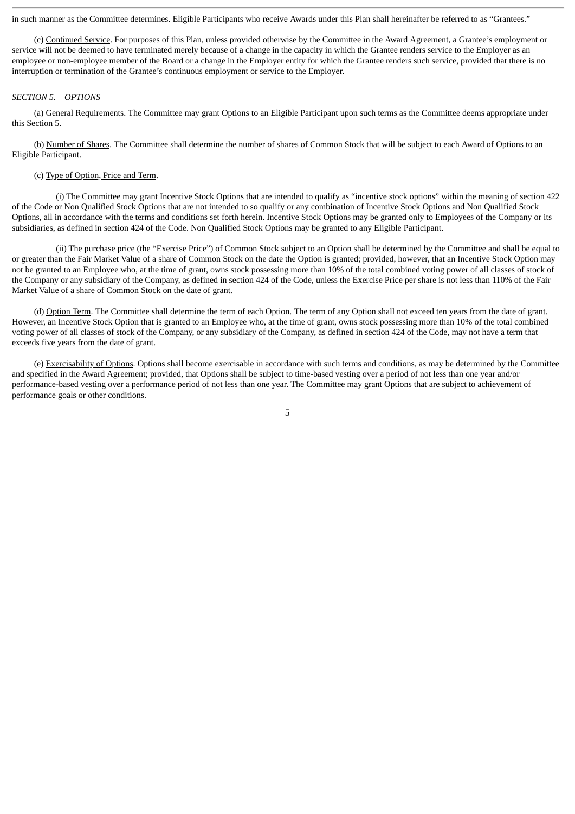in such manner as the Committee determines. Eligible Participants who receive Awards under this Plan shall hereinafter be referred to as "Grantees."

(c) Continued Service. For purposes of this Plan, unless provided otherwise by the Committee in the Award Agreement, a Grantee's employment or service will not be deemed to have terminated merely because of a change in the capacity in which the Grantee renders service to the Employer as an employee or non-employee member of the Board or a change in the Employer entity for which the Grantee renders such service, provided that there is no interruption or termination of the Grantee's continuous employment or service to the Employer.

#### *SECTION 5. OPTIONS*

(a) General Requirements. The Committee may grant Options to an Eligible Participant upon such terms as the Committee deems appropriate under this Section 5.

(b) Number of Shares. The Committee shall determine the number of shares of Common Stock that will be subject to each Award of Options to an Eligible Participant.

#### (c) Type of Option, Price and Term.

(i) The Committee may grant Incentive Stock Options that are intended to qualify as "incentive stock options" within the meaning of section 422 of the Code or Non Qualified Stock Options that are not intended to so qualify or any combination of Incentive Stock Options and Non Qualified Stock Options, all in accordance with the terms and conditions set forth herein. Incentive Stock Options may be granted only to Employees of the Company or its subsidiaries, as defined in section 424 of the Code. Non Qualified Stock Options may be granted to any Eligible Participant.

(ii) The purchase price (the "Exercise Price") of Common Stock subject to an Option shall be determined by the Committee and shall be equal to or greater than the Fair Market Value of a share of Common Stock on the date the Option is granted; provided, however, that an Incentive Stock Option may not be granted to an Employee who, at the time of grant, owns stock possessing more than 10% of the total combined voting power of all classes of stock of the Company or any subsidiary of the Company, as defined in section 424 of the Code, unless the Exercise Price per share is not less than 110% of the Fair Market Value of a share of Common Stock on the date of grant.

(d) Option Term. The Committee shall determine the term of each Option. The term of any Option shall not exceed ten years from the date of grant. However, an Incentive Stock Option that is granted to an Employee who, at the time of grant, owns stock possessing more than 10% of the total combined voting power of all classes of stock of the Company, or any subsidiary of the Company, as defined in section 424 of the Code, may not have a term that exceeds five years from the date of grant.

(e) Exercisability of Options. Options shall become exercisable in accordance with such terms and conditions, as may be determined by the Committee and specified in the Award Agreement; provided, that Options shall be subject to time-based vesting over a period of not less than one year and/or performance-based vesting over a performance period of not less than one year. The Committee may grant Options that are subject to achievement of performance goals or other conditions.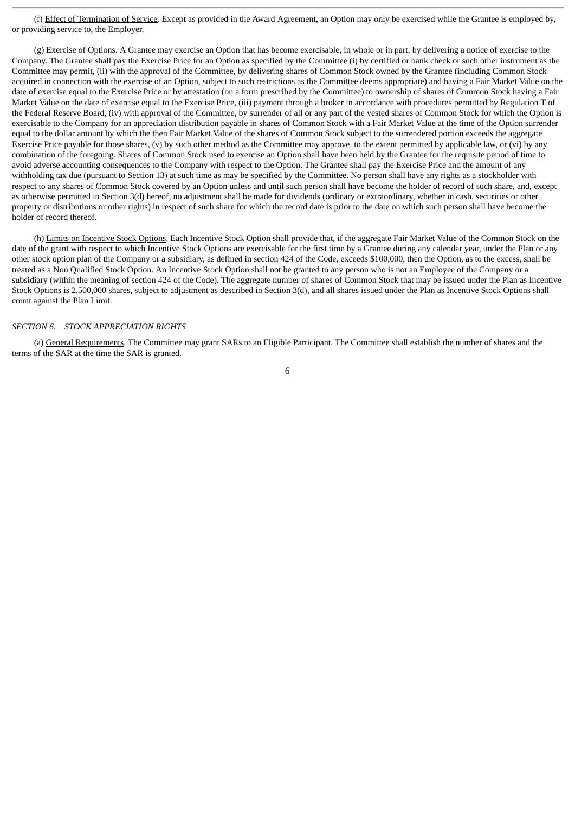(f) Effect of Termination of Service. Except as provided in the Award Agreement, an Option may only be exercised while the Grantee is employed by, or providing service to, the Employer.

(g) Exercise of Options. A Grantee may exercise an Option that has become exercisable, in whole or in part, by delivering a notice of exercise to the Company. The Grantee shall pay the Exercise Price for an Option as specified by the Committee (i) by certified or bank check or such other instrument as the Committee may permit, (ii) with the approval of the Committee, by delivering shares of Common Stock owned by the Grantee (including Common Stock acquired in connection with the exercise of an Option, subject to such restrictions as the Committee deems appropriate) and having a Fair Market Value on the date of exercise equal to the Exercise Price or by attestation (on a form prescribed by the Committee) to ownership of shares of Common Stock having a Fair Market Value on the date of exercise equal to the Exercise Price, (iii) payment through a broker in accordance with procedures permitted by Regulation T of the Federal Reserve Board, (iv) with approval of the Committee, by surrender of all or any part of the vested shares of Common Stock for which the Option is exercisable to the Company for an appreciation distribution payable in shares of Common Stock with a Fair Market Value at the time of the Option surrender equal to the dollar amount by which the then Fair Market Value of the shares of Common Stock subject to the surrendered portion exceeds the aggregate Exercise Price payable for those shares, (y) by such other method as the Committee may approve, to the extent permitted by applicable law, or (yi) by any combination of the foregoing. Shares of Common Stock used to exercise an Option shall have been held by the Grantee for the requisite period of time to avoid adverse accounting consequences to the Company with respect to the Option. The Grantee shall pay the Exercise Price and the amount of any withholding tax due (pursuant to Section 13) at such time as may be specified by the Committee. No person shall have any rights as a stockholder with respect to any shares of Common Stock covered by an Option unless and until such person shall have become the holder of record of such share, and, except as otherwise permitted in Section 3(d) hereof, no adjustment shall be made for dividends (ordinary or extraordinary, whether in cash, securities or other property or distributions or other rights) in respect of such share for which the record date is prior to the date on which such person shall have become the holder of record thereof.

(h) Limits on Incentive Stock Options. Each Incentive Stock Option shall provide that, if the aggregate Fair Market Value of the Common Stock on the date of the grant with respect to which Incentive Stock Options are exercisable for the first time by a Grantee during any calendar year, under the Plan or any other stock option plan of the Company or a subsidiary, as defined in section 424 of the Code, exceeds \$100,000, then the Option, as to the excess, shall be treated as a Non Qualified Stock Option. An Incentive Stock Option shall not be granted to any person who is not an Employee of the Company or a subsidiary (within the meaning of section 424 of the Code). The aggregate number of shares of Common Stock that may be issued under the Plan as Incentive Stock Options is 2,500,000 shares, subject to adjustment as described in Section 3(d), and all shares issued under the Plan as Incentive Stock Options shall count against the Plan Limit.

#### *SECTION 6. STOCK APPRECIATION RIGHTS*

(a) General Requirements. The Committee may grant SARs to an Eligible Participant. The Committee shall establish the number of shares and the terms of the SAR at the time the SAR is granted.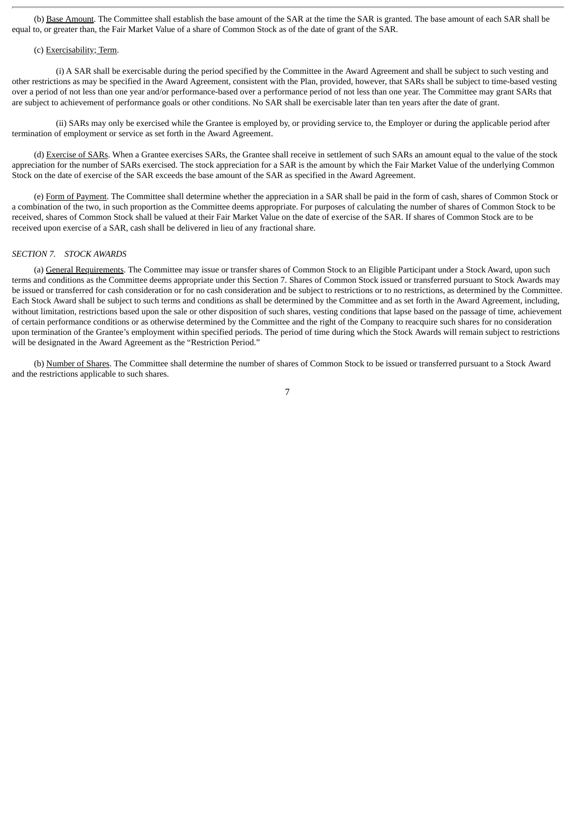(b) Base Amount. The Committee shall establish the base amount of the SAR at the time the SAR is granted. The base amount of each SAR shall be equal to, or greater than, the Fair Market Value of a share of Common Stock as of the date of grant of the SAR.

# (c) Exercisability; Term.

(i) A SAR shall be exercisable during the period specified by the Committee in the Award Agreement and shall be subject to such vesting and other restrictions as may be specified in the Award Agreement, consistent with the Plan, provided, however, that SARs shall be subject to time-based vesting over a period of not less than one year and/or performance-based over a performance period of not less than one year. The Committee may grant SARs that are subject to achievement of performance goals or other conditions. No SAR shall be exercisable later than ten years after the date of grant.

(ii) SARs may only be exercised while the Grantee is employed by, or providing service to, the Employer or during the applicable period after termination of employment or service as set forth in the Award Agreement.

(d) Exercise of SARs. When a Grantee exercises SARs, the Grantee shall receive in settlement of such SARs an amount equal to the value of the stock appreciation for the number of SARs exercised. The stock appreciation for a SAR is the amount by which the Fair Market Value of the underlying Common Stock on the date of exercise of the SAR exceeds the base amount of the SAR as specified in the Award Agreement.

(e) Form of Payment. The Committee shall determine whether the appreciation in a SAR shall be paid in the form of cash, shares of Common Stock or a combination of the two, in such proportion as the Committee deems appropriate. For purposes of calculating the number of shares of Common Stock to be received, shares of Common Stock shall be valued at their Fair Market Value on the date of exercise of the SAR. If shares of Common Stock are to be received upon exercise of a SAR, cash shall be delivered in lieu of any fractional share.

#### *SECTION 7. STOCK AWARDS*

(a) General Requirements. The Committee may issue or transfer shares of Common Stock to an Eligible Participant under a Stock Award, upon such terms and conditions as the Committee deems appropriate under this Section 7. Shares of Common Stock issued or transferred pursuant to Stock Awards may be issued or transferred for cash consideration or for no cash consideration and be subject to restrictions or to no restrictions, as determined by the Committee. Each Stock Award shall be subject to such terms and conditions as shall be determined by the Committee and as set forth in the Award Agreement, including, without limitation, restrictions based upon the sale or other disposition of such shares, vesting conditions that lapse based on the passage of time, achievement of certain performance conditions or as otherwise determined by the Committee and the right of the Company to reacquire such shares for no consideration upon termination of the Grantee's employment within specified periods. The period of time during which the Stock Awards will remain subject to restrictions will be designated in the Award Agreement as the "Restriction Period."

(b) Number of Shares. The Committee shall determine the number of shares of Common Stock to be issued or transferred pursuant to a Stock Award and the restrictions applicable to such shares.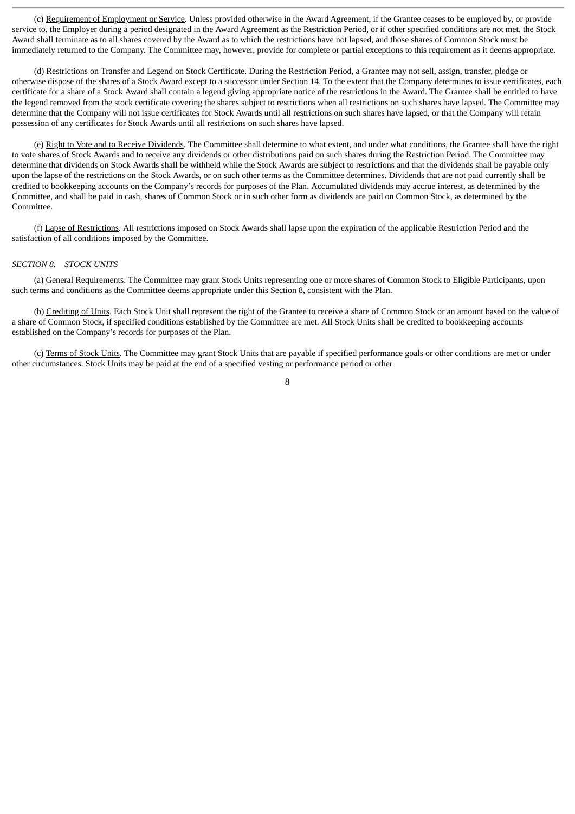(c) Requirement of Employment or Service. Unless provided otherwise in the Award Agreement, if the Grantee ceases to be employed by, or provide service to, the Employer during a period designated in the Award Agreement as the Restriction Period, or if other specified conditions are not met, the Stock Award shall terminate as to all shares covered by the Award as to which the restrictions have not lapsed, and those shares of Common Stock must be immediately returned to the Company. The Committee may, however, provide for complete or partial exceptions to this requirement as it deems appropriate.

(d) Restrictions on Transfer and Legend on Stock Certificate. During the Restriction Period, a Grantee may not sell, assign, transfer, pledge or otherwise dispose of the shares of a Stock Award except to a successor under Section 14. To the extent that the Company determines to issue certificates, each certificate for a share of a Stock Award shall contain a legend giving appropriate notice of the restrictions in the Award. The Grantee shall be entitled to have the legend removed from the stock certificate covering the shares subject to restrictions when all restrictions on such shares have lapsed. The Committee may determine that the Company will not issue certificates for Stock Awards until all restrictions on such shares have lapsed, or that the Company will retain possession of any certificates for Stock Awards until all restrictions on such shares have lapsed.

(e) Right to Vote and to Receive Dividends. The Committee shall determine to what extent, and under what conditions, the Grantee shall have the right to vote shares of Stock Awards and to receive any dividends or other distributions paid on such shares during the Restriction Period. The Committee may determine that dividends on Stock Awards shall be withheld while the Stock Awards are subject to restrictions and that the dividends shall be payable only upon the lapse of the restrictions on the Stock Awards, or on such other terms as the Committee determines. Dividends that are not paid currently shall be credited to bookkeeping accounts on the Company's records for purposes of the Plan. Accumulated dividends may accrue interest, as determined by the Committee, and shall be paid in cash, shares of Common Stock or in such other form as dividends are paid on Common Stock, as determined by the Committee.

(f) Lapse of Restrictions. All restrictions imposed on Stock Awards shall lapse upon the expiration of the applicable Restriction Period and the satisfaction of all conditions imposed by the Committee.

# *SECTION 8. STOCK UNITS*

(a) General Requirements. The Committee may grant Stock Units representing one or more shares of Common Stock to Eligible Participants, upon such terms and conditions as the Committee deems appropriate under this Section 8, consistent with the Plan.

(b) Crediting of Units. Each Stock Unit shall represent the right of the Grantee to receive a share of Common Stock or an amount based on the value of a share of Common Stock, if specified conditions established by the Committee are met. All Stock Units shall be credited to bookkeeping accounts established on the Company's records for purposes of the Plan.

(c) Terms of Stock Units. The Committee may grant Stock Units that are payable if specified performance goals or other conditions are met or under other circumstances. Stock Units may be paid at the end of a specified vesting or performance period or other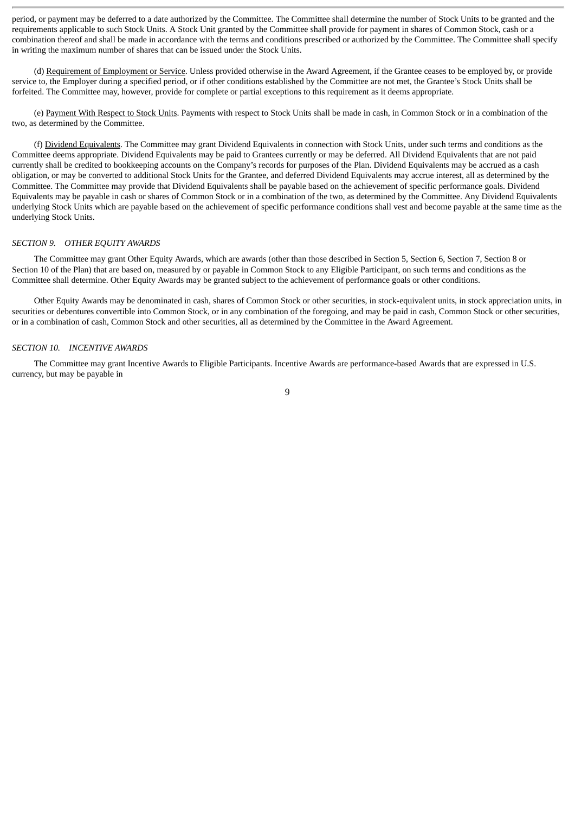period, or payment may be deferred to a date authorized by the Committee. The Committee shall determine the number of Stock Units to be granted and the requirements applicable to such Stock Units. A Stock Unit granted by the Committee shall provide for payment in shares of Common Stock, cash or a combination thereof and shall be made in accordance with the terms and conditions prescribed or authorized by the Committee. The Committee shall specify in writing the maximum number of shares that can be issued under the Stock Units.

(d) Requirement of Employment or Service. Unless provided otherwise in the Award Agreement, if the Grantee ceases to be employed by, or provide service to, the Employer during a specified period, or if other conditions established by the Committee are not met, the Grantee's Stock Units shall be forfeited. The Committee may, however, provide for complete or partial exceptions to this requirement as it deems appropriate.

(e) Payment With Respect to Stock Units. Payments with respect to Stock Units shall be made in cash, in Common Stock or in a combination of the two, as determined by the Committee.

(f) Dividend Equivalents. The Committee may grant Dividend Equivalents in connection with Stock Units, under such terms and conditions as the Committee deems appropriate. Dividend Equivalents may be paid to Grantees currently or may be deferred. All Dividend Equivalents that are not paid currently shall be credited to bookkeeping accounts on the Company's records for purposes of the Plan. Dividend Equivalents may be accrued as a cash obligation, or may be converted to additional Stock Units for the Grantee, and deferred Dividend Equivalents may accrue interest, all as determined by the Committee. The Committee may provide that Dividend Equivalents shall be payable based on the achievement of specific performance goals. Dividend Equivalents may be payable in cash or shares of Common Stock or in a combination of the two, as determined by the Committee. Any Dividend Equivalents underlying Stock Units which are payable based on the achievement of specific performance conditions shall vest and become payable at the same time as the underlying Stock Units.

#### *SECTION 9. OTHER EQUITY AWARDS*

The Committee may grant Other Equity Awards, which are awards (other than those described in Section 5, Section 6, Section 7, Section 8 or Section 10 of the Plan) that are based on, measured by or payable in Common Stock to any Eligible Participant, on such terms and conditions as the Committee shall determine. Other Equity Awards may be granted subject to the achievement of performance goals or other conditions.

Other Equity Awards may be denominated in cash, shares of Common Stock or other securities, in stock-equivalent units, in stock appreciation units, in securities or debentures convertible into Common Stock, or in any combination of the foregoing, and may be paid in cash, Common Stock or other securities, or in a combination of cash, Common Stock and other securities, all as determined by the Committee in the Award Agreement.

#### *SECTION 10. INCENTIVE AWARDS*

The Committee may grant Incentive Awards to Eligible Participants. Incentive Awards are performance-based Awards that are expressed in U.S. currency, but may be payable in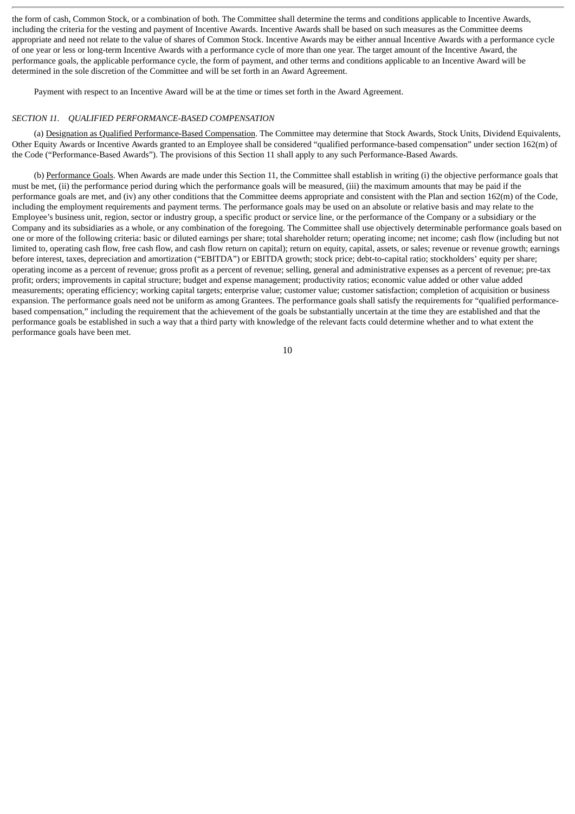the form of cash, Common Stock, or a combination of both. The Committee shall determine the terms and conditions applicable to Incentive Awards, including the criteria for the vesting and payment of Incentive Awards. Incentive Awards shall be based on such measures as the Committee deems appropriate and need not relate to the value of shares of Common Stock. Incentive Awards may be either annual Incentive Awards with a performance cycle of one year or less or long-term Incentive Awards with a performance cycle of more than one year. The target amount of the Incentive Award, the performance goals, the applicable performance cycle, the form of payment, and other terms and conditions applicable to an Incentive Award will be determined in the sole discretion of the Committee and will be set forth in an Award Agreement.

Payment with respect to an Incentive Award will be at the time or times set forth in the Award Agreement.

### *SECTION 11. QUALIFIED PERFORMANCE-BASED COMPENSATION*

(a) Designation as Qualified Performance-Based Compensation. The Committee may determine that Stock Awards, Stock Units, Dividend Equivalents, Other Equity Awards or Incentive Awards granted to an Employee shall be considered "qualified performance-based compensation" under section 162(m) of the Code ("Performance-Based Awards"). The provisions of this Section 11 shall apply to any such Performance-Based Awards.

(b) Performance Goals. When Awards are made under this Section 11, the Committee shall establish in writing (i) the objective performance goals that must be met, (ii) the performance period during which the performance goals will be measured, (iii) the maximum amounts that may be paid if the performance goals are met, and (iv) any other conditions that the Committee deems appropriate and consistent with the Plan and section 162(m) of the Code, including the employment requirements and payment terms. The performance goals may be used on an absolute or relative basis and may relate to the Employee's business unit, region, sector or industry group, a specific product or service line, or the performance of the Company or a subsidiary or the Company and its subsidiaries as a whole, or any combination of the foregoing. The Committee shall use objectively determinable performance goals based on one or more of the following criteria: basic or diluted earnings per share; total shareholder return; operating income; net income; cash flow (including but not limited to, operating cash flow, free cash flow, and cash flow return on capital); return on equity, capital, assets, or sales; revenue or revenue growth; earnings before interest, taxes, depreciation and amortization ("EBITDA") or EBITDA growth; stock price; debt-to-capital ratio; stockholders' equity per share; operating income as a percent of revenue; gross profit as a percent of revenue; selling, general and administrative expenses as a percent of revenue; pre-tax profit; orders; improvements in capital structure; budget and expense management; productivity ratios; economic value added or other value added measurements; operating efficiency; working capital targets; enterprise value; customer value; customer satisfaction; completion of acquisition or business expansion. The performance goals need not be uniform as among Grantees. The performance goals shall satisfy the requirements for "qualified performancebased compensation," including the requirement that the achievement of the goals be substantially uncertain at the time they are established and that the performance goals be established in such a way that a third party with knowledge of the relevant facts could determine whether and to what extent the performance goals have been met.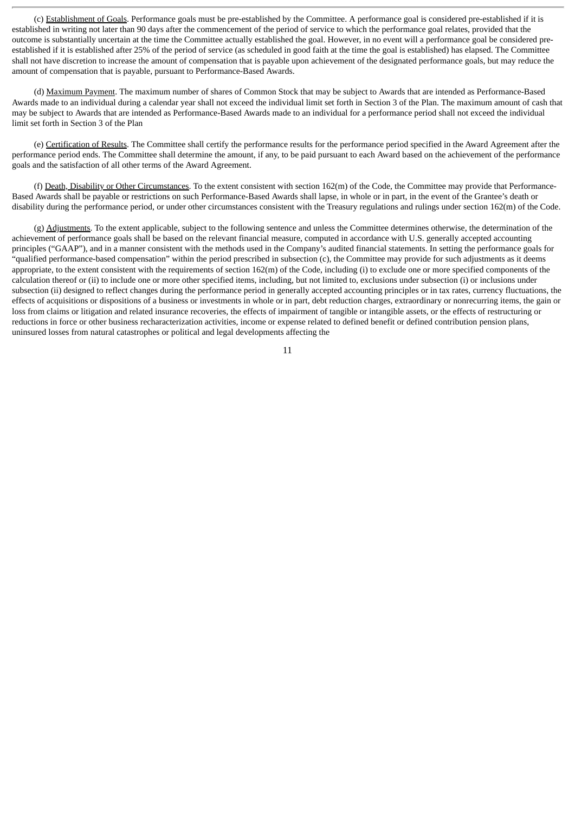(c) Establishment of Goals. Performance goals must be pre-established by the Committee. A performance goal is considered pre-established if it is established in writing not later than 90 days after the commencement of the period of service to which the performance goal relates, provided that the outcome is substantially uncertain at the time the Committee actually established the goal. However, in no event will a performance goal be considered preestablished if it is established after 25% of the period of service (as scheduled in good faith at the time the goal is established) has elapsed. The Committee shall not have discretion to increase the amount of compensation that is payable upon achievement of the designated performance goals, but may reduce the amount of compensation that is payable, pursuant to Performance-Based Awards.

(d) Maximum Payment. The maximum number of shares of Common Stock that may be subject to Awards that are intended as Performance-Based Awards made to an individual during a calendar year shall not exceed the individual limit set forth in Section 3 of the Plan. The maximum amount of cash that may be subject to Awards that are intended as Performance-Based Awards made to an individual for a performance period shall not exceed the individual limit set forth in Section 3 of the Plan

(e) Certification of Results. The Committee shall certify the performance results for the performance period specified in the Award Agreement after the performance period ends. The Committee shall determine the amount, if any, to be paid pursuant to each Award based on the achievement of the performance goals and the satisfaction of all other terms of the Award Agreement.

(f) Death, Disability or Other Circumstances. To the extent consistent with section 162(m) of the Code, the Committee may provide that Performance-Based Awards shall be payable or restrictions on such Performance-Based Awards shall lapse, in whole or in part, in the event of the Grantee's death or disability during the performance period, or under other circumstances consistent with the Treasury regulations and rulings under section 162(m) of the Code.

(g) Adjustments. To the extent applicable, subject to the following sentence and unless the Committee determines otherwise, the determination of the achievement of performance goals shall be based on the relevant financial measure, computed in accordance with U.S. generally accepted accounting principles ("GAAP"), and in a manner consistent with the methods used in the Company's audited financial statements. In setting the performance goals for "qualified performance-based compensation" within the period prescribed in subsection (c), the Committee may provide for such adjustments as it deems appropriate, to the extent consistent with the requirements of section 162(m) of the Code, including (i) to exclude one or more specified components of the calculation thereof or (ii) to include one or more other specified items, including, but not limited to, exclusions under subsection (i) or inclusions under subsection (ii) designed to reflect changes during the performance period in generally accepted accounting principles or in tax rates, currency fluctuations, the effects of acquisitions or dispositions of a business or investments in whole or in part, debt reduction charges, extraordinary or nonrecurring items, the gain or loss from claims or litigation and related insurance recoveries, the effects of impairment of tangible or intangible assets, or the effects of restructuring or reductions in force or other business recharacterization activities, income or expense related to defined benefit or defined contribution pension plans, uninsured losses from natural catastrophes or political and legal developments affecting the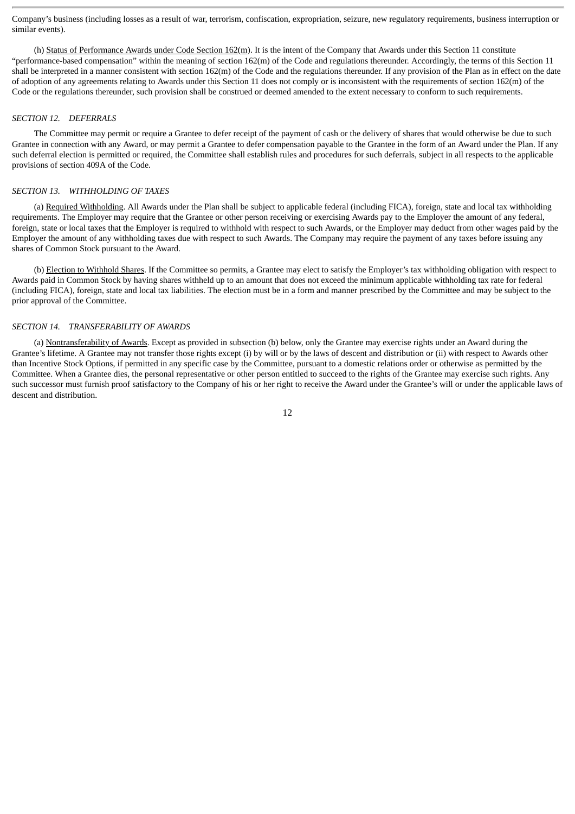Company's business (including losses as a result of war, terrorism, confiscation, expropriation, seizure, new regulatory requirements, business interruption or similar events).

(h) Status of Performance Awards under Code Section 162(m). It is the intent of the Company that Awards under this Section 11 constitute "performance-based compensation" within the meaning of section 162(m) of the Code and regulations thereunder. Accordingly, the terms of this Section 11 shall be interpreted in a manner consistent with section 162(m) of the Code and the regulations thereunder. If any provision of the Plan as in effect on the date of adoption of any agreements relating to Awards under this Section 11 does not comply or is inconsistent with the requirements of section 162(m) of the Code or the regulations thereunder, such provision shall be construed or deemed amended to the extent necessary to conform to such requirements.

#### *SECTION 12. DEFERRALS*

The Committee may permit or require a Grantee to defer receipt of the payment of cash or the delivery of shares that would otherwise be due to such Grantee in connection with any Award, or may permit a Grantee to defer compensation payable to the Grantee in the form of an Award under the Plan. If any such deferral election is permitted or required, the Committee shall establish rules and procedures for such deferrals, subject in all respects to the applicable provisions of section 409A of the Code.

#### *SECTION 13. WITHHOLDING OF TAXES*

(a) Required Withholding. All Awards under the Plan shall be subject to applicable federal (including FICA), foreign, state and local tax withholding requirements. The Employer may require that the Grantee or other person receiving or exercising Awards pay to the Employer the amount of any federal, foreign, state or local taxes that the Employer is required to withhold with respect to such Awards, or the Employer may deduct from other wages paid by the Employer the amount of any withholding taxes due with respect to such Awards. The Company may require the payment of any taxes before issuing any shares of Common Stock pursuant to the Award.

(b) Election to Withhold Shares. If the Committee so permits, a Grantee may elect to satisfy the Employer's tax withholding obligation with respect to Awards paid in Common Stock by having shares withheld up to an amount that does not exceed the minimum applicable withholding tax rate for federal (including FICA), foreign, state and local tax liabilities. The election must be in a form and manner prescribed by the Committee and may be subject to the prior approval of the Committee.

#### *SECTION 14. TRANSFERABILITY OF AWARDS*

(a) Nontransferability of Awards. Except as provided in subsection (b) below, only the Grantee may exercise rights under an Award during the Grantee's lifetime. A Grantee may not transfer those rights except (i) by will or by the laws of descent and distribution or (ii) with respect to Awards other than Incentive Stock Options, if permitted in any specific case by the Committee, pursuant to a domestic relations order or otherwise as permitted by the Committee. When a Grantee dies, the personal representative or other person entitled to succeed to the rights of the Grantee may exercise such rights. Any such successor must furnish proof satisfactory to the Company of his or her right to receive the Award under the Grantee's will or under the applicable laws of descent and distribution.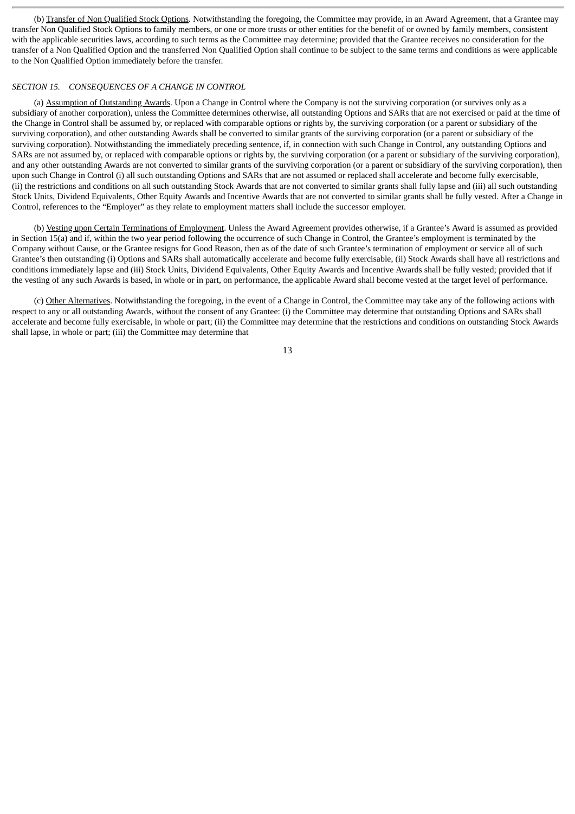(b) Transfer of Non Qualified Stock Options. Notwithstanding the foregoing, the Committee may provide, in an Award Agreement, that a Grantee may transfer Non Qualified Stock Options to family members, or one or more trusts or other entities for the benefit of or owned by family members, consistent with the applicable securities laws, according to such terms as the Committee may determine; provided that the Grantee receives no consideration for the transfer of a Non Qualified Option and the transferred Non Qualified Option shall continue to be subject to the same terms and conditions as were applicable to the Non Qualified Option immediately before the transfer.

#### *SECTION 15. CONSEQUENCES OF A CHANGE IN CONTROL*

(a) Assumption of Outstanding Awards. Upon a Change in Control where the Company is not the surviving corporation (or survives only as a subsidiary of another corporation), unless the Committee determines otherwise, all outstanding Options and SARs that are not exercised or paid at the time of the Change in Control shall be assumed by, or replaced with comparable options or rights by, the surviving corporation (or a parent or subsidiary of the surviving corporation), and other outstanding Awards shall be converted to similar grants of the surviving corporation (or a parent or subsidiary of the surviving corporation). Notwithstanding the immediately preceding sentence, if, in connection with such Change in Control, any outstanding Options and SARs are not assumed by, or replaced with comparable options or rights by, the surviving corporation (or a parent or subsidiary of the surviving corporation), and any other outstanding Awards are not converted to similar grants of the surviving corporation (or a parent or subsidiary of the surviving corporation), then upon such Change in Control (i) all such outstanding Options and SARs that are not assumed or replaced shall accelerate and become fully exercisable, (ii) the restrictions and conditions on all such outstanding Stock Awards that are not converted to similar grants shall fully lapse and (iii) all such outstanding Stock Units, Dividend Equivalents, Other Equity Awards and Incentive Awards that are not converted to similar grants shall be fully vested. After a Change in Control, references to the "Employer" as they relate to employment matters shall include the successor employer.

(b) Vesting upon Certain Terminations of Employment. Unless the Award Agreement provides otherwise, if a Grantee's Award is assumed as provided in Section 15(a) and if, within the two year period following the occurrence of such Change in Control, the Grantee's employment is terminated by the Company without Cause, or the Grantee resigns for Good Reason, then as of the date of such Grantee's termination of employment or service all of such Grantee's then outstanding (i) Options and SARs shall automatically accelerate and become fully exercisable, (ii) Stock Awards shall have all restrictions and conditions immediately lapse and (iii) Stock Units, Dividend Equivalents, Other Equity Awards and Incentive Awards shall be fully vested; provided that if the vesting of any such Awards is based, in whole or in part, on performance, the applicable Award shall become vested at the target level of performance.

(c) Other Alternatives. Notwithstanding the foregoing, in the event of a Change in Control, the Committee may take any of the following actions with respect to any or all outstanding Awards, without the consent of any Grantee: (i) the Committee may determine that outstanding Options and SARs shall accelerate and become fully exercisable, in whole or part; (ii) the Committee may determine that the restrictions and conditions on outstanding Stock Awards shall lapse, in whole or part; (iii) the Committee may determine that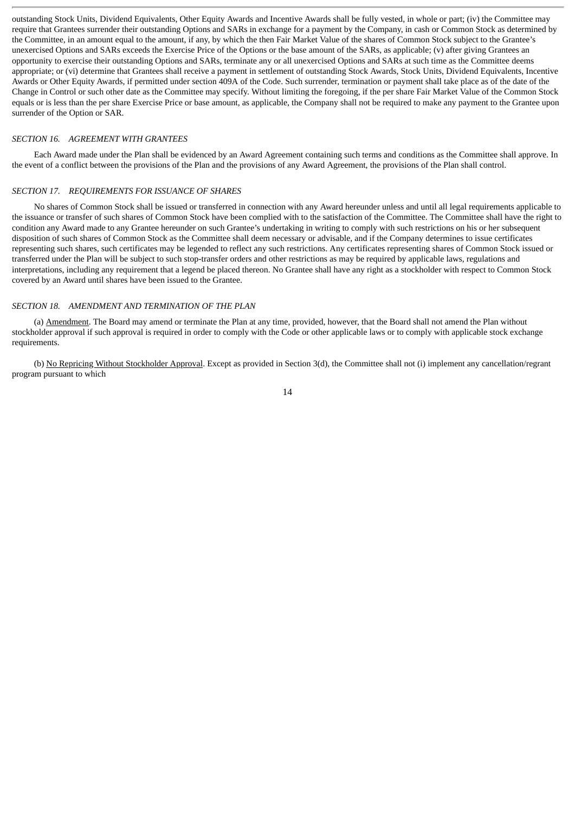outstanding Stock Units, Dividend Equivalents, Other Equity Awards and Incentive Awards shall be fully vested, in whole or part; (iv) the Committee may require that Grantees surrender their outstanding Options and SARs in exchange for a payment by the Company, in cash or Common Stock as determined by the Committee, in an amount equal to the amount, if any, by which the then Fair Market Value of the shares of Common Stock subject to the Grantee's unexercised Options and SARs exceeds the Exercise Price of the Options or the base amount of the SARs, as applicable; (v) after giving Grantees an opportunity to exercise their outstanding Options and SARs, terminate any or all unexercised Options and SARs at such time as the Committee deems appropriate; or (vi) determine that Grantees shall receive a payment in settlement of outstanding Stock Awards, Stock Units, Dividend Equivalents, Incentive Awards or Other Equity Awards, if permitted under section 409A of the Code. Such surrender, termination or payment shall take place as of the date of the Change in Control or such other date as the Committee may specify. Without limiting the foregoing, if the per share Fair Market Value of the Common Stock equals or is less than the per share Exercise Price or base amount, as applicable, the Company shall not be required to make any payment to the Grantee upon surrender of the Option or SAR.

#### *SECTION 16. AGREEMENT WITH GRANTEES*

Each Award made under the Plan shall be evidenced by an Award Agreement containing such terms and conditions as the Committee shall approve. In the event of a conflict between the provisions of the Plan and the provisions of any Award Agreement, the provisions of the Plan shall control.

#### *SECTION 17. REQUIREMENTS FOR ISSUANCE OF SHARES*

No shares of Common Stock shall be issued or transferred in connection with any Award hereunder unless and until all legal requirements applicable to the issuance or transfer of such shares of Common Stock have been complied with to the satisfaction of the Committee. The Committee shall have the right to condition any Award made to any Grantee hereunder on such Grantee's undertaking in writing to comply with such restrictions on his or her subsequent disposition of such shares of Common Stock as the Committee shall deem necessary or advisable, and if the Company determines to issue certificates representing such shares, such certificates may be legended to reflect any such restrictions. Any certificates representing shares of Common Stock issued or transferred under the Plan will be subject to such stop-transfer orders and other restrictions as may be required by applicable laws, regulations and interpretations, including any requirement that a legend be placed thereon. No Grantee shall have any right as a stockholder with respect to Common Stock covered by an Award until shares have been issued to the Grantee.

#### *SECTION 18. AMENDMENT AND TERMINATION OF THE PLAN*

(a) Amendment. The Board may amend or terminate the Plan at any time, provided, however, that the Board shall not amend the Plan without stockholder approval if such approval is required in order to comply with the Code or other applicable laws or to comply with applicable stock exchange requirements.

(b) No Repricing Without Stockholder Approval. Except as provided in Section 3(d), the Committee shall not (i) implement any cancellation/regrant program pursuant to which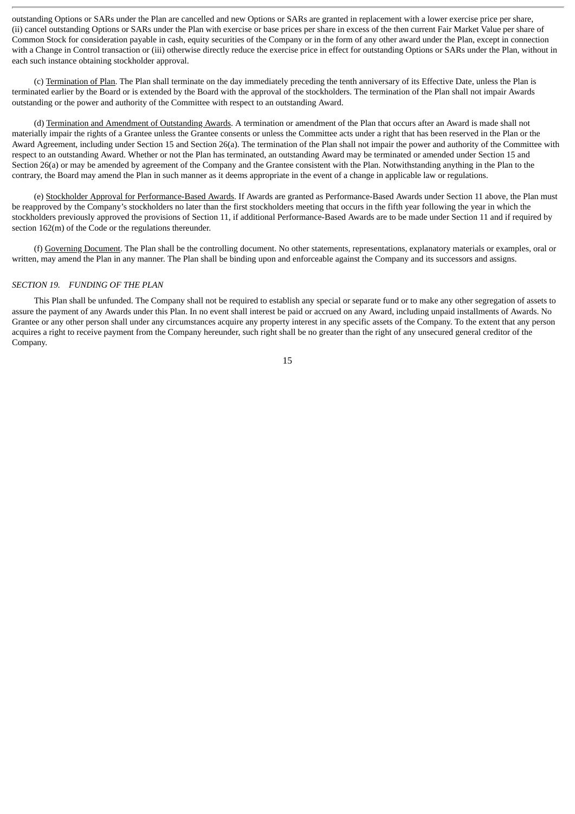outstanding Options or SARs under the Plan are cancelled and new Options or SARs are granted in replacement with a lower exercise price per share, (ii) cancel outstanding Options or SARs under the Plan with exercise or base prices per share in excess of the then current Fair Market Value per share of Common Stock for consideration payable in cash, equity securities of the Company or in the form of any other award under the Plan, except in connection with a Change in Control transaction or (iii) otherwise directly reduce the exercise price in effect for outstanding Options or SARs under the Plan, without in each such instance obtaining stockholder approval.

(c) Termination of Plan. The Plan shall terminate on the day immediately preceding the tenth anniversary of its Effective Date, unless the Plan is terminated earlier by the Board or is extended by the Board with the approval of the stockholders. The termination of the Plan shall not impair Awards outstanding or the power and authority of the Committee with respect to an outstanding Award.

(d) Termination and Amendment of Outstanding Awards. A termination or amendment of the Plan that occurs after an Award is made shall not materially impair the rights of a Grantee unless the Grantee consents or unless the Committee acts under a right that has been reserved in the Plan or the Award Agreement, including under Section 15 and Section 26(a). The termination of the Plan shall not impair the power and authority of the Committee with respect to an outstanding Award. Whether or not the Plan has terminated, an outstanding Award may be terminated or amended under Section 15 and Section 26(a) or may be amended by agreement of the Company and the Grantee consistent with the Plan. Notwithstanding anything in the Plan to the contrary, the Board may amend the Plan in such manner as it deems appropriate in the event of a change in applicable law or regulations.

(e) Stockholder Approval for Performance-Based Awards. If Awards are granted as Performance-Based Awards under Section 11 above, the Plan must be reapproved by the Company's stockholders no later than the first stockholders meeting that occurs in the fifth year following the year in which the stockholders previously approved the provisions of Section 11, if additional Performance-Based Awards are to be made under Section 11 and if required by section 162(m) of the Code or the regulations thereunder.

(f) Governing Document. The Plan shall be the controlling document. No other statements, representations, explanatory materials or examples, oral or written, may amend the Plan in any manner. The Plan shall be binding upon and enforceable against the Company and its successors and assigns.

#### *SECTION 19. FUNDING OF THE PLAN*

This Plan shall be unfunded. The Company shall not be required to establish any special or separate fund or to make any other segregation of assets to assure the payment of any Awards under this Plan. In no event shall interest be paid or accrued on any Award, including unpaid installments of Awards. No Grantee or any other person shall under any circumstances acquire any property interest in any specific assets of the Company. To the extent that any person acquires a right to receive payment from the Company hereunder, such right shall be no greater than the right of any unsecured general creditor of the Company.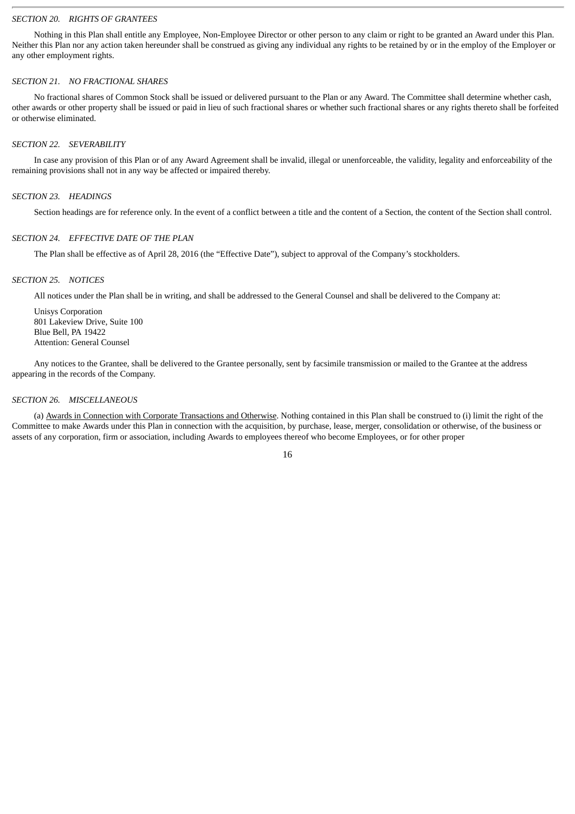#### *SECTION 20. RIGHTS OF GRANTEES*

Nothing in this Plan shall entitle any Employee, Non-Employee Director or other person to any claim or right to be granted an Award under this Plan. Neither this Plan nor any action taken hereunder shall be construed as giving any individual any rights to be retained by or in the employ of the Employer or any other employment rights.

### *SECTION 21. NO FRACTIONAL SHARES*

No fractional shares of Common Stock shall be issued or delivered pursuant to the Plan or any Award. The Committee shall determine whether cash, other awards or other property shall be issued or paid in lieu of such fractional shares or whether such fractional shares or any rights thereto shall be forfeited or otherwise eliminated.

## *SECTION 22. SEVERABILITY*

In case any provision of this Plan or of any Award Agreement shall be invalid, illegal or unenforceable, the validity, legality and enforceability of the remaining provisions shall not in any way be affected or impaired thereby.

#### *SECTION 23. HEADINGS*

Section headings are for reference only. In the event of a conflict between a title and the content of a Section, the content of the Section shall control.

#### *SECTION 24. EFFECTIVE DATE OF THE PLAN*

The Plan shall be effective as of April 28, 2016 (the "Effective Date"), subject to approval of the Company's stockholders.

#### *SECTION 25. NOTICES*

All notices under the Plan shall be in writing, and shall be addressed to the General Counsel and shall be delivered to the Company at:

Unisys Corporation 801 Lakeview Drive, Suite 100 Blue Bell, PA 19422 Attention: General Counsel

Any notices to the Grantee, shall be delivered to the Grantee personally, sent by facsimile transmission or mailed to the Grantee at the address appearing in the records of the Company.

#### *SECTION 26. MISCELLANEOUS*

(a) Awards in Connection with Corporate Transactions and Otherwise. Nothing contained in this Plan shall be construed to (i) limit the right of the Committee to make Awards under this Plan in connection with the acquisition, by purchase, lease, merger, consolidation or otherwise, of the business or assets of any corporation, firm or association, including Awards to employees thereof who become Employees, or for other proper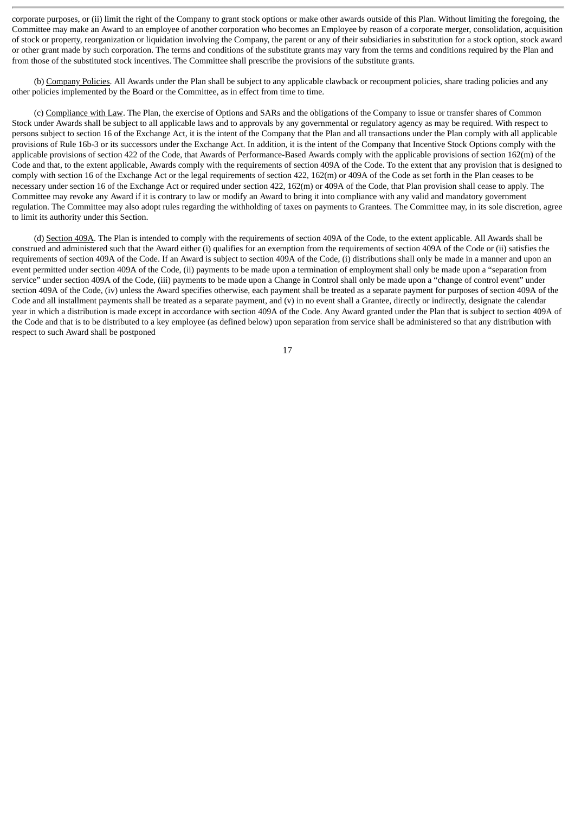corporate purposes, or (ii) limit the right of the Company to grant stock options or make other awards outside of this Plan. Without limiting the foregoing, the Committee may make an Award to an employee of another corporation who becomes an Employee by reason of a corporate merger, consolidation, acquisition of stock or property, reorganization or liquidation involving the Company, the parent or any of their subsidiaries in substitution for a stock option, stock award or other grant made by such corporation. The terms and conditions of the substitute grants may vary from the terms and conditions required by the Plan and from those of the substituted stock incentives. The Committee shall prescribe the provisions of the substitute grants.

(b) Company Policies. All Awards under the Plan shall be subject to any applicable clawback or recoupment policies, share trading policies and any other policies implemented by the Board or the Committee, as in effect from time to time.

(c) Compliance with Law. The Plan, the exercise of Options and SARs and the obligations of the Company to issue or transfer shares of Common Stock under Awards shall be subject to all applicable laws and to approvals by any governmental or regulatory agency as may be required. With respect to persons subject to section 16 of the Exchange Act, it is the intent of the Company that the Plan and all transactions under the Plan comply with all applicable provisions of Rule 16b-3 or its successors under the Exchange Act. In addition, it is the intent of the Company that Incentive Stock Options comply with the applicable provisions of section 422 of the Code, that Awards of Performance-Based Awards comply with the applicable provisions of section 162(m) of the Code and that, to the extent applicable, Awards comply with the requirements of section 409A of the Code. To the extent that any provision that is designed to comply with section 16 of the Exchange Act or the legal requirements of section 422, 162(m) or 409A of the Code as set forth in the Plan ceases to be necessary under section 16 of the Exchange Act or required under section 422, 162(m) or 409A of the Code, that Plan provision shall cease to apply. The Committee may revoke any Award if it is contrary to law or modify an Award to bring it into compliance with any valid and mandatory government regulation. The Committee may also adopt rules regarding the withholding of taxes on payments to Grantees. The Committee may, in its sole discretion, agree to limit its authority under this Section.

(d) Section 409A. The Plan is intended to comply with the requirements of section 409A of the Code, to the extent applicable. All Awards shall be construed and administered such that the Award either (i) qualifies for an exemption from the requirements of section 409A of the Code or (ii) satisfies the requirements of section 409A of the Code. If an Award is subject to section 409A of the Code, (i) distributions shall only be made in a manner and upon an event permitted under section 409A of the Code, (ii) payments to be made upon a termination of employment shall only be made upon a "separation from service" under section 409A of the Code, (iii) payments to be made upon a Change in Control shall only be made upon a "change of control event" under section 409A of the Code, (iv) unless the Award specifies otherwise, each payment shall be treated as a separate payment for purposes of section 409A of the Code and all installment payments shall be treated as a separate payment, and (v) in no event shall a Grantee, directly or indirectly, designate the calendar year in which a distribution is made except in accordance with section 409A of the Code. Any Award granted under the Plan that is subject to section 409A of the Code and that is to be distributed to a key employee (as defined below) upon separation from service shall be administered so that any distribution with respect to such Award shall be postponed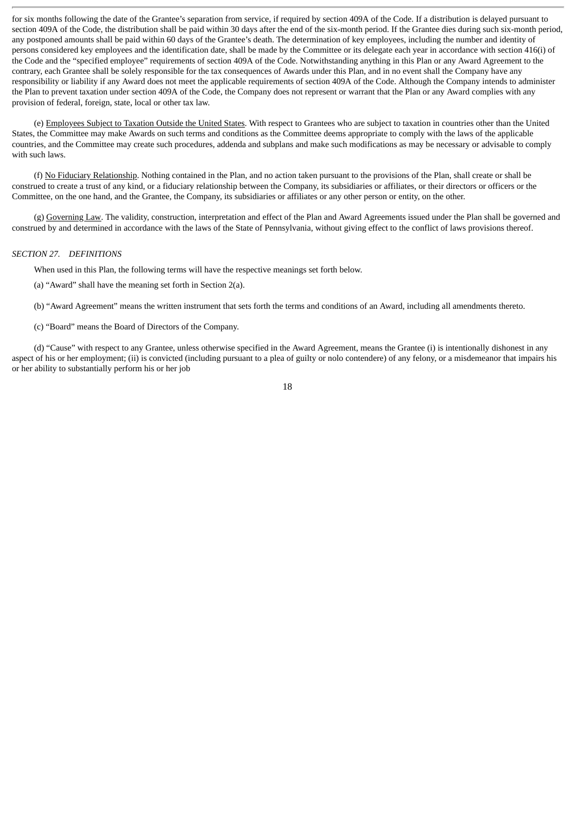for six months following the date of the Grantee's separation from service, if required by section 409A of the Code. If a distribution is delayed pursuant to section 409A of the Code, the distribution shall be paid within 30 days after the end of the six-month period. If the Grantee dies during such six-month period. any postponed amounts shall be paid within 60 days of the Grantee's death. The determination of key employees, including the number and identity of persons considered key employees and the identification date, shall be made by the Committee or its delegate each year in accordance with section 416(i) of the Code and the "specified employee" requirements of section 409A of the Code. Notwithstanding anything in this Plan or any Award Agreement to the contrary, each Grantee shall be solely responsible for the tax consequences of Awards under this Plan, and in no event shall the Company have any responsibility or liability if any Award does not meet the applicable requirements of section 409A of the Code. Although the Company intends to administer the Plan to prevent taxation under section 409A of the Code, the Company does not represent or warrant that the Plan or any Award complies with any provision of federal, foreign, state, local or other tax law.

(e) Employees Subject to Taxation Outside the United States. With respect to Grantees who are subject to taxation in countries other than the United States, the Committee may make Awards on such terms and conditions as the Committee deems appropriate to comply with the laws of the applicable countries, and the Committee may create such procedures, addenda and subplans and make such modifications as may be necessary or advisable to comply with such laws.

(f) No Fiduciary Relationship. Nothing contained in the Plan, and no action taken pursuant to the provisions of the Plan, shall create or shall be construed to create a trust of any kind, or a fiduciary relationship between the Company, its subsidiaries or affiliates, or their directors or officers or the Committee, on the one hand, and the Grantee, the Company, its subsidiaries or affiliates or any other person or entity, on the other.

(g) Governing Law. The validity, construction, interpretation and effect of the Plan and Award Agreements issued under the Plan shall be governed and construed by and determined in accordance with the laws of the State of Pennsylvania, without giving effect to the conflict of laws provisions thereof.

# *SECTION 27. DEFINITIONS*

When used in this Plan, the following terms will have the respective meanings set forth below.

(a) "Award" shall have the meaning set forth in Section 2(a).

(b) "Award Agreement" means the written instrument that sets forth the terms and conditions of an Award, including all amendments thereto.

(c) "Board" means the Board of Directors of the Company.

(d) "Cause" with respect to any Grantee, unless otherwise specified in the Award Agreement, means the Grantee (i) is intentionally dishonest in any aspect of his or her employment; (ii) is convicted (including pursuant to a plea of guilty or nolo contendere) of any felony, or a misdemeanor that impairs his or her ability to substantially perform his or her job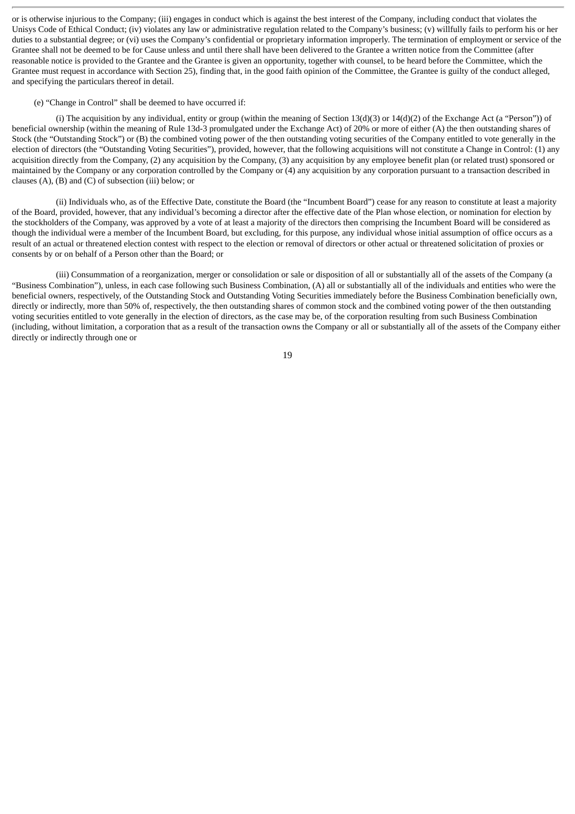or is otherwise injurious to the Company; (iii) engages in conduct which is against the best interest of the Company, including conduct that violates the Unisys Code of Ethical Conduct; (iv) violates any law or administrative regulation related to the Company's business; (v) willfully fails to perform his or her duties to a substantial degree; or (vi) uses the Company's confidential or proprietary information improperly. The termination of employment or service of the Grantee shall not be deemed to be for Cause unless and until there shall have been delivered to the Grantee a written notice from the Committee (after reasonable notice is provided to the Grantee and the Grantee is given an opportunity, together with counsel, to be heard before the Committee, which the Grantee must request in accordance with Section 25), finding that, in the good faith opinion of the Committee, the Grantee is guilty of the conduct alleged, and specifying the particulars thereof in detail.

#### (e) "Change in Control" shall be deemed to have occurred if:

(i) The acquisition by any individual, entity or group (within the meaning of Section  $13(d)(3)$  or  $14(d)(2)$  of the Exchange Act (a "Person")) of beneficial ownership (within the meaning of Rule 13d-3 promulgated under the Exchange Act) of 20% or more of either (A) the then outstanding shares of Stock (the "Outstanding Stock") or (B) the combined voting power of the then outstanding voting securities of the Company entitled to vote generally in the election of directors (the "Outstanding Voting Securities"), provided, however, that the following acquisitions will not constitute a Change in Control: (1) any acquisition directly from the Company, (2) any acquisition by the Company, (3) any acquisition by any employee benefit plan (or related trust) sponsored or maintained by the Company or any corporation controlled by the Company or (4) any acquisition by any corporation pursuant to a transaction described in clauses  $(A)$ ,  $(B)$  and  $(C)$  of subsection (iii) below; or

(ii) Individuals who, as of the Effective Date, constitute the Board (the "Incumbent Board") cease for any reason to constitute at least a majority of the Board, provided, however, that any individual's becoming a director after the effective date of the Plan whose election, or nomination for election by the stockholders of the Company, was approved by a vote of at least a majority of the directors then comprising the Incumbent Board will be considered as though the individual were a member of the Incumbent Board, but excluding, for this purpose, any individual whose initial assumption of office occurs as a result of an actual or threatened election contest with respect to the election or removal of directors or other actual or threatened solicitation of proxies or consents by or on behalf of a Person other than the Board; or

(iii) Consummation of a reorganization, merger or consolidation or sale or disposition of all or substantially all of the assets of the Company (a "Business Combination"), unless, in each case following such Business Combination, (A) all or substantially all of the individuals and entities who were the beneficial owners, respectively, of the Outstanding Stock and Outstanding Voting Securities immediately before the Business Combination beneficially own, directly or indirectly, more than 50% of, respectively, the then outstanding shares of common stock and the combined voting power of the then outstanding voting securities entitled to vote generally in the election of directors, as the case may be, of the corporation resulting from such Business Combination (including, without limitation, a corporation that as a result of the transaction owns the Company or all or substantially all of the assets of the Company either directly or indirectly through one or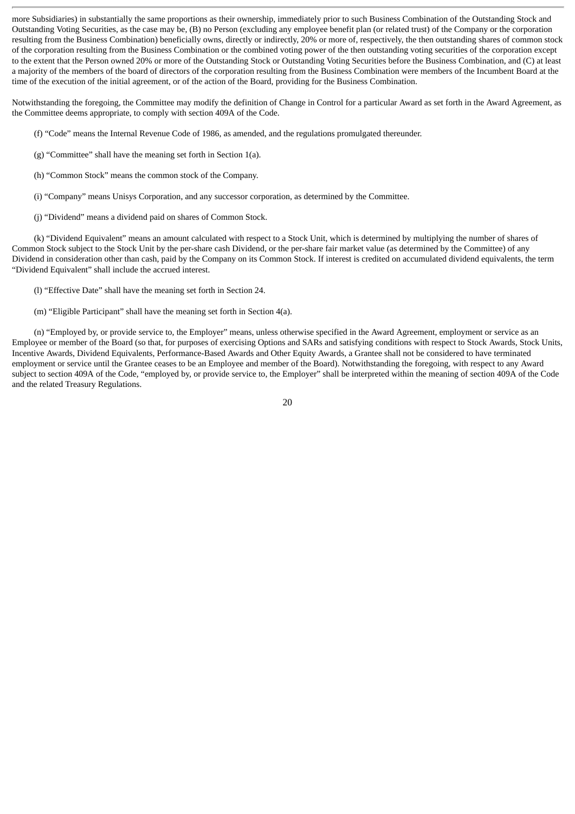more Subsidiaries) in substantially the same proportions as their ownership, immediately prior to such Business Combination of the Outstanding Stock and Outstanding Voting Securities, as the case may be, (B) no Person (excluding any employee benefit plan (or related trust) of the Company or the corporation resulting from the Business Combination) beneficially owns, directly or indirectly, 20% or more of, respectively, the then outstanding shares of common stock of the corporation resulting from the Business Combination or the combined voting power of the then outstanding voting securities of the corporation except to the extent that the Person owned 20% or more of the Outstanding Stock or Outstanding Voting Securities before the Business Combination, and (C) at least a majority of the members of the board of directors of the corporation resulting from the Business Combination were members of the Incumbent Board at the time of the execution of the initial agreement, or of the action of the Board, providing for the Business Combination.

Notwithstanding the foregoing, the Committee may modify the definition of Change in Control for a particular Award as set forth in the Award Agreement, as the Committee deems appropriate, to comply with section 409A of the Code.

(f) "Code" means the Internal Revenue Code of 1986, as amended, and the regulations promulgated thereunder.

- (g) "Committee" shall have the meaning set forth in Section 1(a).
- (h) "Common Stock" means the common stock of the Company.
- (i) "Company" means Unisys Corporation, and any successor corporation, as determined by the Committee.
- (j) "Dividend" means a dividend paid on shares of Common Stock.

(k) "Dividend Equivalent" means an amount calculated with respect to a Stock Unit, which is determined by multiplying the number of shares of Common Stock subject to the Stock Unit by the per-share cash Dividend, or the per-share fair market value (as determined by the Committee) of any Dividend in consideration other than cash, paid by the Company on its Common Stock. If interest is credited on accumulated dividend equivalents, the term "Dividend Equivalent" shall include the accrued interest.

- (l) "Effective Date" shall have the meaning set forth in Section 24.
- (m) "Eligible Participant" shall have the meaning set forth in Section 4(a).

(n) "Employed by, or provide service to, the Employer" means, unless otherwise specified in the Award Agreement, employment or service as an Employee or member of the Board (so that, for purposes of exercising Options and SARs and satisfying conditions with respect to Stock Awards, Stock Units, Incentive Awards, Dividend Equivalents, Performance-Based Awards and Other Equity Awards, a Grantee shall not be considered to have terminated employment or service until the Grantee ceases to be an Employee and member of the Board). Notwithstanding the foregoing, with respect to any Award subject to section 409A of the Code, "employed by, or provide service to, the Employer" shall be interpreted within the meaning of section 409A of the Code and the related Treasury Regulations.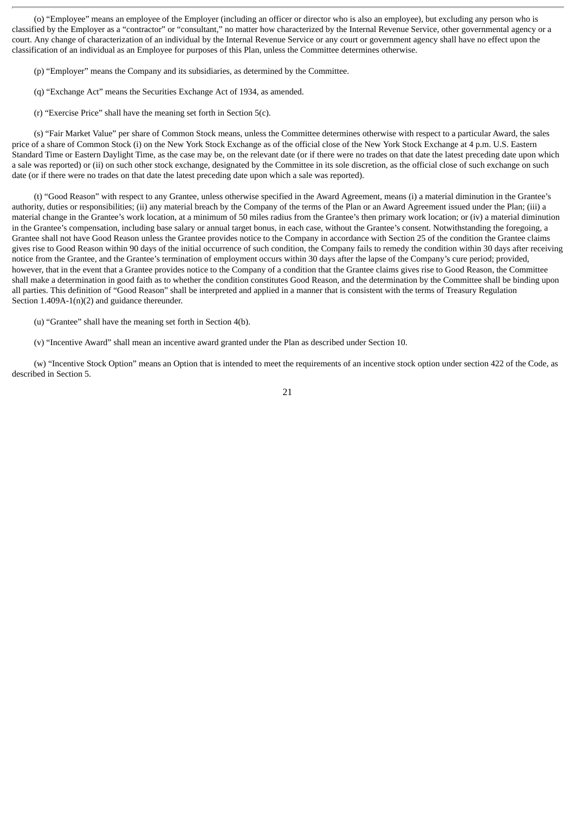(o) "Employee" means an employee of the Employer (including an officer or director who is also an employee), but excluding any person who is classified by the Employer as a "contractor" or "consultant," no matter how characterized by the Internal Revenue Service, other governmental agency or a court. Any change of characterization of an individual by the Internal Revenue Service or any court or government agency shall have no effect upon the classification of an individual as an Employee for purposes of this Plan, unless the Committee determines otherwise.

- (p) "Employer" means the Company and its subsidiaries, as determined by the Committee.
- (q) "Exchange Act" means the Securities Exchange Act of 1934, as amended.
- (r) "Exercise Price" shall have the meaning set forth in Section 5(c).

(s) "Fair Market Value" per share of Common Stock means, unless the Committee determines otherwise with respect to a particular Award, the sales price of a share of Common Stock (i) on the New York Stock Exchange as of the official close of the New York Stock Exchange at 4 p.m. U.S. Eastern Standard Time or Eastern Daylight Time, as the case may be, on the relevant date (or if there were no trades on that date the latest preceding date upon which a sale was reported) or (ii) on such other stock exchange, designated by the Committee in its sole discretion, as the official close of such exchange on such date (or if there were no trades on that date the latest preceding date upon which a sale was reported).

(t) "Good Reason" with respect to any Grantee, unless otherwise specified in the Award Agreement, means (i) a material diminution in the Grantee's authority, duties or responsibilities; (ii) any material breach by the Company of the terms of the Plan or an Award Agreement issued under the Plan; (iii) a material change in the Grantee's work location, at a minimum of 50 miles radius from the Grantee's then primary work location; or (iv) a material diminution in the Grantee's compensation, including base salary or annual target bonus, in each case, without the Grantee's consent. Notwithstanding the foregoing, a Grantee shall not have Good Reason unless the Grantee provides notice to the Company in accordance with Section 25 of the condition the Grantee claims gives rise to Good Reason within 90 days of the initial occurrence of such condition, the Company fails to remedy the condition within 30 days after receiving notice from the Grantee, and the Grantee's termination of employment occurs within 30 days after the lapse of the Company's cure period; provided, however, that in the event that a Grantee provides notice to the Company of a condition that the Grantee claims gives rise to Good Reason, the Committee shall make a determination in good faith as to whether the condition constitutes Good Reason, and the determination by the Committee shall be binding upon all parties. This definition of "Good Reason" shall be interpreted and applied in a manner that is consistent with the terms of Treasury Regulation Section 1.409A-1(n)(2) and guidance thereunder.

- (u) "Grantee" shall have the meaning set forth in Section 4(b).
- (v) "Incentive Award" shall mean an incentive award granted under the Plan as described under Section 10.

(w) "Incentive Stock Option" means an Option that is intended to meet the requirements of an incentive stock option under section 422 of the Code, as described in Section 5.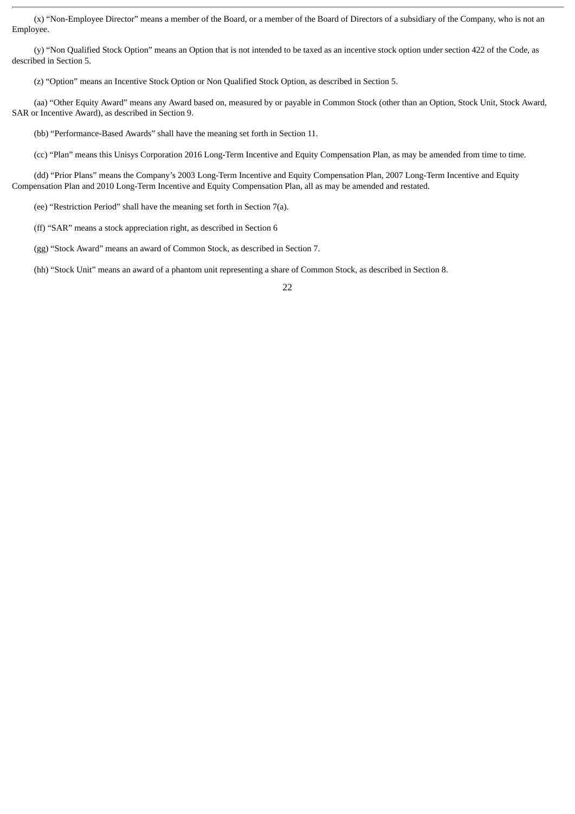(x) "Non-Employee Director" means a member of the Board, or a member of the Board of Directors of a subsidiary of the Company, who is not an Employee.

(y) "Non Qualified Stock Option" means an Option that is not intended to be taxed as an incentive stock option under section 422 of the Code, as described in Section 5.

(z) "Option" means an Incentive Stock Option or Non Qualified Stock Option, as described in Section 5.

(aa) "Other Equity Award" means any Award based on, measured by or payable in Common Stock (other than an Option, Stock Unit, Stock Award, SAR or Incentive Award), as described in Section 9.

(bb) "Performance-Based Awards" shall have the meaning set forth in Section 11.

(cc) "Plan" means this Unisys Corporation 2016 Long-Term Incentive and Equity Compensation Plan, as may be amended from time to time.

(dd) "Prior Plans" means the Company's 2003 Long-Term Incentive and Equity Compensation Plan, 2007 Long-Term Incentive and Equity Compensation Plan and 2010 Long-Term Incentive and Equity Compensation Plan, all as may be amended and restated.

(ee) "Restriction Period" shall have the meaning set forth in Section 7(a).

(ff) "SAR" means a stock appreciation right, as described in Section 6

(gg) "Stock Award" means an award of Common Stock, as described in Section 7.

(hh) "Stock Unit" means an award of a phantom unit representing a share of Common Stock, as described in Section 8.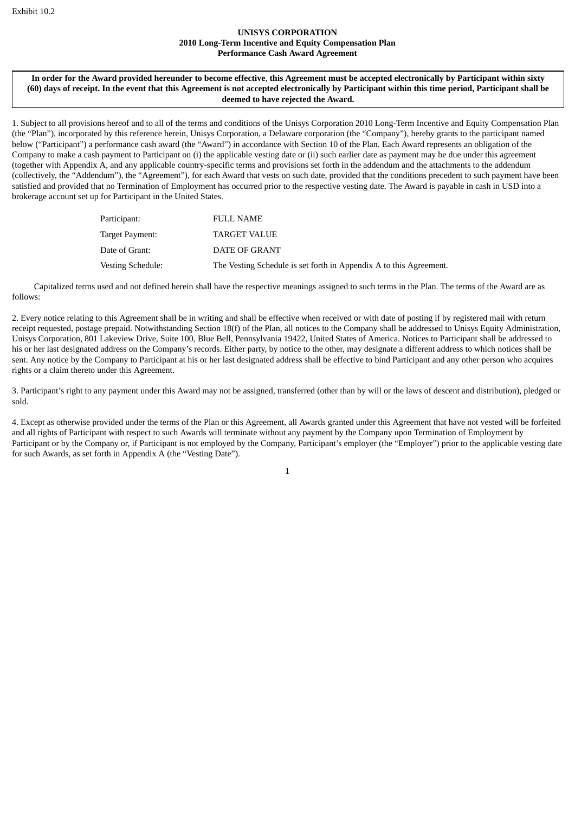# **UNISYS CORPORATION 2010 Long-Term Incentive and Equity Compensation Plan Performance Cash Award Agreement**

In order for the Award provided hereunder to become effective, this Agreement must be accepted electronically by Participant within sixty (60) days of receipt. In the event that this Agreement is not accepted electronically by Participant within this time period, Participant shall be **deemed to have rejected the Award.**

1. Subject to all provisions hereof and to all of the terms and conditions of the Unisys Corporation 2010 Long-Term Incentive and Equity Compensation Plan (the "Plan"), incorporated by this reference herein, Unisys Corporation, a Delaware corporation (the "Company"), hereby grants to the participant named below ("Participant") a performance cash award (the "Award") in accordance with Section 10 of the Plan. Each Award represents an obligation of the Company to make a cash payment to Participant on (i) the applicable vesting date or (ii) such earlier date as payment may be due under this agreement (together with Appendix A, and any applicable country-specific terms and provisions set forth in the addendum and the attachments to the addendum (collectively, the "Addendum"), the "Agreement"), for each Award that vests on such date, provided that the conditions precedent to such payment have been satisfied and provided that no Termination of Employment has occurred prior to the respective vesting date. The Award is payable in cash in USD into a brokerage account set up for Participant in the United States.

| Participant:             | <b>FULL NAME</b>                                                   |
|--------------------------|--------------------------------------------------------------------|
| Target Payment:          | <b>TARGET VALUE</b>                                                |
| Date of Grant:           | DATE OF GRANT                                                      |
| <b>Vesting Schedule:</b> | The Vesting Schedule is set forth in Appendix A to this Agreement. |

Capitalized terms used and not defined herein shall have the respective meanings assigned to such terms in the Plan. The terms of the Award are as follows:

2. Every notice relating to this Agreement shall be in writing and shall be effective when received or with date of posting if by registered mail with return receipt requested, postage prepaid. Notwithstanding Section 18(f) of the Plan, all notices to the Company shall be addressed to Unisys Equity Administration, Unisys Corporation, 801 Lakeview Drive, Suite 100, Blue Bell, Pennsylvania 19422, United States of America. Notices to Participant shall be addressed to his or her last designated address on the Company's records. Either party, by notice to the other, may designate a different address to which notices shall be sent. Any notice by the Company to Participant at his or her last designated address shall be effective to bind Participant and any other person who acquires rights or a claim thereto under this Agreement.

3. Participant's right to any payment under this Award may not be assigned, transferred (other than by will or the laws of descent and distribution), pledged or sold.

4. Except as otherwise provided under the terms of the Plan or this Agreement, all Awards granted under this Agreement that have not vested will be forfeited and all rights of Participant with respect to such Awards will terminate without any payment by the Company upon Termination of Employment by Participant or by the Company or, if Participant is not employed by the Company, Participant's employer (the "Employer") prior to the applicable vesting date for such Awards, as set forth in Appendix A (the "Vesting Date").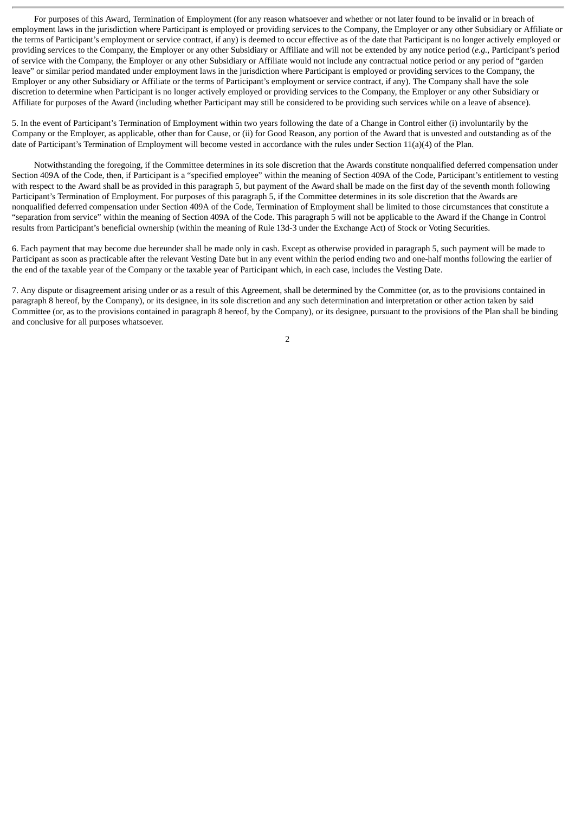For purposes of this Award, Termination of Employment (for any reason whatsoever and whether or not later found to be invalid or in breach of employment laws in the jurisdiction where Participant is employed or providing services to the Company, the Employer or any other Subsidiary or Affiliate or the terms of Participant's employment or service contract, if any) is deemed to occur effective as of the date that Participant is no longer actively employed or providing services to the Company, the Employer or any other Subsidiary or Affiliate and will not be extended by any notice period (*e.g.*, Participant's period of service with the Company, the Employer or any other Subsidiary or Affiliate would not include any contractual notice period or any period of "garden leave" or similar period mandated under employment laws in the jurisdiction where Participant is employed or providing services to the Company, the Employer or any other Subsidiary or Affiliate or the terms of Participant's employment or service contract, if any). The Company shall have the sole discretion to determine when Participant is no longer actively employed or providing services to the Company, the Employer or any other Subsidiary or Affiliate for purposes of the Award (including whether Participant may still be considered to be providing such services while on a leave of absence).

5. In the event of Participant's Termination of Employment within two years following the date of a Change in Control either (i) involuntarily by the Company or the Employer, as applicable, other than for Cause, or (ii) for Good Reason, any portion of the Award that is unvested and outstanding as of the date of Participant's Termination of Employment will become vested in accordance with the rules under Section 11(a)(4) of the Plan.

Notwithstanding the foregoing, if the Committee determines in its sole discretion that the Awards constitute nonqualified deferred compensation under Section 409A of the Code, then, if Participant is a "specified employee" within the meaning of Section 409A of the Code, Participant's entitlement to vesting with respect to the Award shall be as provided in this paragraph 5, but payment of the Award shall be made on the first day of the seventh month following Participant's Termination of Employment. For purposes of this paragraph 5, if the Committee determines in its sole discretion that the Awards are nonqualified deferred compensation under Section 409A of the Code, Termination of Employment shall be limited to those circumstances that constitute a "separation from service" within the meaning of Section 409A of the Code. This paragraph 5 will not be applicable to the Award if the Change in Control results from Participant's beneficial ownership (within the meaning of Rule 13d-3 under the Exchange Act) of Stock or Voting Securities.

6. Each payment that may become due hereunder shall be made only in cash. Except as otherwise provided in paragraph 5, such payment will be made to Participant as soon as practicable after the relevant Vesting Date but in any event within the period ending two and one-half months following the earlier of the end of the taxable year of the Company or the taxable year of Participant which, in each case, includes the Vesting Date.

7. Any dispute or disagreement arising under or as a result of this Agreement, shall be determined by the Committee (or, as to the provisions contained in paragraph 8 hereof, by the Company), or its designee, in its sole discretion and any such determination and interpretation or other action taken by said Committee (or, as to the provisions contained in paragraph 8 hereof, by the Company), or its designee, pursuant to the provisions of the Plan shall be binding and conclusive for all purposes whatsoever.

 $\overline{2}$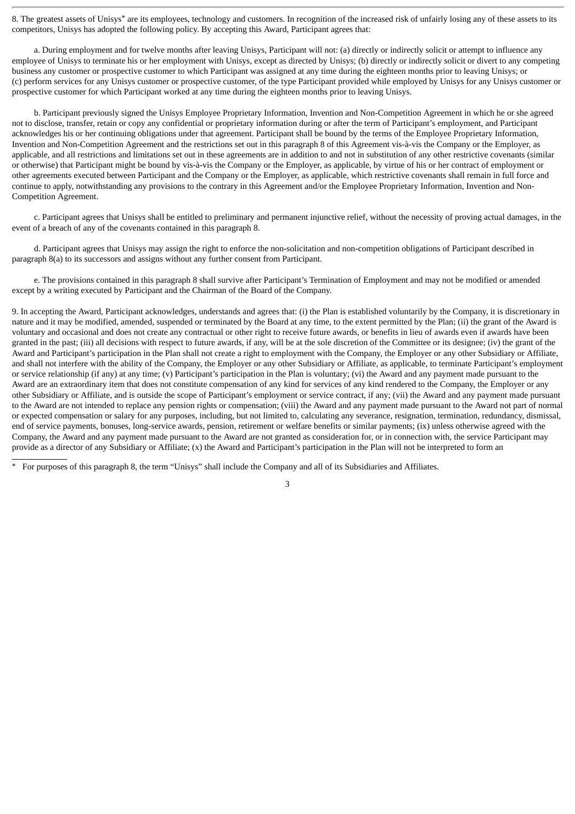8. The greatest assets of Unisys\* are its employees, technology and customers. In recognition of the increased risk of unfairly losing any of these assets to its competitors, Unisys has adopted the following policy. By accepting this Award, Participant agrees that:

a. During employment and for twelve months after leaving Unisys, Participant will not: (a) directly or indirectly solicit or attempt to influence any employee of Unisys to terminate his or her employment with Unisys, except as directed by Unisys; (b) directly or indirectly solicit or divert to any competing business any customer or prospective customer to which Participant was assigned at any time during the eighteen months prior to leaving Unisys; or (c) perform services for any Unisys customer or prospective customer, of the type Participant provided while employed by Unisys for any Unisys customer or prospective customer for which Participant worked at any time during the eighteen months prior to leaving Unisys.

b. Participant previously signed the Unisys Employee Proprietary Information, Invention and Non-Competition Agreement in which he or she agreed not to disclose, transfer, retain or copy any confidential or proprietary information during or after the term of Participant's employment, and Participant acknowledges his or her continuing obligations under that agreement. Participant shall be bound by the terms of the Employee Proprietary Information, Invention and Non-Competition Agreement and the restrictions set out in this paragraph 8 of this Agreement vis-à-vis the Company or the Employer, as applicable, and all restrictions and limitations set out in these agreements are in addition to and not in substitution of any other restrictive covenants (similar or otherwise) that Participant might be bound by vis-à-vis the Company or the Employer, as applicable, by virtue of his or her contract of employment or other agreements executed between Participant and the Company or the Employer, as applicable, which restrictive covenants shall remain in full force and continue to apply, notwithstanding any provisions to the contrary in this Agreement and/or the Employee Proprietary Information, Invention and Non-Competition Agreement.

c. Participant agrees that Unisys shall be entitled to preliminary and permanent injunctive relief, without the necessity of proving actual damages, in the event of a breach of any of the covenants contained in this paragraph 8.

d. Participant agrees that Unisys may assign the right to enforce the non-solicitation and non-competition obligations of Participant described in paragraph 8(a) to its successors and assigns without any further consent from Participant.

e. The provisions contained in this paragraph 8 shall survive after Participant's Termination of Employment and may not be modified or amended except by a writing executed by Participant and the Chairman of the Board of the Company.

9. In accepting the Award, Participant acknowledges, understands and agrees that: (i) the Plan is established voluntarily by the Company, it is discretionary in nature and it may be modified, amended, suspended or terminated by the Board at any time, to the extent permitted by the Plan; (ii) the grant of the Award is voluntary and occasional and does not create any contractual or other right to receive future awards, or benefits in lieu of awards even if awards have been granted in the past; (iii) all decisions with respect to future awards, if any, will be at the sole discretion of the Committee or its designee; (iv) the grant of the Award and Participant's participation in the Plan shall not create a right to employment with the Company, the Employer or any other Subsidiary or Affiliate, and shall not interfere with the ability of the Company, the Employer or any other Subsidiary or Affiliate, as applicable, to terminate Participant's employment or service relationship (if any) at any time; (v) Participant's participation in the Plan is voluntary; (vi) the Award and any payment made pursuant to the Award are an extraordinary item that does not constitute compensation of any kind for services of any kind rendered to the Company, the Employer or any other Subsidiary or Affiliate, and is outside the scope of Participant's employment or service contract, if any; (vii) the Award and any payment made pursuant to the Award are not intended to replace any pension rights or compensation; (viii) the Award and any payment made pursuant to the Award not part of normal or expected compensation or salary for any purposes, including, but not limited to, calculating any severance, resignation, termination, redundancy, dismissal, end of service payments, bonuses, long-service awards, pension, retirement or welfare benefits or similar payments; (ix) unless otherwise agreed with the Company, the Award and any payment made pursuant to the Award are not granted as consideration for, or in connection with, the service Participant may provide as a director of any Subsidiary or Affiliate; (x) the Award and Participant's participation in the Plan will not be interpreted to form an

\* For purposes of this paragraph 8, the term "Unisys" shall include the Company and all of its Subsidiaries and Affiliates.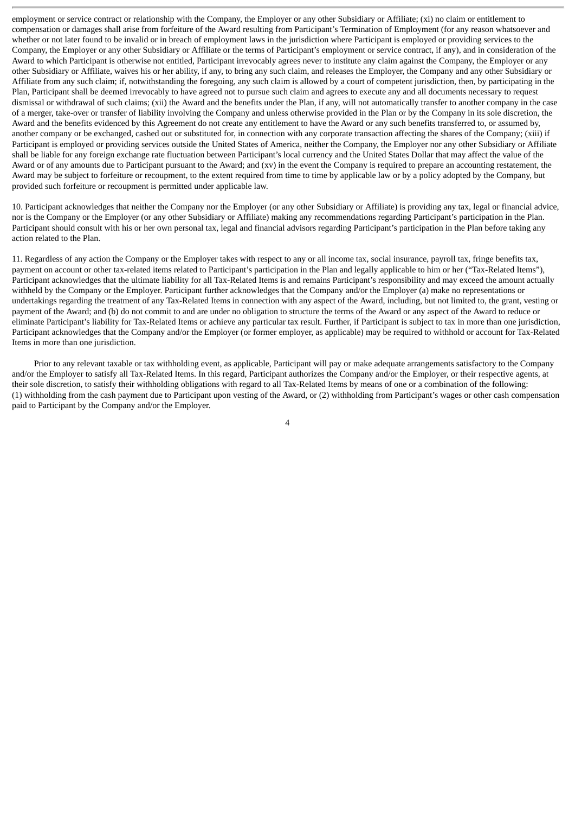employment or service contract or relationship with the Company, the Employer or any other Subsidiary or Affiliate; (xi) no claim or entitlement to compensation or damages shall arise from forfeiture of the Award resulting from Participant's Termination of Employment (for any reason whatsoever and whether or not later found to be invalid or in breach of employment laws in the jurisdiction where Participant is employed or providing services to the Company, the Employer or any other Subsidiary or Affiliate or the terms of Participant's employment or service contract, if any), and in consideration of the Award to which Participant is otherwise not entitled, Participant irrevocably agrees never to institute any claim against the Company, the Employer or any other Subsidiary or Affiliate, waives his or her ability, if any, to bring any such claim, and releases the Employer, the Company and any other Subsidiary or Affiliate from any such claim; if, notwithstanding the foregoing, any such claim is allowed by a court of competent jurisdiction, then, by participating in the Plan, Participant shall be deemed irrevocably to have agreed not to pursue such claim and agrees to execute any and all documents necessary to request dismissal or withdrawal of such claims; (xii) the Award and the benefits under the Plan, if any, will not automatically transfer to another company in the case of a merger, take-over or transfer of liability involving the Company and unless otherwise provided in the Plan or by the Company in its sole discretion, the Award and the benefits evidenced by this Agreement do not create any entitlement to have the Award or any such benefits transferred to, or assumed by, another company or be exchanged, cashed out or substituted for, in connection with any corporate transaction affecting the shares of the Company; (xiii) if Participant is employed or providing services outside the United States of America, neither the Company, the Employer nor any other Subsidiary or Affiliate shall be liable for any foreign exchange rate fluctuation between Participant's local currency and the United States Dollar that may affect the value of the Award or of any amounts due to Participant pursuant to the Award; and (xv) in the event the Company is required to prepare an accounting restatement, the Award may be subject to forfeiture or recoupment, to the extent required from time to time by applicable law or by a policy adopted by the Company, but provided such forfeiture or recoupment is permitted under applicable law.

10. Participant acknowledges that neither the Company nor the Employer (or any other Subsidiary or Affiliate) is providing any tax, legal or financial advice, nor is the Company or the Employer (or any other Subsidiary or Affiliate) making any recommendations regarding Participant's participation in the Plan. Participant should consult with his or her own personal tax, legal and financial advisors regarding Participant's participation in the Plan before taking any action related to the Plan.

11. Regardless of any action the Company or the Employer takes with respect to any or all income tax, social insurance, payroll tax, fringe benefits tax, payment on account or other tax-related items related to Participant's participation in the Plan and legally applicable to him or her ("Tax-Related Items"), Participant acknowledges that the ultimate liability for all Tax-Related Items is and remains Participant's responsibility and may exceed the amount actually withheld by the Company or the Employer. Participant further acknowledges that the Company and/or the Employer (a) make no representations or undertakings regarding the treatment of any Tax-Related Items in connection with any aspect of the Award, including, but not limited to, the grant, vesting or payment of the Award; and (b) do not commit to and are under no obligation to structure the terms of the Award or any aspect of the Award to reduce or eliminate Participant's liability for Tax-Related Items or achieve any particular tax result. Further, if Participant is subject to tax in more than one jurisdiction, Participant acknowledges that the Company and/or the Employer (or former employer, as applicable) may be required to withhold or account for Tax-Related Items in more than one jurisdiction.

Prior to any relevant taxable or tax withholding event, as applicable, Participant will pay or make adequate arrangements satisfactory to the Company and/or the Employer to satisfy all Tax-Related Items. In this regard, Participant authorizes the Company and/or the Employer, or their respective agents, at their sole discretion, to satisfy their withholding obligations with regard to all Tax-Related Items by means of one or a combination of the following: (1) withholding from the cash payment due to Participant upon vesting of the Award, or (2) withholding from Participant's wages or other cash compensation paid to Participant by the Company and/or the Employer.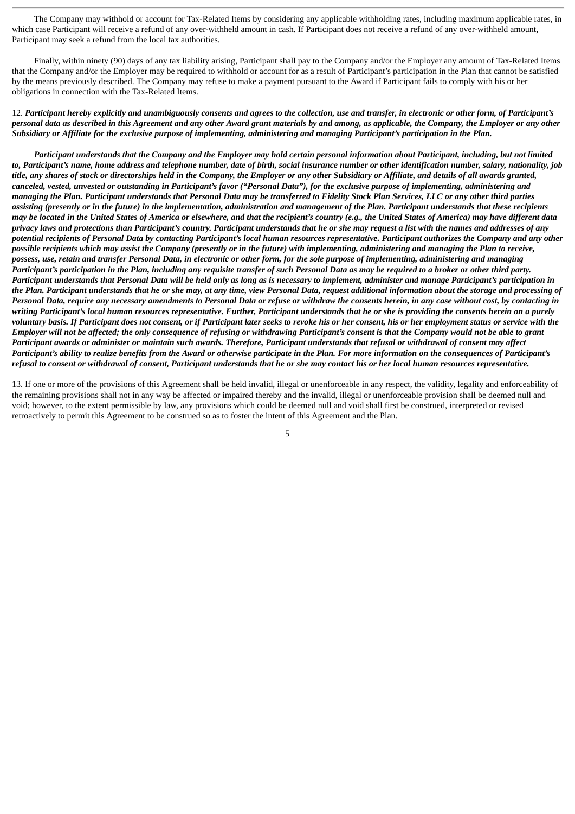The Company may withhold or account for Tax-Related Items by considering any applicable withholding rates, including maximum applicable rates, in which case Participant will receive a refund of any over-withheld amount in cash. If Participant does not receive a refund of any over-withheld amount, Participant may seek a refund from the local tax authorities.

Finally, within ninety (90) days of any tax liability arising, Participant shall pay to the Company and/or the Employer any amount of Tax-Related Items that the Company and/or the Employer may be required to withhold or account for as a result of Participant's participation in the Plan that cannot be satisfied by the means previously described. The Company may refuse to make a payment pursuant to the Award if Participant fails to comply with his or her obligations in connection with the Tax-Related Items.

12. Participant hereby explicitly and unambiquously consents and agrees to the collection, use and transfer, in electronic or other form, of Participant's personal data as described in this Agreement and any other Award grant materials by and among, as applicable, the Company, the Employer or any other Subsidiary or Affiliate for the exclusive purpose of implementing, administering and managing Participant's participation in the Plan.

Participant understands that the Company and the Employer may hold certain personal information about Participant, including, but not limited to, Participant's name, home address and telephone number, date of birth, social insurance number or other identification number, salary, nationality, job title, any shares of stock or directorships held in the Company, the Employer or any other Subsidiary or Affiliate, and details of all awards granted, canceled, vested, unvested or outstanding in Participant's favor ("Personal Data"), for the exclusive purpose of implementing, administering and managing the Plan. Participant understands that Personal Data may be transferred to Fidelity Stock Plan Services, LLC or any other third parties assisting (presently or in the future) in the implementation, administration and management of the Plan. Participant understands that these recipients may be located in the United States of America or elsewhere, and that the recipient's country (e.g., the United States of America) may have different data privacy laws and protections than Participant's country. Participant understands that he or she may request a list with the names and addresses of any potential recipients of Personal Data by contacting Participant's local human resources representative. Participant authorizes the Company and any other possible recipients which may assist the Company (presently or in the future) with implementing, administering and managing the Plan to receive, possess, use, retain and transfer Personal Data, in electronic or other form, for the sole purpose of implementing, administering and managing Participant's participation in the Plan, including any requisite transfer of such Personal Data as may be required to a broker or other third party. Participant understands that Personal Data will be held only as long as is necessary to implement, administer and manage Participant's participation in the Plan. Participant understands that he or she may, at any time, view Personal Data, request additional information about the storage and processing of Personal Data, require any necessary amendments to Personal Data or refuse or withdraw the consents herein, in any case without cost, by contacting in writing Participant's local human resources representative. Further, Participant understands that he or she is providing the consents herein on a purely voluntary basis. If Participant does not consent, or if Participant later seeks to revoke his or her consent, his or her employment status or service with the Employer will not be affected; the only consequence of refusing or withdrawing Participant's consent is that the Company would not be able to grant Participant awards or administer or maintain such awards. Therefore, Participant understands that refusal or withdrawal of consent may affect Participant's ability to realize benefits from the Award or otherwise participate in the Plan. For more information on the consequences of Participant's refusal to consent or withdrawal of consent, Participant understands that he or she may contact his or her local human resources representative.

13. If one or more of the provisions of this Agreement shall be held invalid, illegal or unenforceable in any respect, the validity, legality and enforceability of the remaining provisions shall not in any way be affected or impaired thereby and the invalid, illegal or unenforceable provision shall be deemed null and void; however, to the extent permissible by law, any provisions which could be deemed null and void shall first be construed, interpreted or revised retroactively to permit this Agreement to be construed so as to foster the intent of this Agreement and the Plan.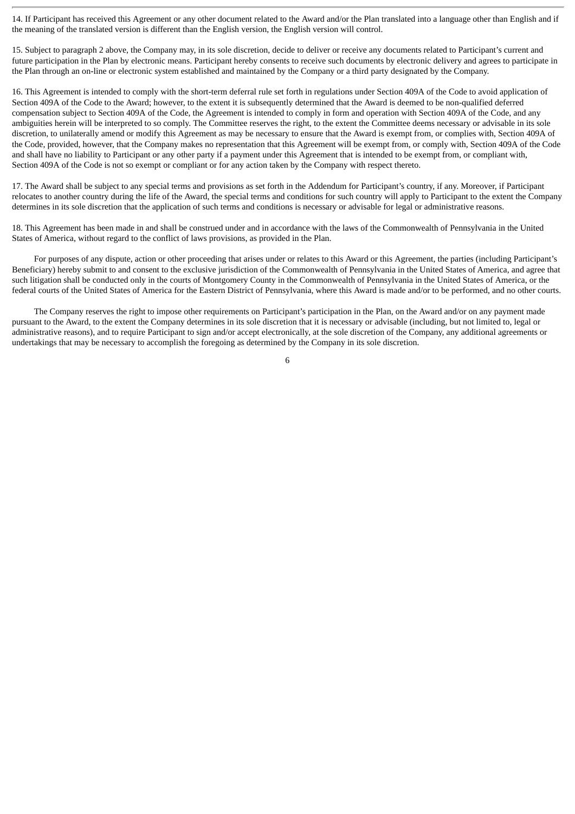14. If Participant has received this Agreement or any other document related to the Award and/or the Plan translated into a language other than English and if the meaning of the translated version is different than the English version, the English version will control.

15. Subject to paragraph 2 above, the Company may, in its sole discretion, decide to deliver or receive any documents related to Participant's current and future participation in the Plan by electronic means. Participant hereby consents to receive such documents by electronic delivery and agrees to participate in the Plan through an on-line or electronic system established and maintained by the Company or a third party designated by the Company.

16. This Agreement is intended to comply with the short-term deferral rule set forth in regulations under Section 409A of the Code to avoid application of Section 409A of the Code to the Award; however, to the extent it is subsequently determined that the Award is deemed to be non-qualified deferred compensation subject to Section 409A of the Code, the Agreement is intended to comply in form and operation with Section 409A of the Code, and any ambiguities herein will be interpreted to so comply. The Committee reserves the right, to the extent the Committee deems necessary or advisable in its sole discretion, to unilaterally amend or modify this Agreement as may be necessary to ensure that the Award is exempt from, or complies with, Section 409A of the Code, provided, however, that the Company makes no representation that this Agreement will be exempt from, or comply with, Section 409A of the Code and shall have no liability to Participant or any other party if a payment under this Agreement that is intended to be exempt from, or compliant with, Section 409A of the Code is not so exempt or compliant or for any action taken by the Company with respect thereto.

17. The Award shall be subject to any special terms and provisions as set forth in the Addendum for Participant's country, if any. Moreover, if Participant relocates to another country during the life of the Award, the special terms and conditions for such country will apply to Participant to the extent the Company determines in its sole discretion that the application of such terms and conditions is necessary or advisable for legal or administrative reasons.

18. This Agreement has been made in and shall be construed under and in accordance with the laws of the Commonwealth of Pennsylvania in the United States of America, without regard to the conflict of laws provisions, as provided in the Plan.

For purposes of any dispute, action or other proceeding that arises under or relates to this Award or this Agreement, the parties (including Participant's Beneficiary) hereby submit to and consent to the exclusive jurisdiction of the Commonwealth of Pennsylvania in the United States of America, and agree that such litigation shall be conducted only in the courts of Montgomery County in the Commonwealth of Pennsylvania in the United States of America, or the federal courts of the United States of America for the Eastern District of Pennsylvania, where this Award is made and/or to be performed, and no other courts.

The Company reserves the right to impose other requirements on Participant's participation in the Plan, on the Award and/or on any payment made pursuant to the Award, to the extent the Company determines in its sole discretion that it is necessary or advisable (including, but not limited to, legal or administrative reasons), and to require Participant to sign and/or accept electronically, at the sole discretion of the Company, any additional agreements or undertakings that may be necessary to accomplish the foregoing as determined by the Company in its sole discretion.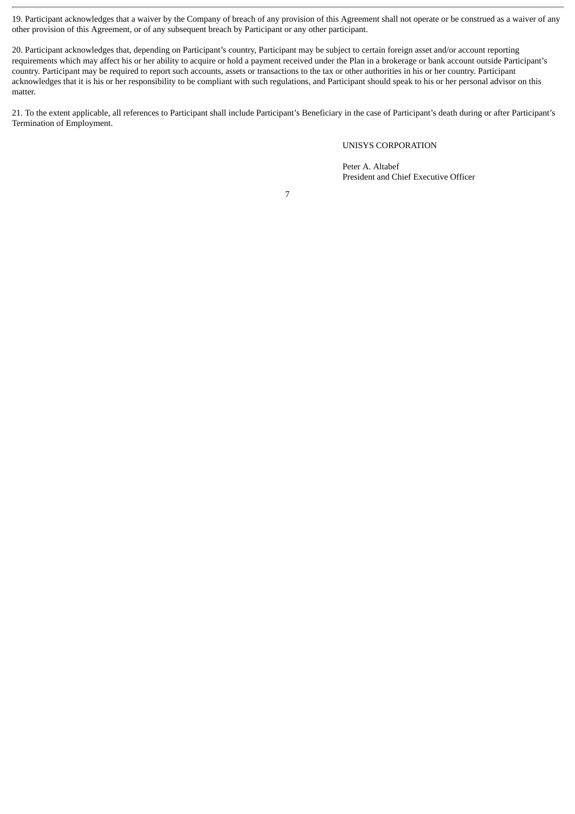19. Participant acknowledges that a waiver by the Company of breach of any provision of this Agreement shall not operate or be construed as a waiver of any other provision of this Agreement, or of any subsequent breach by Participant or any other participant.

20. Participant acknowledges that, depending on Participant's country, Participant may be subject to certain foreign asset and/or account reporting requirements which may affect his or her ability to acquire or hold a payment received under the Plan in a brokerage or bank account outside Participant's country. Participant may be required to report such accounts, assets or transactions to the tax or other authorities in his or her country. Participant acknowledges that it is his or her responsibility to be compliant with such regulations, and Participant should speak to his or her personal advisor on this matter.

21. To the extent applicable, all references to Participant shall include Participant's Beneficiary in the case of Participant's death during or after Participant's Termination of Employment.

## UNISYS CORPORATION

Peter A. Altabef President and Chief Executive Officer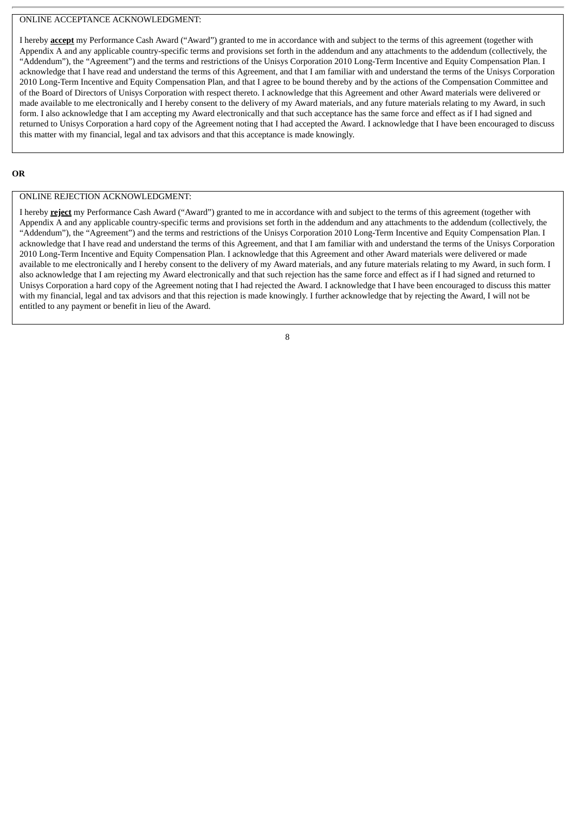# ONLINE ACCEPTANCE ACKNOWLEDGMENT:

I hereby **accept** my Performance Cash Award ("Award") granted to me in accordance with and subject to the terms of this agreement (together with Appendix A and any applicable country-specific terms and provisions set forth in the addendum and any attachments to the addendum (collectively, the "Addendum"), the "Agreement") and the terms and restrictions of the Unisys Corporation 2010 Long-Term Incentive and Equity Compensation Plan. I acknowledge that I have read and understand the terms of this Agreement, and that I am familiar with and understand the terms of the Unisys Corporation 2010 Long-Term Incentive and Equity Compensation Plan, and that I agree to be bound thereby and by the actions of the Compensation Committee and of the Board of Directors of Unisys Corporation with respect thereto. I acknowledge that this Agreement and other Award materials were delivered or made available to me electronically and I hereby consent to the delivery of my Award materials, and any future materials relating to my Award, in such form. I also acknowledge that I am accepting my Award electronically and that such acceptance has the same force and effect as if I had signed and returned to Unisys Corporation a hard copy of the Agreement noting that I had accepted the Award. I acknowledge that I have been encouraged to discuss this matter with my financial, legal and tax advisors and that this acceptance is made knowingly.

# **OR**

# ONLINE REJECTION ACKNOWLEDGMENT:

I hereby **reject** my Performance Cash Award ("Award") granted to me in accordance with and subject to the terms of this agreement (together with Appendix A and any applicable country-specific terms and provisions set forth in the addendum and any attachments to the addendum (collectively, the "Addendum"), the "Agreement") and the terms and restrictions of the Unisys Corporation 2010 Long-Term Incentive and Equity Compensation Plan. I acknowledge that I have read and understand the terms of this Agreement, and that I am familiar with and understand the terms of the Unisys Corporation 2010 Long-Term Incentive and Equity Compensation Plan. I acknowledge that this Agreement and other Award materials were delivered or made available to me electronically and I hereby consent to the delivery of my Award materials, and any future materials relating to my Award, in such form. I also acknowledge that I am rejecting my Award electronically and that such rejection has the same force and effect as if I had signed and returned to Unisys Corporation a hard copy of the Agreement noting that I had rejected the Award. I acknowledge that I have been encouraged to discuss this matter with my financial, legal and tax advisors and that this rejection is made knowingly. I further acknowledge that by rejecting the Award, I will not be entitled to any payment or benefit in lieu of the Award.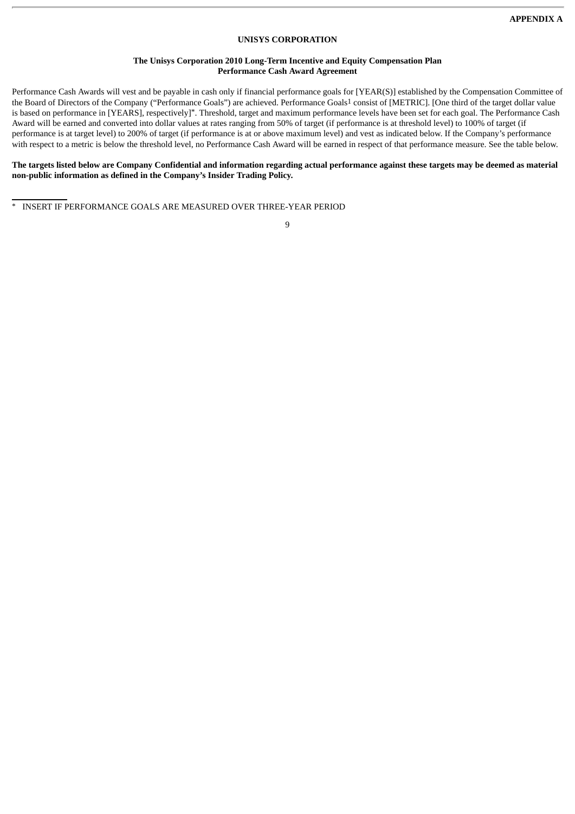## **UNISYS CORPORATION**

#### **The Unisys Corporation 2010 Long-Term Incentive and Equity Compensation Plan Performance Cash Award Agreement**

Performance Cash Awards will vest and be payable in cash only if financial performance goals for [YEAR(S)] established by the Compensation Committee of the Board of Directors of the Company ("Performance Goals") are achieved. Performance Goals<sup>1</sup> consist of [METRIC]. [One third of the target dollar value is based on performance in [YEARS], respectively]\*. Threshold, target and maximum performance levels have been set for each goal. The Performance Cash Award will be earned and converted into dollar values at rates ranging from 50% of target (if performance is at threshold level) to 100% of target (if performance is at target level) to 200% of target (if performance is at or above maximum level) and vest as indicated below. If the Company's performance with respect to a metric is below the threshold level, no Performance Cash Award will be earned in respect of that performance measure. See the table below.

## The targets listed below are Company Confidential and information regarding actual performance against these targets may be deemed as material **non-public information as defined in the Company's Insider Trading Policy.**

INSERT IF PERFORMANCE GOALS ARE MEASURED OVER THREE-YEAR PERIOD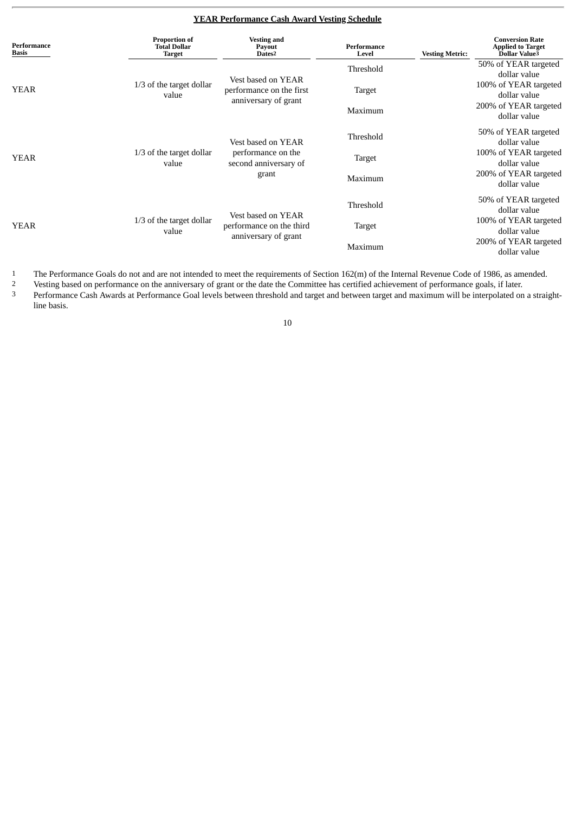# **YEAR Performance Cash Award Vesting Schedule**

| Performance<br><b>Basis</b> | Proportion of<br><b>Total Dollar</b><br><b>Target</b> | <b>Vesting and</b><br>Payout<br>Dates <sup>2</sup>   | Performance<br>Level | <b>Vesting Metric:</b> | <b>Conversion Rate</b><br><b>Applied to Target</b><br>Dollar Value3 |
|-----------------------------|-------------------------------------------------------|------------------------------------------------------|----------------------|------------------------|---------------------------------------------------------------------|
|                             |                                                       | Vest based on YEAR                                   | Threshold            |                        | 50% of YEAR targeted<br>dollar value                                |
| <b>YEAR</b>                 | 1/3 of the target dollar<br>value                     | performance on the first                             | Target               |                        | 100% of YEAR targeted<br>dollar value                               |
|                             |                                                       | anniversary of grant                                 | Maximum              |                        | 200% of YEAR targeted<br>dollar value                               |
|                             |                                                       | Vest based on YEAR                                   | Threshold            |                        | 50% of YEAR targeted<br>dollar value                                |
| <b>YEAR</b>                 | 1/3 of the target dollar<br>value                     | performance on the<br>second anniversary of<br>grant | Target               |                        | 100% of YEAR targeted<br>dollar value                               |
|                             |                                                       |                                                      | Maximum              |                        | 200% of YEAR targeted<br>dollar value                               |
|                             |                                                       | Vest based on YEAR                                   | Threshold            |                        | 50% of YEAR targeted<br>dollar value                                |
| <b>YEAR</b>                 | 1/3 of the target dollar<br>value                     | performance on the third                             | Target               |                        | 100% of YEAR targeted<br>dollar value                               |
|                             |                                                       | anniversary of grant                                 | Maximum              |                        | 200% of YEAR targeted<br>dollar value                               |

<sup>1</sup> The Performance Goals do not and are not intended to meet the requirements of Section 162(m) of the Internal Revenue Code of 1986, as amended.

<sup>2</sup> Vesting based on performance on the anniversary of grant or the date the Committee has certified achievement of performance goals, if later.

3 Performance Cash Awards at Performance Goal levels between threshold and target and between target and maximum will be interpolated on a straightline basis.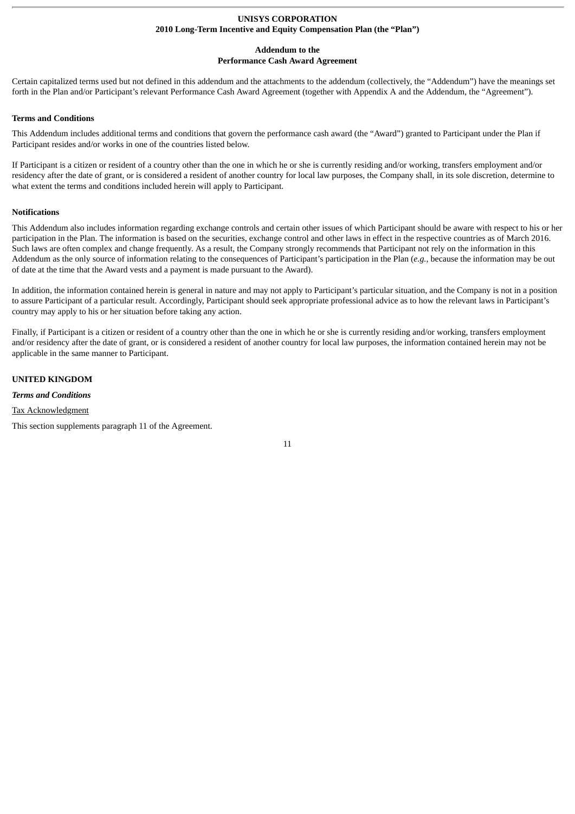# **UNISYS CORPORATION 2010 Long-Term Incentive and Equity Compensation Plan (the "Plan")**

# **Addendum to the Performance Cash Award Agreement**

Certain capitalized terms used but not defined in this addendum and the attachments to the addendum (collectively, the "Addendum") have the meanings set forth in the Plan and/or Participant's relevant Performance Cash Award Agreement (together with Appendix A and the Addendum, the "Agreement").

# **Terms and Conditions**

This Addendum includes additional terms and conditions that govern the performance cash award (the "Award") granted to Participant under the Plan if Participant resides and/or works in one of the countries listed below.

If Participant is a citizen or resident of a country other than the one in which he or she is currently residing and/or working, transfers employment and/or residency after the date of grant, or is considered a resident of another country for local law purposes, the Company shall, in its sole discretion, determine to what extent the terms and conditions included herein will apply to Participant.

### **Notifications**

This Addendum also includes information regarding exchange controls and certain other issues of which Participant should be aware with respect to his or her participation in the Plan. The information is based on the securities, exchange control and other laws in effect in the respective countries as of March 2016. Such laws are often complex and change frequently. As a result, the Company strongly recommends that Participant not rely on the information in this Addendum as the only source of information relating to the consequences of Participant's participation in the Plan (*e.g.*, because the information may be out of date at the time that the Award vests and a payment is made pursuant to the Award).

In addition, the information contained herein is general in nature and may not apply to Participant's particular situation, and the Company is not in a position to assure Participant of a particular result. Accordingly, Participant should seek appropriate professional advice as to how the relevant laws in Participant's country may apply to his or her situation before taking any action.

Finally, if Participant is a citizen or resident of a country other than the one in which he or she is currently residing and/or working, transfers employment and/or residency after the date of grant, or is considered a resident of another country for local law purposes, the information contained herein may not be applicable in the same manner to Participant.

### **UNITED KINGDOM**

*Terms and Conditions*

Tax Acknowledgment

This section supplements paragraph 11 of the Agreement.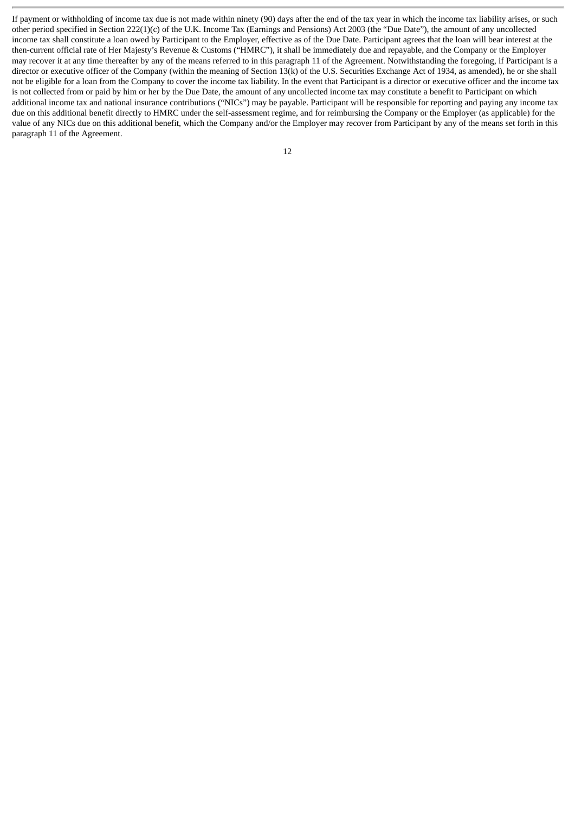If payment or withholding of income tax due is not made within ninety (90) days after the end of the tax year in which the income tax liability arises, or such other period specified in Section 222(1)(c) of the U.K. Income Tax (Earnings and Pensions) Act 2003 (the "Due Date"), the amount of any uncollected income tax shall constitute a loan owed by Participant to the Employer, effective as of the Due Date. Participant agrees that the loan will bear interest at the then-current official rate of Her Majesty's Revenue & Customs ("HMRC"), it shall be immediately due and repayable, and the Company or the Employer may recover it at any time thereafter by any of the means referred to in this paragraph 11 of the Agreement. Notwithstanding the foregoing, if Participant is a director or executive officer of the Company (within the meaning of Section 13(k) of the U.S. Securities Exchange Act of 1934, as amended), he or she shall not be eligible for a loan from the Company to cover the income tax liability. In the event that Participant is a director or executive officer and the income tax is not collected from or paid by him or her by the Due Date, the amount of any uncollected income tax may constitute a benefit to Participant on which additional income tax and national insurance contributions ("NICs") may be payable. Participant will be responsible for reporting and paying any income tax due on this additional benefit directly to HMRC under the self-assessment regime, and for reimbursing the Company or the Employer (as applicable) for the value of any NICs due on this additional benefit, which the Company and/or the Employer may recover from Participant by any of the means set forth in this paragraph 11 of the Agreement.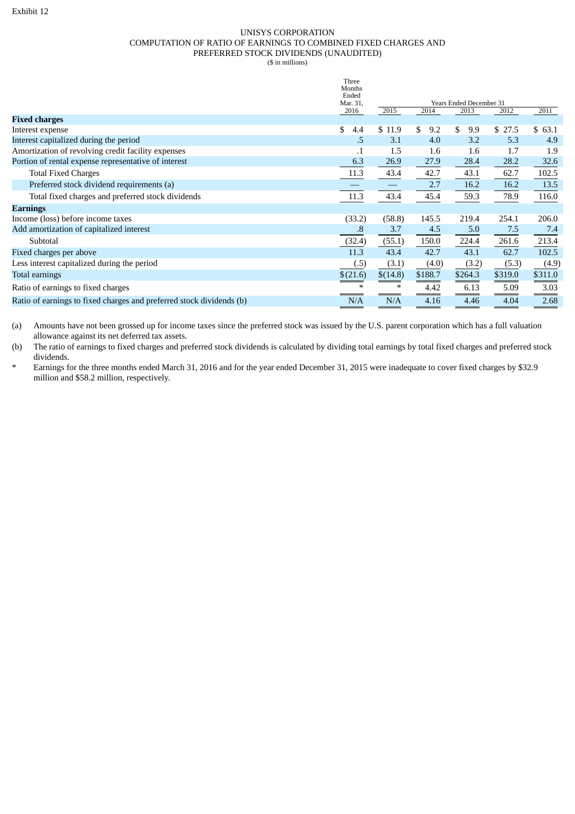### UNISYS CORPORATION COMPUTATION OF RATIO OF EARNINGS TO COMBINED FIXED CHARGES AND PREFERRED STOCK DIVIDENDS (UNAUDITED) (\$ in millions)

|                                                                      | Three<br>Months<br>Ended |                         |           |           |         |         |
|----------------------------------------------------------------------|--------------------------|-------------------------|-----------|-----------|---------|---------|
|                                                                      | Mar. 31,                 | Years Ended December 31 |           |           |         |         |
| <b>Fixed charges</b>                                                 | 2016                     | 2015                    | 2014      | 2013      | 2012    | 2011    |
| Interest expense                                                     | \$<br>4.4                | \$11.9                  | \$<br>9.2 | \$<br>9.9 | \$27.5  | \$63.1  |
| Interest capitalized during the period                               | .5                       | 3.1                     | 4.0       | 3.2       | 5.3     | 4.9     |
| Amortization of revolving credit facility expenses                   | $\cdot$                  | 1.5                     | 1.6       | 1.6       | 1.7     | 1.9     |
| Portion of rental expense representative of interest                 | 6.3                      | 26.9                    | 27.9      | 28.4      | 28.2    | 32.6    |
| <b>Total Fixed Charges</b>                                           | 11.3                     | 43.4                    | 42.7      | 43.1      | 62.7    | 102.5   |
| Preferred stock dividend requirements (a)                            |                          |                         | 2.7       | 16.2      | 16.2    | 13.5    |
| Total fixed charges and preferred stock dividends                    | 11.3                     | 43.4                    | 45.4      | 59.3      | 78.9    | 116.0   |
| <b>Earnings</b>                                                      |                          |                         |           |           |         |         |
| Income (loss) before income taxes                                    | (33.2)                   | (58.8)                  | 145.5     | 219.4     | 254.1   | 206.0   |
| Add amortization of capitalized interest                             | .8                       | 3.7                     | 4.5       | 5.0       | 7.5     | 7.4     |
| Subtotal                                                             | (32.4)                   | (55.1)                  | 150.0     | 224.4     | 261.6   | 213.4   |
| Fixed charges per above                                              | 11.3                     | 43.4                    | 42.7      | 43.1      | 62.7    | 102.5   |
| Less interest capitalized during the period                          | (.5)                     | (3.1)                   | (4.0)     | (3.2)     | (5.3)   | (4.9)   |
| Total earnings                                                       | \$(21.6)                 | \$(14.8)                | \$188.7   | \$264.3   | \$319.0 | \$311.0 |
| Ratio of earnings to fixed charges                                   | ∗                        | ∗                       | 4.42      | 6.13      | 5.09    | 3.03    |
| Ratio of earnings to fixed charges and preferred stock dividends (b) | N/A                      | N/A                     | 4.16      | 4.46      | 4.04    | 2.68    |

(a) Amounts have not been grossed up for income taxes since the preferred stock was issued by the U.S. parent corporation which has a full valuation allowance against its net deferred tax assets.

(b) The ratio of earnings to fixed charges and preferred stock dividends is calculated by dividing total earnings by total fixed charges and preferred stock dividends.

\* Earnings for the three months ended March 31, 2016 and for the year ended December 31, 2015 were inadequate to cover fixed charges by \$32.9 million and \$58.2 million, respectively.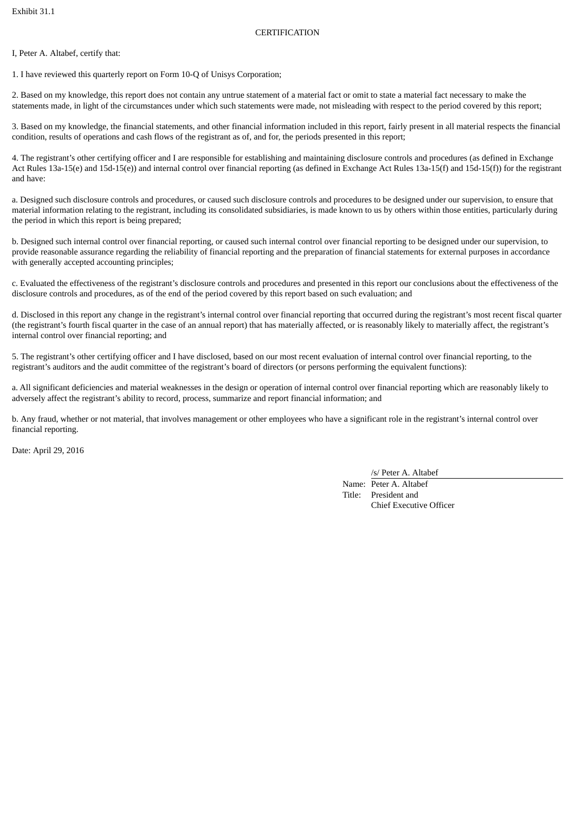# **CERTIFICATION**

I, Peter A. Altabef, certify that:

1. I have reviewed this quarterly report on Form 10-Q of Unisys Corporation;

2. Based on my knowledge, this report does not contain any untrue statement of a material fact or omit to state a material fact necessary to make the statements made, in light of the circumstances under which such statements were made, not misleading with respect to the period covered by this report;

3. Based on my knowledge, the financial statements, and other financial information included in this report, fairly present in all material respects the financial condition, results of operations and cash flows of the registrant as of, and for, the periods presented in this report;

4. The registrant's other certifying officer and I are responsible for establishing and maintaining disclosure controls and procedures (as defined in Exchange Act Rules 13a-15(e) and 15d-15(e)) and internal control over financial reporting (as defined in Exchange Act Rules 13a-15(f) and 15d-15(f)) for the registrant and have:

a. Designed such disclosure controls and procedures, or caused such disclosure controls and procedures to be designed under our supervision, to ensure that material information relating to the registrant, including its consolidated subsidiaries, is made known to us by others within those entities, particularly during the period in which this report is being prepared;

b. Designed such internal control over financial reporting, or caused such internal control over financial reporting to be designed under our supervision, to provide reasonable assurance regarding the reliability of financial reporting and the preparation of financial statements for external purposes in accordance with generally accepted accounting principles;

c. Evaluated the effectiveness of the registrant's disclosure controls and procedures and presented in this report our conclusions about the effectiveness of the disclosure controls and procedures, as of the end of the period covered by this report based on such evaluation; and

d. Disclosed in this report any change in the registrant's internal control over financial reporting that occurred during the registrant's most recent fiscal quarter (the registrant's fourth fiscal quarter in the case of an annual report) that has materially affected, or is reasonably likely to materially affect, the registrant's internal control over financial reporting; and

5. The registrant's other certifying officer and I have disclosed, based on our most recent evaluation of internal control over financial reporting, to the registrant's auditors and the audit committee of the registrant's board of directors (or persons performing the equivalent functions):

a. All significant deficiencies and material weaknesses in the design or operation of internal control over financial reporting which are reasonably likely to adversely affect the registrant's ability to record, process, summarize and report financial information; and

b. Any fraud, whether or not material, that involves management or other employees who have a significant role in the registrant's internal control over financial reporting.

Date: April 29, 2016

/s/ Peter A. Altabef

Name: Peter A. Altabef Title: President and Chief Executive Officer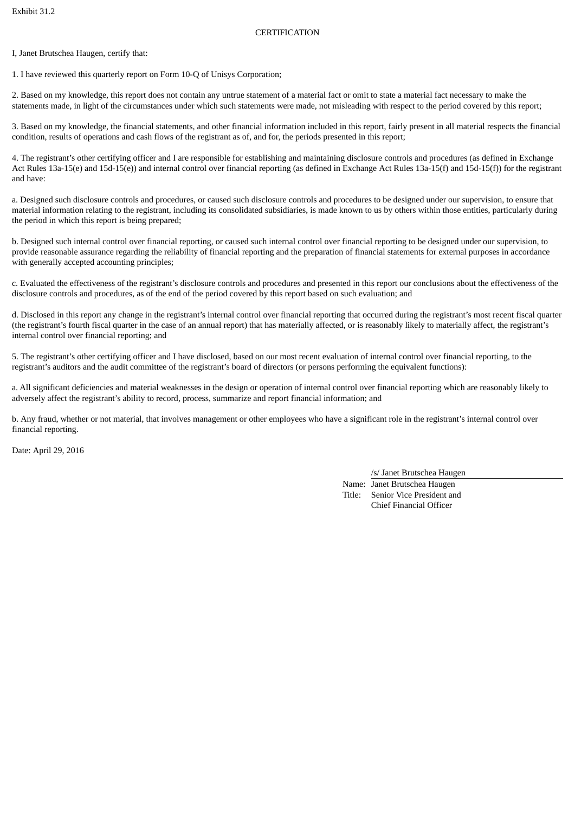## **CERTIFICATION**

I, Janet Brutschea Haugen, certify that:

1. I have reviewed this quarterly report on Form 10-Q of Unisys Corporation;

2. Based on my knowledge, this report does not contain any untrue statement of a material fact or omit to state a material fact necessary to make the statements made, in light of the circumstances under which such statements were made, not misleading with respect to the period covered by this report;

3. Based on my knowledge, the financial statements, and other financial information included in this report, fairly present in all material respects the financial condition, results of operations and cash flows of the registrant as of, and for, the periods presented in this report;

4. The registrant's other certifying officer and I are responsible for establishing and maintaining disclosure controls and procedures (as defined in Exchange Act Rules 13a-15(e) and 15d-15(e)) and internal control over financial reporting (as defined in Exchange Act Rules 13a-15(f) and 15d-15(f)) for the registrant and have:

a. Designed such disclosure controls and procedures, or caused such disclosure controls and procedures to be designed under our supervision, to ensure that material information relating to the registrant, including its consolidated subsidiaries, is made known to us by others within those entities, particularly during the period in which this report is being prepared;

b. Designed such internal control over financial reporting, or caused such internal control over financial reporting to be designed under our supervision, to provide reasonable assurance regarding the reliability of financial reporting and the preparation of financial statements for external purposes in accordance with generally accepted accounting principles;

c. Evaluated the effectiveness of the registrant's disclosure controls and procedures and presented in this report our conclusions about the effectiveness of the disclosure controls and procedures, as of the end of the period covered by this report based on such evaluation; and

d. Disclosed in this report any change in the registrant's internal control over financial reporting that occurred during the registrant's most recent fiscal quarter (the registrant's fourth fiscal quarter in the case of an annual report) that has materially affected, or is reasonably likely to materially affect, the registrant's internal control over financial reporting; and

5. The registrant's other certifying officer and I have disclosed, based on our most recent evaluation of internal control over financial reporting, to the registrant's auditors and the audit committee of the registrant's board of directors (or persons performing the equivalent functions):

a. All significant deficiencies and material weaknesses in the design or operation of internal control over financial reporting which are reasonably likely to adversely affect the registrant's ability to record, process, summarize and report financial information; and

b. Any fraud, whether or not material, that involves management or other employees who have a significant role in the registrant's internal control over financial reporting.

Date: April 29, 2016

/s/ Janet Brutschea Haugen

Name: Janet Brutschea Haugen Title: Senior Vice President and Chief Financial Officer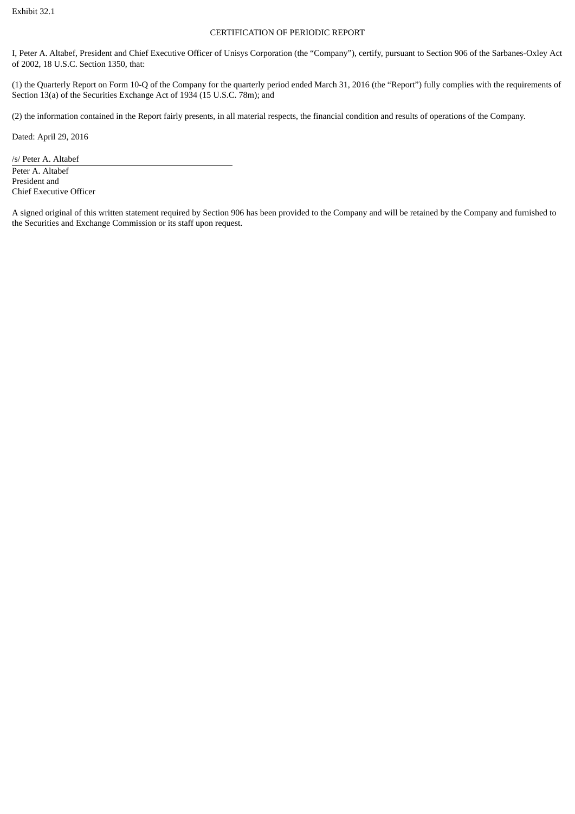# CERTIFICATION OF PERIODIC REPORT

I, Peter A. Altabef, President and Chief Executive Officer of Unisys Corporation (the "Company"), certify, pursuant to Section 906 of the Sarbanes-Oxley Act of 2002, 18 U.S.C. Section 1350, that:

(1) the Quarterly Report on Form 10-Q of the Company for the quarterly period ended March 31, 2016 (the "Report") fully complies with the requirements of Section 13(a) of the Securities Exchange Act of 1934 (15 U.S.C. 78m); and

(2) the information contained in the Report fairly presents, in all material respects, the financial condition and results of operations of the Company.

Dated: April 29, 2016

/s/ Peter A. Altabef

Peter A. Altabef President and Chief Executive Officer

A signed original of this written statement required by Section 906 has been provided to the Company and will be retained by the Company and furnished to the Securities and Exchange Commission or its staff upon request.